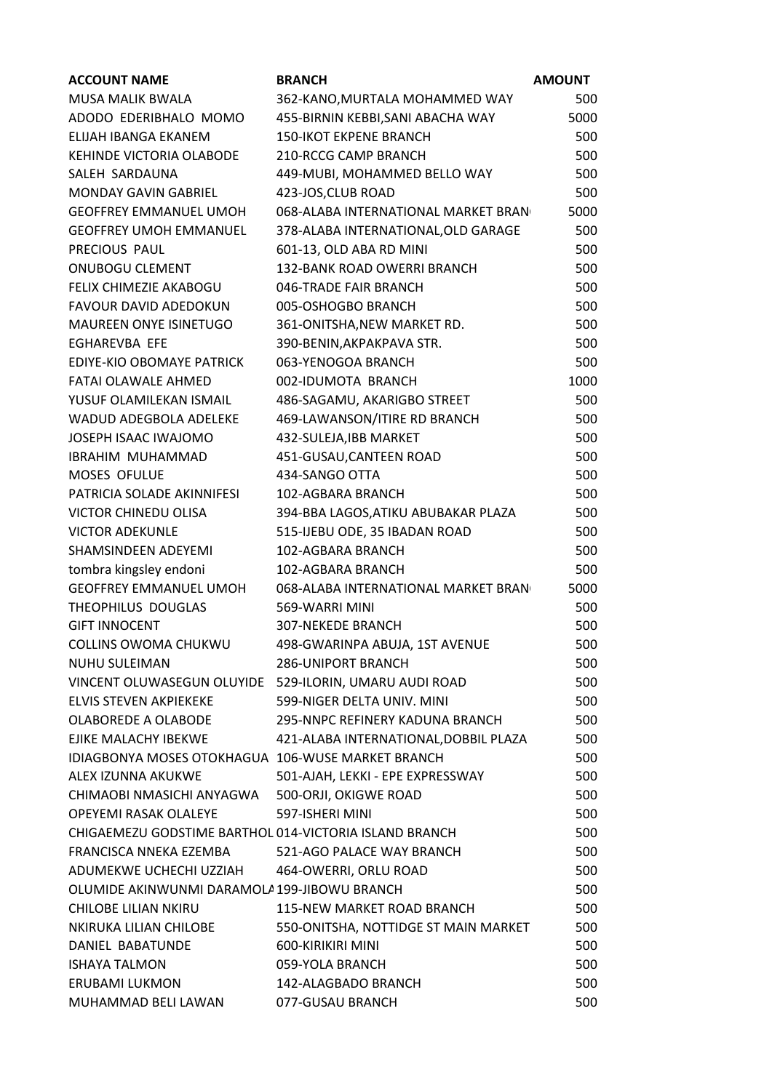| <b>ACCOUNT NAME</b>                                    | <b>BRANCH</b>                         | <b>AMOUNT</b> |
|--------------------------------------------------------|---------------------------------------|---------------|
| <b>MUSA MALIK BWALA</b>                                | 362-KANO, MURTALA MOHAMMED WAY        | 500           |
| ADODO EDERIBHALO MOMO                                  | 455-BIRNIN KEBBI, SANI ABACHA WAY     | 5000          |
| ELIJAH IBANGA EKANEM                                   | <b>150-IKOT EKPENE BRANCH</b>         | 500           |
| <b>KEHINDE VICTORIA OLABODE</b>                        | 210-RCCG CAMP BRANCH                  | 500           |
| SALEH SARDAUNA                                         | 449-MUBI, MOHAMMED BELLO WAY          | 500           |
| <b>MONDAY GAVIN GABRIEL</b>                            | 423-JOS, CLUB ROAD                    | 500           |
| <b>GEOFFREY EMMANUEL UMOH</b>                          | 068-ALABA INTERNATIONAL MARKET BRAN   | 5000          |
| <b>GEOFFREY UMOH EMMANUEL</b>                          | 378-ALABA INTERNATIONAL, OLD GARAGE   | 500           |
| PRECIOUS PAUL                                          | 601-13, OLD ABA RD MINI               | 500           |
| <b>ONUBOGU CLEMENT</b>                                 | 132-BANK ROAD OWERRI BRANCH           | 500           |
| FELIX CHIMEZIE AKABOGU                                 | 046-TRADE FAIR BRANCH                 | 500           |
| <b>FAVOUR DAVID ADEDOKUN</b>                           | 005-OSHOGBO BRANCH                    | 500           |
| <b>MAUREEN ONYE ISINETUGO</b>                          | 361-ONITSHA, NEW MARKET RD.           | 500           |
| <b>EGHAREVBA EFE</b>                                   | 390-BENIN, AKPAKPAVA STR.             | 500           |
| EDIYE-KIO OBOMAYE PATRICK                              | 063-YENOGOA BRANCH                    | 500           |
| FATAI OLAWALE AHMED                                    | 002-IDUMOTA BRANCH                    | 1000          |
| YUSUF OLAMILEKAN ISMAIL                                | 486-SAGAMU, AKARIGBO STREET           | 500           |
| WADUD ADEGBOLA ADELEKE                                 | 469-LAWANSON/ITIRE RD BRANCH          | 500           |
| JOSEPH ISAAC IWAJOMO                                   | 432-SULEJA, IBB MARKET                | 500           |
| IBRAHIM MUHAMMAD                                       | 451-GUSAU, CANTEEN ROAD               | 500           |
| MOSES OFULUE                                           | 434-SANGO OTTA                        | 500           |
| PATRICIA SOLADE AKINNIFESI                             | 102-AGBARA BRANCH                     | 500           |
| VICTOR CHINEDU OLISA                                   | 394-BBA LAGOS, ATIKU ABUBAKAR PLAZA   | 500           |
| <b>VICTOR ADEKUNLE</b>                                 | 515-IJEBU ODE, 35 IBADAN ROAD         | 500           |
| SHAMSINDEEN ADEYEMI                                    | 102-AGBARA BRANCH                     | 500           |
| tombra kingsley endoni                                 | 102-AGBARA BRANCH                     | 500           |
| <b>GEOFFREY EMMANUEL UMOH</b>                          | 068-ALABA INTERNATIONAL MARKET BRAN   | 5000          |
| THEOPHILUS DOUGLAS                                     | 569-WARRI MINI                        | 500           |
| <b>GIFT INNOCENT</b>                                   | <b>307-NEKEDE BRANCH</b>              | 500           |
| COLLINS OWOMA CHUKWU                                   | 498-GWARINPA ABUJA, 1ST AVENUE        | 500           |
| <b>NUHU SULEIMAN</b>                                   | <b>286-UNIPORT BRANCH</b>             | 500           |
| VINCENT OLUWASEGUN OLUYIDE 529-ILORIN, UMARU AUDI ROAD |                                       | 500           |
| <b>ELVIS STEVEN AKPIEKEKE</b>                          | 599-NIGER DELTA UNIV. MINI            | 500           |
| OLABOREDE A OLABODE                                    | 295-NNPC REFINERY KADUNA BRANCH       | 500           |
| EJIKE MALACHY IBEKWE                                   | 421-ALABA INTERNATIONAL, DOBBIL PLAZA | 500           |
| IDIAGBONYA MOSES OTOKHAGUA 106-WUSE MARKET BRANCH      |                                       | 500           |
| ALEX IZUNNA AKUKWE                                     | 501-AJAH, LEKKI - EPE EXPRESSWAY      | 500           |
| CHIMAOBI NMASICHI ANYAGWA                              | 500-ORJI, OKIGWE ROAD                 | 500           |
| OPEYEMI RASAK OLALEYE                                  | 597-ISHERI MINI                       | 500           |
| CHIGAEMEZU GODSTIME BARTHOL 014-VICTORIA ISLAND BRANCH |                                       | 500           |
| FRANCISCA NNEKA EZEMBA                                 | 521-AGO PALACE WAY BRANCH             | 500           |
| ADUMEKWE UCHECHI UZZIAH                                | 464-OWERRI, ORLU ROAD                 | 500           |
| OLUMIDE AKINWUNMI DARAMOLA 199-JIBOWU BRANCH           |                                       | 500           |
| CHILOBE LILIAN NKIRU                                   | 115-NEW MARKET ROAD BRANCH            | 500           |
| NKIRUKA LILIAN CHILOBE                                 | 550-ONITSHA, NOTTIDGE ST MAIN MARKET  | 500           |
| DANIEL BABATUNDE                                       | 600-KIRIKIRI MINI                     | 500           |
| <b>ISHAYA TALMON</b>                                   | 059-YOLA BRANCH                       | 500           |
| ERUBAMI LUKMON                                         | 142-ALAGBADO BRANCH                   | 500           |
| MUHAMMAD BELI LAWAN                                    | 077-GUSAU BRANCH                      | 500           |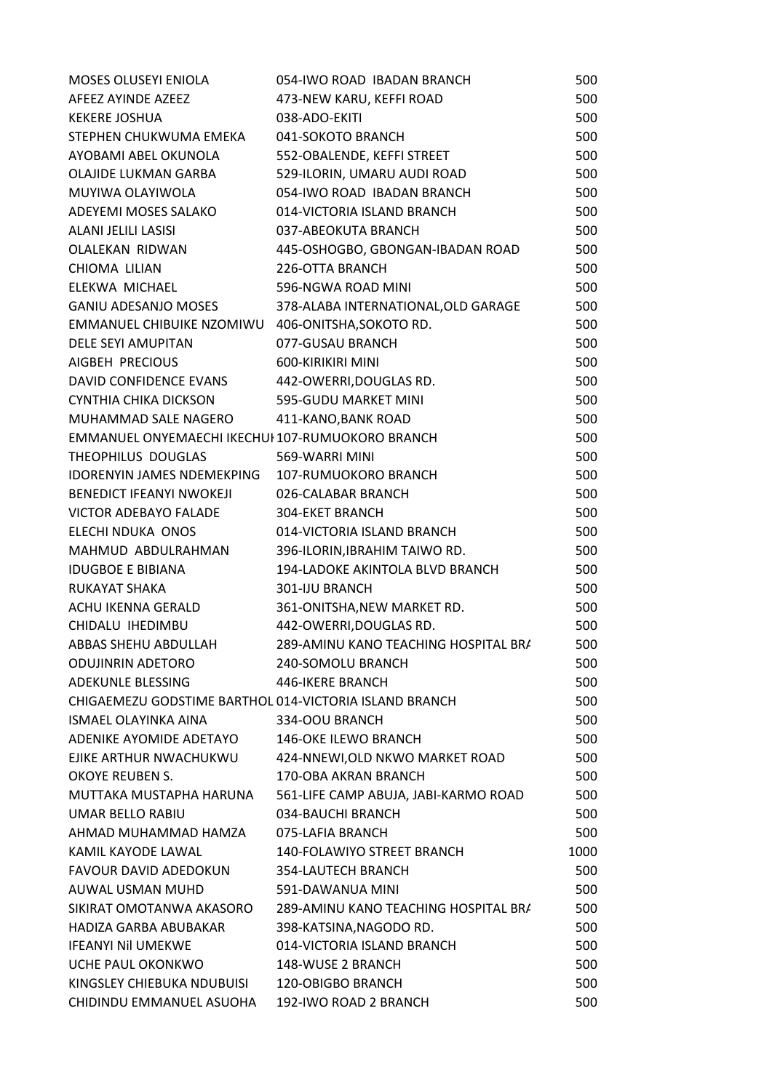| MOSES OLUSEYI ENIOLA                                   | 054-IWO ROAD IBADAN BRANCH           | 500  |
|--------------------------------------------------------|--------------------------------------|------|
| AFEEZ AYINDE AZEEZ                                     | 473-NEW KARU, KEFFI ROAD             | 500  |
| <b>KEKERE JOSHUA</b>                                   | 038-ADO-EKITI                        | 500  |
| STEPHEN CHUKWUMA EMEKA                                 | 041-SOKOTO BRANCH                    | 500  |
| AYOBAMI ABEL OKUNOLA                                   | 552-OBALENDE, KEFFI STREET           | 500  |
| OLAJIDE LUKMAN GARBA                                   | 529-ILORIN, UMARU AUDI ROAD          | 500  |
| MUYIWA OLAYIWOLA                                       | 054-IWO ROAD IBADAN BRANCH           | 500  |
| ADEYEMI MOSES SALAKO                                   | 014-VICTORIA ISLAND BRANCH           | 500  |
| <b>ALANI JELILI LASISI</b>                             | 037-ABEOKUTA BRANCH                  | 500  |
| OLALEKAN RIDWAN                                        | 445-OSHOGBO, GBONGAN-IBADAN ROAD     | 500  |
| CHIOMA LILIAN                                          | 226-OTTA BRANCH                      | 500  |
| ELEKWA MICHAEL                                         | 596-NGWA ROAD MINI                   | 500  |
| GANIU ADESANJO MOSES                                   | 378-ALABA INTERNATIONAL, OLD GARAGE  | 500  |
| EMMANUEL CHIBUIKE NZOMIWU                              | 406-ONITSHA, SOKOTO RD.              | 500  |
| <b>DELE SEYI AMUPITAN</b>                              | 077-GUSAU BRANCH                     | 500  |
| AIGBEH PRECIOUS                                        | 600-KIRIKIRI MINI                    | 500  |
| DAVID CONFIDENCE EVANS                                 | 442-OWERRI, DOUGLAS RD.              | 500  |
| <b>CYNTHIA CHIKA DICKSON</b>                           | 595-GUDU MARKET MINI                 | 500  |
| MUHAMMAD SALE NAGERO                                   | 411-KANO, BANK ROAD                  | 500  |
| EMMANUEL ONYEMAECHI IKECHUI 107-RUMUOKORO BRANCH       |                                      | 500  |
| THEOPHILUS DOUGLAS                                     | 569-WARRI MINI                       | 500  |
| IDORENYIN JAMES NDEMEKPING                             | 107-RUMUOKORO BRANCH                 | 500  |
| BENEDICT IFEANYI NWOKEJI                               | 026-CALABAR BRANCH                   | 500  |
| <b>VICTOR ADEBAYO FALADE</b>                           | 304-EKET BRANCH                      | 500  |
| ELECHI NDUKA ONOS                                      | 014-VICTORIA ISLAND BRANCH           | 500  |
| MAHMUD ABDULRAHMAN                                     | 396-ILORIN, IBRAHIM TAIWO RD.        | 500  |
| <b>IDUGBOE E BIBIANA</b>                               | 194-LADOKE AKINTOLA BLVD BRANCH      | 500  |
| <b>RUKAYAT SHAKA</b>                                   | 301-IJU BRANCH                       | 500  |
| ACHU IKENNA GERALD                                     | 361-ONITSHA, NEW MARKET RD.          | 500  |
| CHIDALU IHEDIMBU                                       | 442-OWERRI, DOUGLAS RD.              | 500  |
| ABBAS SHEHU ABDULLAH                                   | 289-AMINU KANO TEACHING HOSPITAL BRA | 500  |
| <b>ODUJINRIN ADETORO</b>                               | 240-SOMOLU BRANCH                    | 500  |
| ADEKUNLE BLESSING                                      | 446-IKERE BRANCH                     | 500  |
| CHIGAEMEZU GODSTIME BARTHOL 014-VICTORIA ISLAND BRANCH |                                      | 500  |
| <b>ISMAEL OLAYINKA AINA</b>                            | 334-OOU BRANCH                       | 500  |
| ADENIKE AYOMIDE ADETAYO                                | <b>146-OKE ILEWO BRANCH</b>          | 500  |
| EJIKE ARTHUR NWACHUKWU                                 | 424-NNEWI, OLD NKWO MARKET ROAD      | 500  |
| OKOYE REUBEN S.                                        | 170-OBA AKRAN BRANCH                 | 500  |
| MUTTAKA MUSTAPHA HARUNA                                | 561-LIFE CAMP ABUJA, JABI-KARMO ROAD | 500  |
| <b>UMAR BELLO RABIU</b>                                | 034-BAUCHI BRANCH                    | 500  |
| AHMAD MUHAMMAD HAMZA                                   | 075-LAFIA BRANCH                     | 500  |
| KAMIL KAYODE LAWAL                                     | 140-FOLAWIYO STREET BRANCH           | 1000 |
| FAVOUR DAVID ADEDOKUN                                  | 354-LAUTECH BRANCH                   | 500  |
| AUWAL USMAN MUHD                                       | 591-DAWANUA MINI                     | 500  |
| SIKIRAT OMOTANWA AKASORO                               | 289-AMINU KANO TEACHING HOSPITAL BRA | 500  |
| HADIZA GARBA ABUBAKAR                                  | 398-KATSINA, NAGODO RD.              | 500  |
| <b>IFEANYI NII UMEKWE</b>                              | 014-VICTORIA ISLAND BRANCH           | 500  |
| UCHE PAUL OKONKWO                                      | 148-WUSE 2 BRANCH                    | 500  |
| KINGSLEY CHIEBUKA NDUBUISI                             | 120-OBIGBO BRANCH                    | 500  |
| CHIDINDU EMMANUEL ASUOHA                               | 192-IWO ROAD 2 BRANCH                | 500  |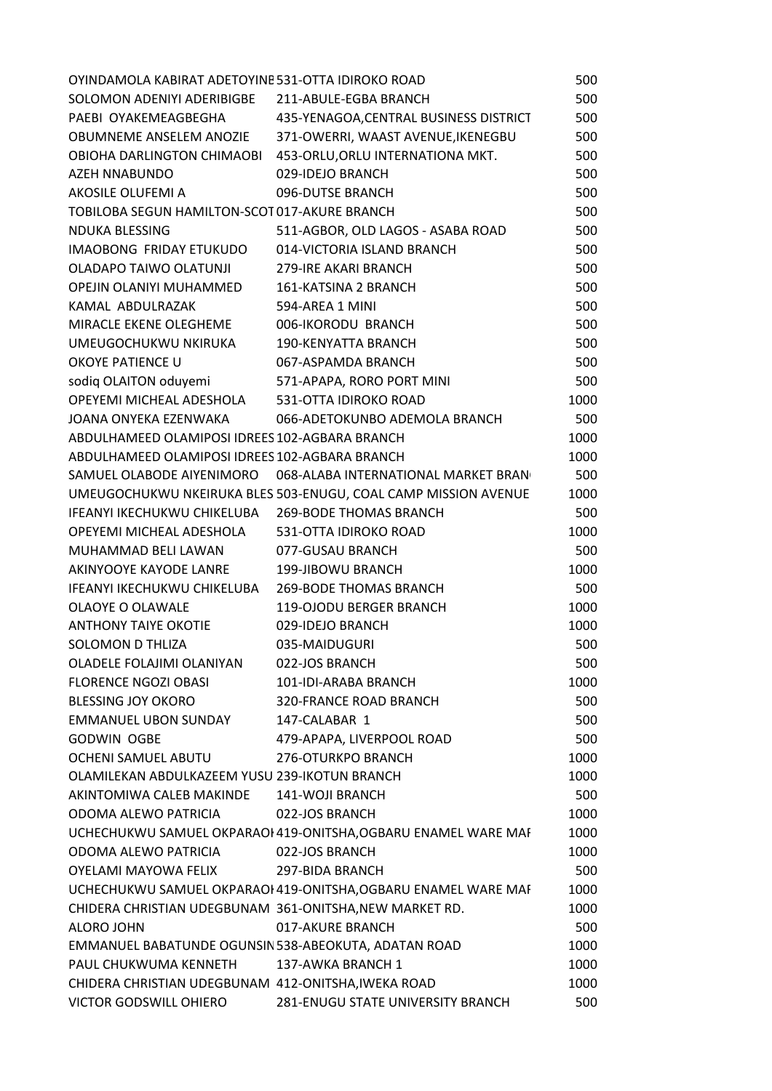| OYINDAMOLA KABIRAT ADETOYINE 531-OTTA IDIROKO ROAD      |                                                                | 500  |
|---------------------------------------------------------|----------------------------------------------------------------|------|
| SOLOMON ADENIYI ADERIBIGBE 211-ABULE-EGBA BRANCH        |                                                                | 500  |
|                                                         | PAEBI OYAKEMEAGBEGHA 435-YENAGOA, CENTRAL BUSINESS DISTRICT    | 500  |
| OBUMNEME ANSELEM ANOZIE                                 | 371-OWERRI, WAAST AVENUE, IKENEGBU                             | 500  |
| OBIOHA DARLINGTON CHIMAOBI                              | 453-ORLU, ORLU INTERNATIONA MKT.                               | 500  |
| AZEH NNABUNDO                                           | 029-IDEJO BRANCH                                               | 500  |
| AKOSILE OLUFEMI A                                       | 096-DUTSE BRANCH                                               | 500  |
| TOBILOBA SEGUN HAMILTON-SCOT 017-AKURE BRANCH           |                                                                | 500  |
| <b>NDUKA BLESSING</b>                                   | 511-AGBOR, OLD LAGOS - ASABA ROAD                              | 500  |
| IMAOBONG FRIDAY ETUKUDO                                 | 014-VICTORIA ISLAND BRANCH                                     | 500  |
| OLADAPO TAIWO OLATUNJI                                  | 279-IRE AKARI BRANCH                                           | 500  |
| OPEJIN OLANIYI MUHAMMED                                 | 161-KATSINA 2 BRANCH                                           | 500  |
| KAMAL ABDULRAZAK                                        | 594-AREA 1 MINI                                                | 500  |
| MIRACLE EKENE OLEGHEME                                  | 006-IKORODU BRANCH                                             | 500  |
| UMEUGOCHUKWU NKIRUKA                                    | <b>190-KENYATTA BRANCH</b>                                     | 500  |
| OKOYE PATIENCE U                                        | 067-ASPAMDA BRANCH                                             | 500  |
| sodiq OLAITON oduyemi                                   | 571-APAPA, RORO PORT MINI                                      | 500  |
| OPEYEMI MICHEAL ADESHOLA                                | 531-OTTA IDIROKO ROAD                                          | 1000 |
| JOANA ONYEKA EZENWAKA                                   | 066-ADETOKUNBO ADEMOLA BRANCH                                  | 500  |
| ABDULHAMEED OLAMIPOSI IDREES 102-AGBARA BRANCH          |                                                                | 1000 |
| ABDULHAMEED OLAMIPOSI IDREES 102-AGBARA BRANCH          |                                                                | 1000 |
|                                                         | SAMUEL OLABODE AIYENIMORO 068-ALABA INTERNATIONAL MARKET BRAN  | 500  |
|                                                         | UMEUGOCHUKWU NKEIRUKA BLES 503-ENUGU, COAL CAMP MISSION AVENUE | 1000 |
| IFEANYI IKECHUKWU CHIKELUBA                             | <b>269-BODE THOMAS BRANCH</b>                                  | 500  |
| OPEYEMI MICHEAL ADESHOLA                                | 531-OTTA IDIROKO ROAD                                          | 1000 |
| MUHAMMAD BELI LAWAN                                     | 077-GUSAU BRANCH                                               | 500  |
| AKINYOOYE KAYODE LANRE                                  | 199-JIBOWU BRANCH                                              | 1000 |
| IFEANYI IKECHUKWU CHIKELUBA 269-BODE THOMAS BRANCH      |                                                                | 500  |
| OLAOYE O OLAWALE                                        | 119-OJODU BERGER BRANCH                                        | 1000 |
| ANTHONY TAIYE OKOTIE                                    | 029-IDEJO BRANCH                                               | 1000 |
| <b>SOLOMON D THLIZA</b>                                 | 035-MAIDUGURI                                                  | 500  |
| OLADELE FOLAJIMI OLANIYAN                               | 022-JOS BRANCH                                                 | 500  |
| <b>FLORENCE NGOZI OBASI</b>                             | 101-IDI-ARABA BRANCH                                           | 1000 |
| <b>BLESSING JOY OKORO</b>                               | <b>320-FRANCE ROAD BRANCH</b>                                  | 500  |
| EMMANUEL UBON SUNDAY                                    | 147-CALABAR 1                                                  | 500  |
| <b>GODWIN OGBE</b>                                      | 479-APAPA, LIVERPOOL ROAD                                      | 500  |
| OCHENI SAMUEL ABUTU                                     | 276-OTURKPO BRANCH                                             | 1000 |
| OLAMILEKAN ABDULKAZEEM YUSU 239-IKOTUN BRANCH           |                                                                | 1000 |
| AKINTOMIWA CALEB MAKINDE 141-WOJI BRANCH                |                                                                | 500  |
| ODOMA ALEWO PATRICIA                                    | 022-JOS BRANCH                                                 | 1000 |
|                                                         | UCHECHUKWU SAMUEL OKPARAOI 419-ONITSHA, OGBARU ENAMEL WARE MAF | 1000 |
| ODOMA ALEWO PATRICIA                                    | 022-JOS BRANCH                                                 | 1000 |
| OYELAMI MAYOWA FELIX                                    | 297-BIDA BRANCH                                                | 500  |
|                                                         | UCHECHUKWU SAMUEL OKPARAOI 419-ONITSHA, OGBARU ENAMEL WARE MAF | 1000 |
| CHIDERA CHRISTIAN UDEGBUNAM 361-ONITSHA, NEW MARKET RD. |                                                                | 1000 |
| ALORO JOHN                                              | 017-AKURE BRANCH                                               | 500  |
| EMMANUEL BABATUNDE OGUNSIN 538-ABEOKUTA, ADATAN ROAD    |                                                                | 1000 |
| PAUL CHUKWUMA KENNETH                                   | 137-AWKA BRANCH 1                                              | 1000 |
| CHIDERA CHRISTIAN UDEGBUNAM 412-ONITSHA, IWEKA ROAD     |                                                                | 1000 |
| VICTOR GODSWILL OHIERO                                  | 281-ENUGU STATE UNIVERSITY BRANCH                              | 500  |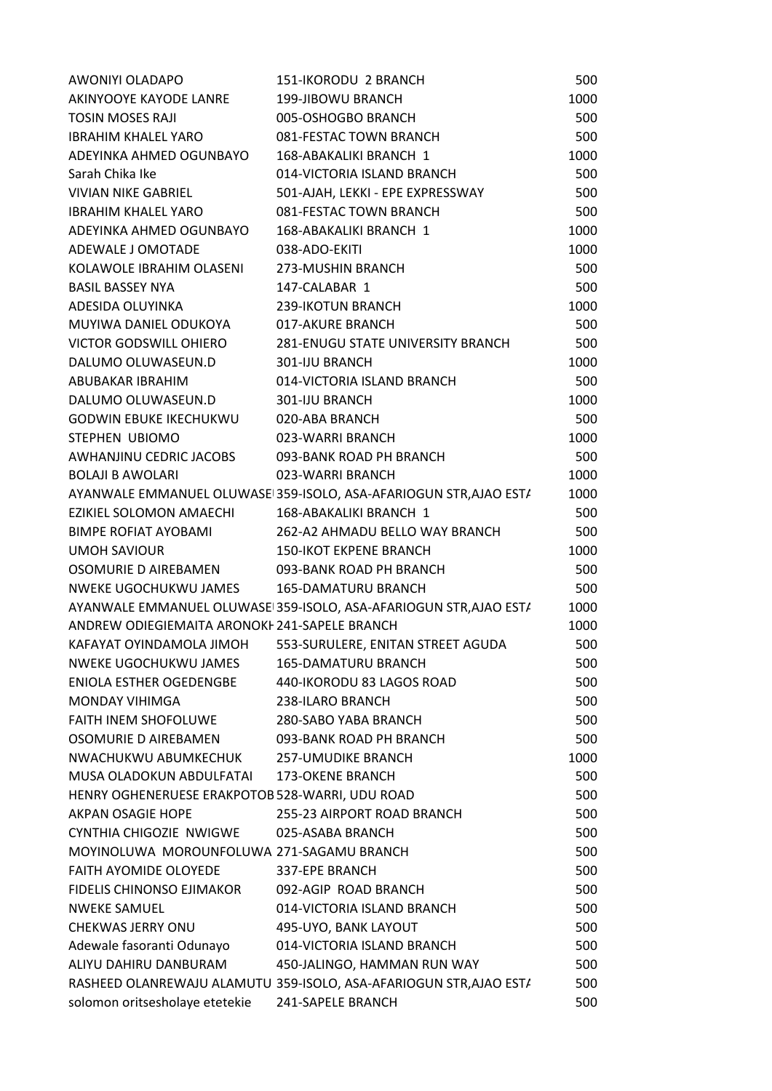| AWONIYI OLADAPO                                 | 151-IKORODU 2 BRANCH                                               | 500  |
|-------------------------------------------------|--------------------------------------------------------------------|------|
| AKINYOOYE KAYODE LANRE                          | 199-JIBOWU BRANCH                                                  | 1000 |
| <b>TOSIN MOSES RAJI</b>                         | 005-OSHOGBO BRANCH                                                 | 500  |
| <b>IBRAHIM KHALEL YARO</b>                      | 081-FESTAC TOWN BRANCH                                             | 500  |
| ADEYINKA AHMED OGUNBAYO                         | 168-ABAKALIKI BRANCH 1                                             | 1000 |
| Sarah Chika Ike                                 | 014-VICTORIA ISLAND BRANCH                                         | 500  |
| VIVIAN NIKE GABRIEL                             | 501-AJAH, LEKKI - EPE EXPRESSWAY                                   | 500  |
| <b>IBRAHIM KHALEL YARO</b>                      | 081-FESTAC TOWN BRANCH                                             | 500  |
| ADEYINKA AHMED OGUNBAYO                         | 168-ABAKALIKI BRANCH 1                                             | 1000 |
| ADEWALE J OMOTADE                               | 038-ADO-EKITI                                                      | 1000 |
| KOLAWOLE IBRAHIM OLASENI                        | 273-MUSHIN BRANCH                                                  | 500  |
| <b>BASIL BASSEY NYA</b>                         | 147-CALABAR 1                                                      | 500  |
| ADESIDA OLUYINKA                                | 239-IKOTUN BRANCH                                                  | 1000 |
| MUYIWA DANIEL ODUKOYA                           | 017-AKURE BRANCH                                                   | 500  |
| VICTOR GODSWILL OHIERO                          | <b>281-ENUGU STATE UNIVERSITY BRANCH</b>                           | 500  |
| DALUMO OLUWASEUN.D                              | 301-IJU BRANCH                                                     | 1000 |
| ABUBAKAR IBRAHIM                                | 014-VICTORIA ISLAND BRANCH                                         | 500  |
| DALUMO OLUWASEUN.D                              | 301-IJU BRANCH                                                     | 1000 |
| <b>GODWIN EBUKE IKECHUKWU</b>                   | 020-ABA BRANCH                                                     | 500  |
| STEPHEN UBIOMO                                  | 023-WARRI BRANCH                                                   | 1000 |
| AWHANJINU CEDRIC JACOBS                         | 093-BANK ROAD PH BRANCH                                            | 500  |
| <b>BOLAJI B AWOLARI</b>                         | 023-WARRI BRANCH                                                   | 1000 |
|                                                 | AYANWALE EMMANUEL OLUWASE 359-ISOLO, ASA-AFARIOGUN STR, AJAO ESTA  | 1000 |
| EZIKIEL SOLOMON AMAECHI                         | 168-ABAKALIKI BRANCH 1                                             | 500  |
| BIMPE ROFIAT AYOBAMI                            | 262-A2 AHMADU BELLO WAY BRANCH                                     | 500  |
| <b>UMOH SAVIOUR</b>                             | <b>150-IKOT EKPENE BRANCH</b>                                      | 1000 |
| OSOMURIE D AIREBAMEN                            | 093-BANK ROAD PH BRANCH                                            | 500  |
| NWEKE UGOCHUKWU JAMES                           | <b>165-DAMATURU BRANCH</b>                                         | 500  |
|                                                 | AYANWALE EMMANUEL OLUWASE 359-ISOLO, ASA-AFARIOGUN STR, AJAO ESTA  | 1000 |
| ANDREW ODIEGIEMAITA ARONOKI 241-SAPELE BRANCH   |                                                                    | 1000 |
| KAFAYAT OYINDAMOLA JIMOH                        | 553-SURULERE, ENITAN STREET AGUDA                                  | 500  |
| <b>NWEKE UGOCHUKWU JAMES</b>                    | <b>165-DAMATURU BRANCH</b>                                         | 500  |
| ENIOLA ESTHER OGEDENGBE                         | 440-IKORODU 83 LAGOS ROAD                                          | 500  |
| MONDAY VIHIMGA                                  | 238-ILARO BRANCH                                                   | 500  |
| <b>FAITH INEM SHOFOLUWE</b>                     | 280-SABO YABA BRANCH                                               | 500  |
| OSOMURIE D AIREBAMEN                            | 093-BANK ROAD PH BRANCH                                            | 500  |
| NWACHUKWU ABUMKECHUK                            | <b>257-UMUDIKE BRANCH</b>                                          | 1000 |
| MUSA OLADOKUN ABDULFATAI                        | <b>173-OKENE BRANCH</b>                                            | 500  |
| HENRY OGHENERUESE ERAKPOTOB 528-WARRI, UDU ROAD |                                                                    | 500  |
| AKPAN OSAGIE HOPE                               | 255-23 AIRPORT ROAD BRANCH                                         | 500  |
| CYNTHIA CHIGOZIE NWIGWE                         | 025-ASABA BRANCH                                                   | 500  |
| MOYINOLUWA MOROUNFOLUWA 271-SAGAMU BRANCH       |                                                                    | 500  |
| <b>FAITH AYOMIDE OLOYEDE</b>                    | 337-EPE BRANCH                                                     | 500  |
| FIDELIS CHINONSO EJIMAKOR                       | 092-AGIP ROAD BRANCH                                               | 500  |
| <b>NWEKE SAMUEL</b>                             | 014-VICTORIA ISLAND BRANCH                                         | 500  |
| <b>CHEKWAS JERRY ONU</b>                        | 495-UYO, BANK LAYOUT                                               | 500  |
| Adewale fasoranti Odunayo                       | 014-VICTORIA ISLAND BRANCH                                         | 500  |
| ALIYU DAHIRU DANBURAM                           | 450-JALINGO, HAMMAN RUN WAY                                        | 500  |
|                                                 | RASHEED OLANREWAJU ALAMUTU 359-ISOLO, ASA-AFARIOGUN STR, AJAO ESTA | 500  |
| solomon oritsesholaye etetekie                  | 241-SAPELE BRANCH                                                  | 500  |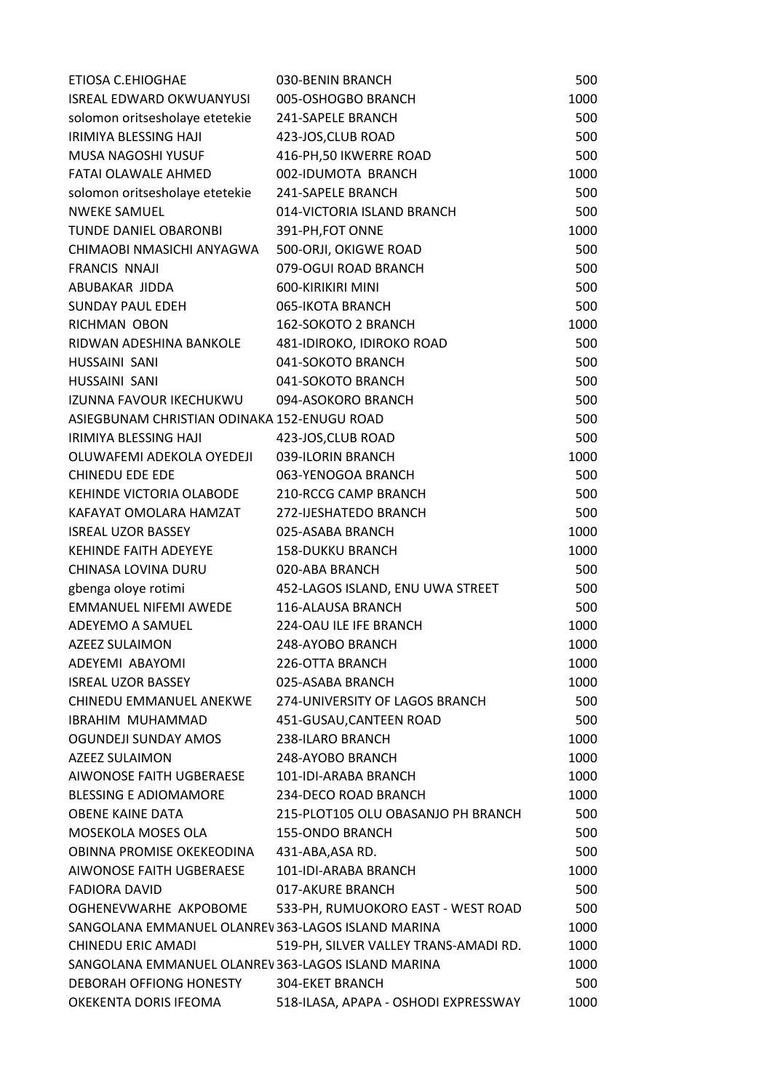| ETIOSA C.EHIOGHAE                                 | 030-BENIN BRANCH                      | 500  |
|---------------------------------------------------|---------------------------------------|------|
| ISREAL EDWARD OKWUANYUSI                          | 005-OSHOGBO BRANCH                    | 1000 |
| solomon oritsesholaye etetekie                    | 241-SAPELE BRANCH                     | 500  |
| IRIMIYA BLESSING HAJI                             | 423-JOS, CLUB ROAD                    | 500  |
| MUSA NAGOSHI YUSUF                                | 416-PH, 50 IKWERRE ROAD               | 500  |
| FATAI OLAWALE AHMED                               | 002-IDUMOTA BRANCH                    | 1000 |
| solomon oritsesholaye etetekie                    | 241-SAPELE BRANCH                     | 500  |
| <b>NWEKE SAMUEL</b>                               | 014-VICTORIA ISLAND BRANCH            | 500  |
| TUNDE DANIEL OBARONBI                             | 391-PH, FOT ONNE                      | 1000 |
| CHIMAOBI NMASICHI ANYAGWA                         | 500-ORJI, OKIGWE ROAD                 | 500  |
| <b>FRANCIS NNAJI</b>                              | 079-OGUI ROAD BRANCH                  | 500  |
| ABUBAKAR JIDDA                                    | 600-KIRIKIRI MINI                     | 500  |
| <b>SUNDAY PAUL EDEH</b>                           | 065-IKOTA BRANCH                      | 500  |
| <b>RICHMAN OBON</b>                               | 162-SOKOTO 2 BRANCH                   | 1000 |
| RIDWAN ADESHINA BANKOLE                           | 481-IDIROKO, IDIROKO ROAD             | 500  |
| HUSSAINI SANI                                     | 041-SOKOTO BRANCH                     | 500  |
| HUSSAINI SANI                                     | 041-SOKOTO BRANCH                     | 500  |
| IZUNNA FAVOUR IKECHUKWU                           | 094-ASOKORO BRANCH                    | 500  |
| ASIEGBUNAM CHRISTIAN ODINAKA 152-ENUGU ROAD       |                                       | 500  |
| <b>IRIMIYA BLESSING HAJI</b>                      | 423-JOS, CLUB ROAD                    | 500  |
| OLUWAFEMI ADEKOLA OYEDEJI                         | 039-ILORIN BRANCH                     | 1000 |
| <b>CHINEDU EDE EDE</b>                            | 063-YENOGOA BRANCH                    | 500  |
| KEHINDE VICTORIA OLABODE                          | 210-RCCG CAMP BRANCH                  | 500  |
| KAFAYAT OMOLARA HAMZAT                            | 272-IJESHATEDO BRANCH                 | 500  |
| <b>ISREAL UZOR BASSEY</b>                         | 025-ASABA BRANCH                      | 1000 |
| KEHINDE FAITH ADEYEYE                             | <b>158-DUKKU BRANCH</b>               | 1000 |
| CHINASA LOVINA DURU                               | 020-ABA BRANCH                        | 500  |
| gbenga oloye rotimi                               | 452-LAGOS ISLAND, ENU UWA STREET      | 500  |
| EMMANUEL NIFEMI AWEDE                             | 116-ALAUSA BRANCH                     | 500  |
| ADEYEMO A SAMUEL                                  | 224-OAU ILE IFE BRANCH                | 1000 |
| <b>AZEEZ SULAIMON</b>                             | 248-AYOBO BRANCH                      | 1000 |
| ADEYEMI ABAYOMI                                   | 226-OTTA BRANCH                       | 1000 |
| <b>ISREAL UZOR BASSEY</b>                         | 025-ASABA BRANCH                      | 1000 |
| CHINEDU EMMANUEL ANEKWE                           | 274-UNIVERSITY OF LAGOS BRANCH        | 500  |
| IBRAHIM MUHAMMAD                                  | 451-GUSAU, CANTEEN ROAD               | 500  |
| OGUNDEJI SUNDAY AMOS                              | 238-ILARO BRANCH                      | 1000 |
| AZEEZ SULAIMON                                    | 248-AYOBO BRANCH                      | 1000 |
| AIWONOSE FAITH UGBERAESE                          | 101-IDI-ARABA BRANCH                  | 1000 |
| <b>BLESSING E ADIOMAMORE</b>                      | 234-DECO ROAD BRANCH                  | 1000 |
| <b>OBENE KAINE DATA</b>                           | 215-PLOT105 OLU OBASANJO PH BRANCH    | 500  |
| MOSEKOLA MOSES OLA                                | <b>155-ONDO BRANCH</b>                | 500  |
| OBINNA PROMISE OKEKEODINA 431-ABA, ASA RD.        |                                       | 500  |
| AIWONOSE FAITH UGBERAESE                          | 101-IDI-ARABA BRANCH                  | 1000 |
| <b>FADIORA DAVID</b>                              | 017-AKURE BRANCH                      | 500  |
| OGHENEVWARHE AKPOBOME                             | 533-PH, RUMUOKORO EAST - WEST ROAD    | 500  |
| SANGOLANA EMMANUEL OLANREV363-LAGOS ISLAND MARINA |                                       | 1000 |
| CHINEDU ERIC AMADI                                | 519-PH, SILVER VALLEY TRANS-AMADI RD. | 1000 |
| SANGOLANA EMMANUEL OLANREV363-LAGOS ISLAND MARINA |                                       | 1000 |
| DEBORAH OFFIONG HONESTY                           | <b>304-EKET BRANCH</b>                | 500  |
| OKEKENTA DORIS IFEOMA                             | 518-ILASA, APAPA - OSHODI EXPRESSWAY  | 1000 |
|                                                   |                                       |      |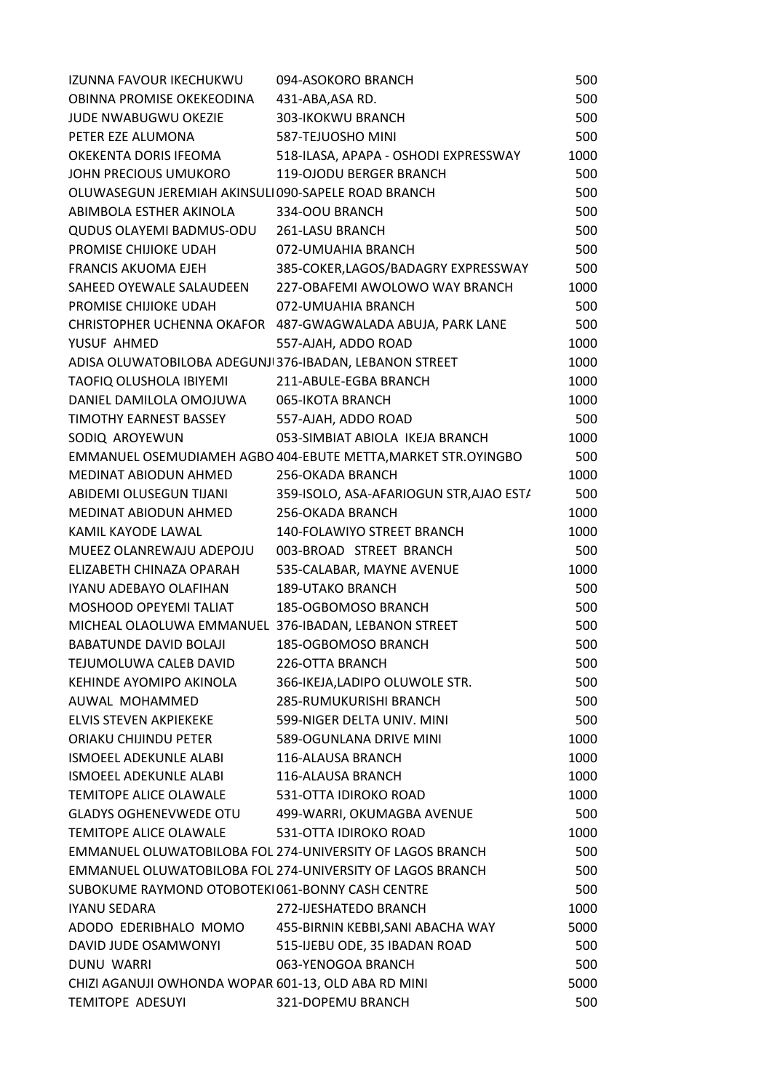| IZUNNA FAVOUR IKECHUKWU                                 | 094-ASOKORO BRANCH                                             | 500  |
|---------------------------------------------------------|----------------------------------------------------------------|------|
| OBINNA PROMISE OKEKEODINA                               | 431-ABA, ASA RD.                                               | 500  |
| <b>JUDE NWABUGWU OKEZIE</b>                             | 303-IKOKWU BRANCH                                              | 500  |
| PETER EZE ALUMONA                                       | 587-TEJUOSHO MINI                                              | 500  |
| OKEKENTA DORIS IFEOMA                                   | 518-ILASA, APAPA - OSHODI EXPRESSWAY                           | 1000 |
| JOHN PRECIOUS UMUKORO                                   | 119-OJODU BERGER BRANCH                                        | 500  |
| OLUWASEGUN JEREMIAH AKINSULI 090-SAPELE ROAD BRANCH     |                                                                | 500  |
| ABIMBOLA ESTHER AKINOLA                                 | 334-OOU BRANCH                                                 | 500  |
| QUDUS OLAYEMI BADMUS-ODU 261-LASU BRANCH                |                                                                | 500  |
| PROMISE CHIJIOKE UDAH                                   | 072-UMUAHIA BRANCH                                             | 500  |
| <b>FRANCIS AKUOMA EJEH</b>                              | 385-COKER, LAGOS/BADAGRY EXPRESSWAY                            | 500  |
| SAHEED OYEWALE SALAUDEEN                                | 227-OBAFEMI AWOLOWO WAY BRANCH                                 | 1000 |
| PROMISE CHIJIOKE UDAH                                   | 072-UMUAHIA BRANCH                                             | 500  |
|                                                         | CHRISTOPHER UCHENNA OKAFOR 487-GWAGWALADA ABUJA, PARK LANE     | 500  |
| YUSUF AHMED                                             | 557-AJAH, ADDO ROAD                                            | 1000 |
| ADISA OLUWATOBILOBA ADEGUNJI 376-IBADAN, LEBANON STREET |                                                                | 1000 |
| TAOFIQ OLUSHOLA IBIYEMI                                 | 211-ABULE-EGBA BRANCH                                          | 1000 |
| DANIEL DAMILOLA OMOJUWA                                 | 065-IKOTA BRANCH                                               | 1000 |
| TIMOTHY EARNEST BASSEY                                  | 557-AJAH, ADDO ROAD                                            | 500  |
| SODIQ AROYEWUN                                          | 053-SIMBIAT ABIOLA IKEJA BRANCH                                | 1000 |
|                                                         | EMMANUEL OSEMUDIAMEH AGBO 404-EBUTE METTA, MARKET STR. OYINGBO | 500  |
| <b>MEDINAT ABIODUN AHMED</b>                            | 256-OKADA BRANCH                                               | 1000 |
| ABIDEMI OLUSEGUN TIJANI                                 | 359-ISOLO, ASA-AFARIOGUN STR, AJAO EST/                        | 500  |
| <b>MEDINAT ABIODUN AHMED</b>                            | 256-OKADA BRANCH                                               | 1000 |
| KAMIL KAYODE LAWAL                                      | 140-FOLAWIYO STREET BRANCH                                     | 1000 |
| MUEEZ OLANREWAJU ADEPOJU                                | 003-BROAD STREET BRANCH                                        | 500  |
| ELIZABETH CHINAZA OPARAH                                | 535-CALABAR, MAYNE AVENUE                                      | 1000 |
| IYANU ADEBAYO OLAFIHAN                                  | <b>189-UTAKO BRANCH</b>                                        | 500  |
| MOSHOOD OPEYEMI TALIAT                                  | 185-OGBOMOSO BRANCH                                            | 500  |
| MICHEAL OLAOLUWA EMMANUEL 376-IBADAN, LEBANON STREET    |                                                                | 500  |
| <b>BABATUNDE DAVID BOLAJI</b>                           | 185-OGBOMOSO BRANCH                                            | 500  |
| TEJUMOLUWA CALEB DAVID                                  | 226-OTTA BRANCH                                                | 500  |
| KEHINDE AYOMIPO AKINOLA                                 | 366-IKEJA,LADIPO OLUWOLE STR.                                  | 500  |
| AUWAL MOHAMMED                                          | 285-RUMUKURISHI BRANCH                                         | 500  |
| ELVIS STEVEN AKPIEKEKE                                  | 599-NIGER DELTA UNIV. MINI                                     | 500  |
| ORIAKU CHIJINDU PETER                                   | 589-OGUNLANA DRIVE MINI                                        | 1000 |
| <b>ISMOEEL ADEKUNLE ALABI</b>                           | 116-ALAUSA BRANCH                                              | 1000 |
| <b>ISMOEEL ADEKUNLE ALABI</b>                           | 116-ALAUSA BRANCH                                              | 1000 |
| TEMITOPE ALICE OLAWALE                                  | 531-OTTA IDIROKO ROAD                                          | 1000 |
| <b>GLADYS OGHENEVWEDE OTU</b>                           | 499-WARRI, OKUMAGBA AVENUE                                     | 500  |
| TEMITOPE ALICE OLAWALE                                  | 531-OTTA IDIROKO ROAD                                          | 1000 |
|                                                         | EMMANUEL OLUWATOBILOBA FOL 274-UNIVERSITY OF LAGOS BRANCH      | 500  |
|                                                         | EMMANUEL OLUWATOBILOBA FOL 274-UNIVERSITY OF LAGOS BRANCH      | 500  |
| SUBOKUME RAYMOND OTOBOTEKI061-BONNY CASH CENTRE         |                                                                | 500  |
| IYANU SEDARA                                            | 272-IJESHATEDO BRANCH                                          | 1000 |
| ADODO EDERIBHALO MOMO                                   | 455-BIRNIN KEBBI, SANI ABACHA WAY                              | 5000 |
| DAVID JUDE OSAMWONYI                                    | 515-IJEBU ODE, 35 IBADAN ROAD                                  | 500  |
| DUNU WARRI                                              | 063-YENOGOA BRANCH                                             | 500  |
| CHIZI AGANUJI OWHONDA WOPAR 601-13, OLD ABA RD MINI     |                                                                | 5000 |
|                                                         |                                                                |      |
| TEMITOPE ADESUYI                                        | 321-DOPEMU BRANCH                                              | 500  |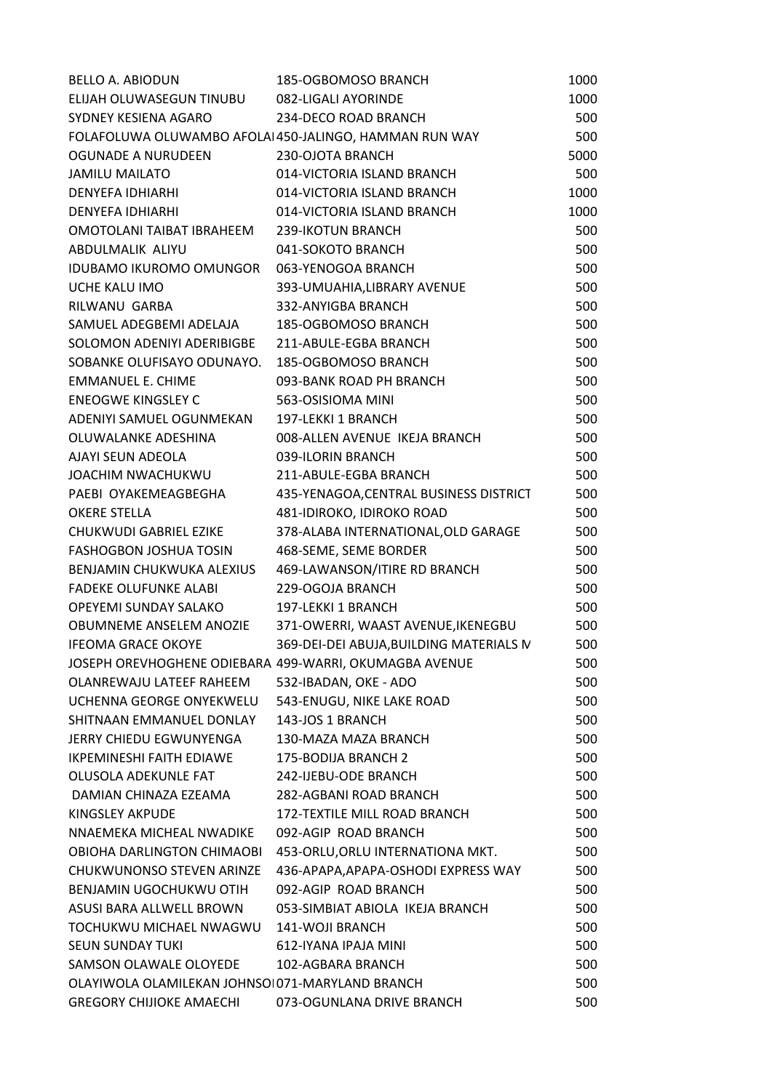| <b>BELLO A. ABIODUN</b>                                | 185-OGBOMOSO BRANCH                                    | 1000 |
|--------------------------------------------------------|--------------------------------------------------------|------|
| ELIJAH OLUWASEGUN TINUBU                               | 082-LIGALI AYORINDE                                    | 1000 |
| SYDNEY KESIENA AGARO                                   | 234-DECO ROAD BRANCH                                   | 500  |
|                                                        | FOLAFOLUWA OLUWAMBO AFOLAI 450-JALINGO, HAMMAN RUN WAY | 500  |
| OGUNADE A NURUDEEN                                     | 230-OJOTA BRANCH                                       | 5000 |
| <b>JAMILU MAILATO</b>                                  | 014-VICTORIA ISLAND BRANCH                             | 500  |
| DENYEFA IDHIARHI                                       | 014-VICTORIA ISLAND BRANCH                             | 1000 |
| <b>DENYEFA IDHIARHI</b>                                | 014-VICTORIA ISLAND BRANCH                             | 1000 |
| OMOTOLANI TAIBAT IBRAHEEM                              | 239-IKOTUN BRANCH                                      | 500  |
| ABDULMALIK ALIYU                                       | 041-SOKOTO BRANCH                                      | 500  |
| IDUBAMO IKUROMO OMUNGOR                                | 063-YENOGOA BRANCH                                     | 500  |
| UCHE KALU IMO                                          | 393-UMUAHIA, LIBRARY AVENUE                            | 500  |
| RILWANU GARBA                                          | 332-ANYIGBA BRANCH                                     | 500  |
| SAMUEL ADEGBEMI ADELAJA                                | 185-OGBOMOSO BRANCH                                    | 500  |
| SOLOMON ADENIYI ADERIBIGBE                             | 211-ABULE-EGBA BRANCH                                  | 500  |
| SOBANKE OLUFISAYO ODUNAYO.                             | 185-OGBOMOSO BRANCH                                    | 500  |
| EMMANUEL E. CHIME                                      | 093-BANK ROAD PH BRANCH                                | 500  |
| <b>ENEOGWE KINGSLEY C</b>                              | 563-OSISIOMA MINI                                      | 500  |
| ADENIYI SAMUEL OGUNMEKAN                               | 197-LEKKI 1 BRANCH                                     | 500  |
| OLUWALANKE ADESHINA                                    | 008-ALLEN AVENUE IKEJA BRANCH                          | 500  |
| AJAYI SEUN ADEOLA                                      | 039-ILORIN BRANCH                                      | 500  |
| JOACHIM NWACHUKWU                                      | 211-ABULE-EGBA BRANCH                                  | 500  |
| PAEBI OYAKEMEAGBEGHA                                   | 435-YENAGOA, CENTRAL BUSINESS DISTRICT                 | 500  |
| <b>OKERE STELLA</b>                                    | 481-IDIROKO, IDIROKO ROAD                              | 500  |
| <b>CHUKWUDI GABRIEL EZIKE</b>                          | 378-ALABA INTERNATIONAL, OLD GARAGE                    | 500  |
| <b>FASHOGBON JOSHUA TOSIN</b>                          | 468-SEME, SEME BORDER                                  | 500  |
| BENJAMIN CHUKWUKA ALEXIUS                              | 469-LAWANSON/ITIRE RD BRANCH                           | 500  |
| <b>FADEKE OLUFUNKE ALABI</b>                           | 229-OGOJA BRANCH                                       | 500  |
| OPEYEMI SUNDAY SALAKO                                  | 197-LEKKI 1 BRANCH                                     | 500  |
| <b>OBUMNEME ANSELEM ANOZIE</b>                         | 371-OWERRI, WAAST AVENUE, IKENEGBU                     | 500  |
| <b>IFEOMA GRACE OKOYE</b>                              | 369-DEI-DEI ABUJA, BUILDING MATERIALS IV               | 500  |
| JOSEPH OREVHOGHENE ODIEBARA 499-WARRI, OKUMAGBA AVENUE |                                                        | 500  |
| OLANREWAJU LATEEF RAHEEM                               | 532-IBADAN, OKE - ADO                                  | 500  |
| UCHENNA GEORGE ONYEKWELU                               | 543-ENUGU, NIKE LAKE ROAD                              | 500  |
| SHITNAAN EMMANUEL DONLAY                               | 143-JOS 1 BRANCH                                       | 500  |
| JERRY CHIEDU EGWUNYENGA                                | 130-MAZA MAZA BRANCH                                   | 500  |
| <b>IKPEMINESHI FAITH EDIAWE</b>                        | 175-BODIJA BRANCH 2                                    | 500  |
| OLUSOLA ADEKUNLE FAT                                   | 242-IJEBU-ODE BRANCH                                   | 500  |
| DAMIAN CHINAZA EZEAMA                                  | 282-AGBANI ROAD BRANCH                                 | 500  |
| KINGSLEY AKPUDE                                        | <b>172-TEXTILE MILL ROAD BRANCH</b>                    | 500  |
| NNAEMEKA MICHEAL NWADIKE                               | 092-AGIP ROAD BRANCH                                   | 500  |
| OBIOHA DARLINGTON CHIMAOBI                             | 453-ORLU, ORLU INTERNATIONA MKT.                       | 500  |
| CHUKWUNONSO STEVEN ARINZE                              | 436-APAPA, APAPA-OSHODI EXPRESS WAY                    | 500  |
| BENJAMIN UGOCHUKWU OTIH                                | 092-AGIP ROAD BRANCH                                   | 500  |
| ASUSI BARA ALLWELL BROWN                               | 053-SIMBIAT ABIOLA IKEJA BRANCH                        | 500  |
| TOCHUKWU MICHAEL NWAGWU                                | 141-WOJI BRANCH                                        | 500  |
| <b>SEUN SUNDAY TUKI</b>                                | 612-IYANA IPAJA MINI                                   | 500  |
| SAMSON OLAWALE OLOYEDE                                 | 102-AGBARA BRANCH                                      | 500  |
| OLAYIWOLA OLAMILEKAN JOHNSOI 071-MARYLAND BRANCH       |                                                        | 500  |
| <b>GREGORY CHIJIOKE AMAECHI</b>                        | 073-OGUNLANA DRIVE BRANCH                              | 500  |
|                                                        |                                                        |      |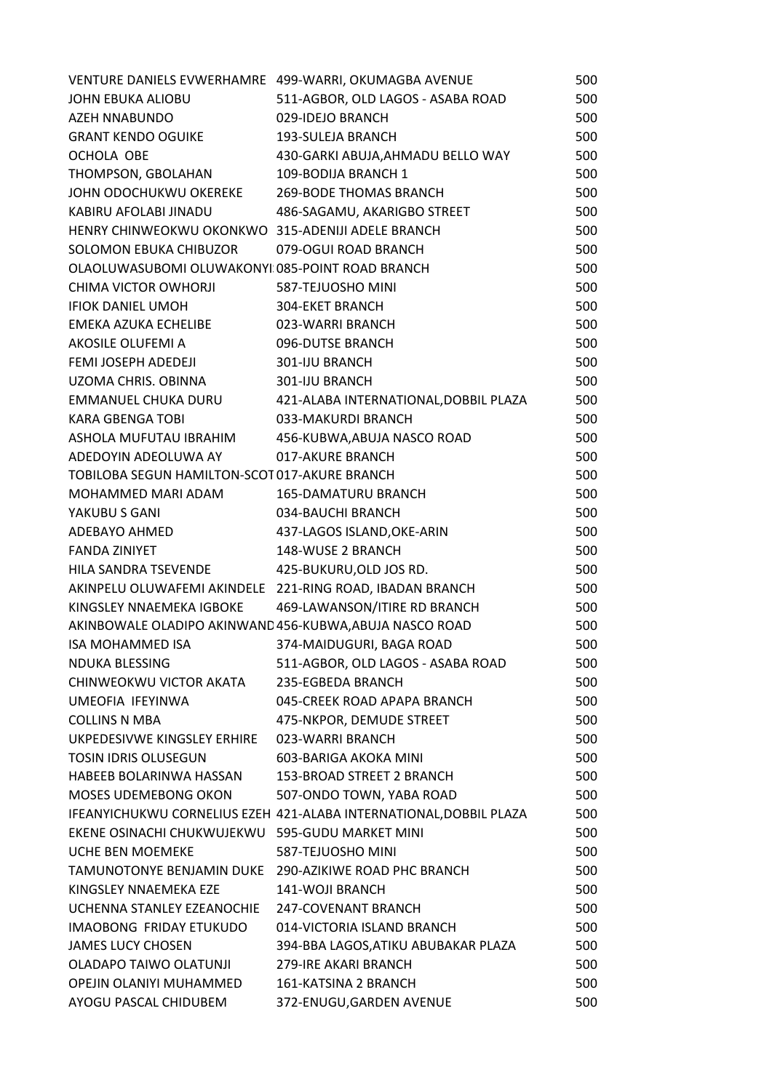| VENTURE DANIELS EVWERHAMRE 499-WARRI, OKUMAGBA AVENUE    |                                                                    | 500 |
|----------------------------------------------------------|--------------------------------------------------------------------|-----|
| JOHN EBUKA ALIOBU                                        | 511-AGBOR, OLD LAGOS - ASABA ROAD                                  | 500 |
| AZEH NNABUNDO                                            | 029-IDEJO BRANCH                                                   | 500 |
| <b>GRANT KENDO OGUIKE</b>                                | 193-SULEJA BRANCH                                                  | 500 |
| OCHOLA OBE                                               | 430-GARKI ABUJA, AHMADU BELLO WAY                                  | 500 |
| THOMPSON, GBOLAHAN                                       | 109-BODIJA BRANCH 1                                                | 500 |
| JOHN ODOCHUKWU OKEREKE                                   | 269-BODE THOMAS BRANCH                                             | 500 |
| KABIRU AFOLABI JINADU                                    | 486-SAGAMU, AKARIGBO STREET                                        | 500 |
| HENRY CHINWEOKWU OKONKWO 315-ADENIJI ADELE BRANCH        |                                                                    | 500 |
| SOLOMON EBUKA CHIBUZOR                                   | 079-OGUI ROAD BRANCH                                               | 500 |
| OLAOLUWASUBOMI OLUWAKONYI 085-POINT ROAD BRANCH          |                                                                    | 500 |
| CHIMA VICTOR OWHORJI                                     | 587-TEJUOSHO MINI                                                  | 500 |
| <b>IFIOK DANIEL UMOH</b>                                 | <b>304-EKET BRANCH</b>                                             | 500 |
| EMEKA AZUKA ECHELIBE                                     | 023-WARRI BRANCH                                                   | 500 |
| AKOSILE OLUFEMI A                                        | 096-DUTSE BRANCH                                                   | 500 |
| FEMI JOSEPH ADEDEJI                                      | 301-IJU BRANCH                                                     | 500 |
| UZOMA CHRIS. OBINNA                                      | 301-IJU BRANCH                                                     | 500 |
| EMMANUEL CHUKA DURU                                      | 421-ALABA INTERNATIONAL, DOBBIL PLAZA                              | 500 |
| <b>KARA GBENGA TOBI</b>                                  | 033-MAKURDI BRANCH                                                 | 500 |
| ASHOLA MUFUTAU IBRAHIM                                   | 456-KUBWA, ABUJA NASCO ROAD                                        | 500 |
| ADEDOYIN ADEOLUWA AY                                     | 017-AKURE BRANCH                                                   | 500 |
| TOBILOBA SEGUN HAMILTON-SCOT 017-AKURE BRANCH            |                                                                    | 500 |
| MOHAMMED MARI ADAM                                       | <b>165-DAMATURU BRANCH</b>                                         | 500 |
| YAKUBU S GANI                                            | 034-BAUCHI BRANCH                                                  | 500 |
| ADEBAYO AHMED                                            | 437-LAGOS ISLAND, OKE-ARIN                                         | 500 |
| <b>FANDA ZINIYET</b>                                     | 148-WUSE 2 BRANCH                                                  | 500 |
| HILA SANDRA TSEVENDE                                     | 425-BUKURU, OLD JOS RD.                                            | 500 |
| AKINPELU OLUWAFEMI AKINDELE 221-RING ROAD, IBADAN BRANCH |                                                                    | 500 |
| KINGSLEY NNAEMEKA IGBOKE                                 | 469-LAWANSON/ITIRE RD BRANCH                                       | 500 |
| AKINBOWALE OLADIPO AKINWAND 456-KUBWA, ABUJA NASCO ROAD  |                                                                    | 500 |
| <b>ISA MOHAMMED ISA</b>                                  | 374-MAIDUGURI, BAGA ROAD                                           | 500 |
| <b>NDUKA BLESSING</b>                                    | 511-AGBOR, OLD LAGOS - ASABA ROAD                                  | 500 |
| CHINWEOKWU VICTOR AKATA                                  | 235-EGBEDA BRANCH                                                  | 500 |
| UMEOFIA IFEYINWA                                         | 045-CREEK ROAD APAPA BRANCH                                        | 500 |
| <b>COLLINS N MBA</b>                                     | 475-NKPOR, DEMUDE STREET                                           | 500 |
| UKPEDESIVWE KINGSLEY ERHIRE                              | 023-WARRI BRANCH                                                   | 500 |
| <b>TOSIN IDRIS OLUSEGUN</b>                              | 603-BARIGA AKOKA MINI                                              | 500 |
| HABEEB BOLARINWA HASSAN                                  | 153-BROAD STREET 2 BRANCH                                          | 500 |
| MOSES UDEMEBONG OKON                                     | 507-ONDO TOWN, YABA ROAD                                           | 500 |
|                                                          | IFEANYICHUKWU CORNELIUS EZEH 421-ALABA INTERNATIONAL, DOBBIL PLAZA | 500 |
| EKENE OSINACHI CHUKWUJEKWU 595-GUDU MARKET MINI          |                                                                    | 500 |
| <b>UCHE BEN MOEMEKE</b>                                  | 587-TEJUOSHO MINI                                                  | 500 |
| TAMUNOTONYE BENJAMIN DUKE 290-AZIKIWE ROAD PHC BRANCH    |                                                                    | 500 |
| KINGSLEY NNAEMEKA EZE                                    | 141-WOJI BRANCH                                                    | 500 |
| UCHENNA STANLEY EZEANOCHIE                               | 247-COVENANT BRANCH                                                | 500 |
| IMAOBONG FRIDAY ETUKUDO                                  | 014-VICTORIA ISLAND BRANCH                                         | 500 |
| <b>JAMES LUCY CHOSEN</b>                                 | 394-BBA LAGOS, ATIKU ABUBAKAR PLAZA                                | 500 |
| OLADAPO TAIWO OLATUNJI                                   | 279-IRE AKARI BRANCH                                               | 500 |
| OPEJIN OLANIYI MUHAMMED                                  | 161-KATSINA 2 BRANCH                                               | 500 |
| AYOGU PASCAL CHIDUBEM                                    | 372-ENUGU, GARDEN AVENUE                                           | 500 |
|                                                          |                                                                    |     |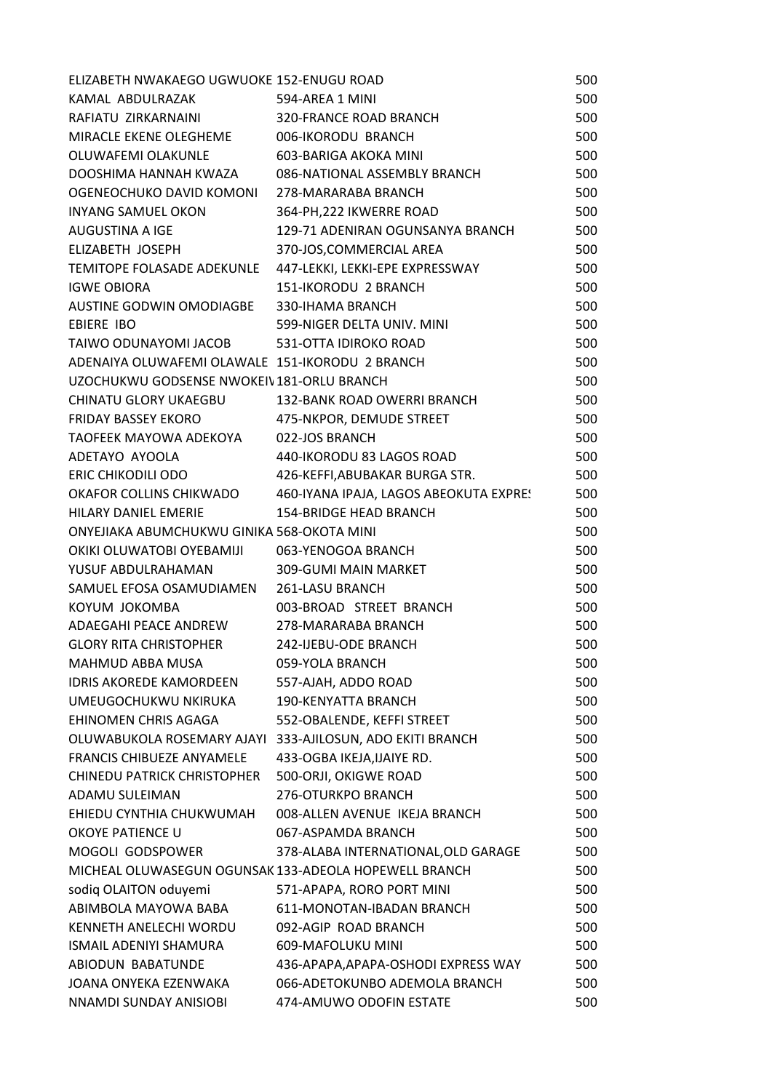| ELIZABETH NWAKAEGO UGWUOKE 152-ENUGU ROAD             |                                                                | 500 |
|-------------------------------------------------------|----------------------------------------------------------------|-----|
| KAMAL ABDULRAZAK 594-AREA 1 MINI                      |                                                                | 500 |
| RAFIATU ZIRKARNAINI                                   | 320-FRANCE ROAD BRANCH                                         | 500 |
| MIRACLE EKENE OLEGHEME   006-IKORODU BRANCH           |                                                                | 500 |
| OLUWAFEMI OLAKUNLE 603-BARIGA AKOKA MINI              |                                                                | 500 |
|                                                       | DOOSHIMA HANNAH KWAZA 686-NATIONAL ASSEMBLY BRANCH             | 500 |
| OGENEOCHUKO DAVID KOMONI 278-MARARABA BRANCH          |                                                                | 500 |
| INYANG SAMUEL OKON                                    | 364-PH, 222 IKWERRE ROAD                                       | 500 |
| AUGUSTINA A IGE                                       | 129-71 ADENIRAN OGUNSANYA BRANCH                               | 500 |
| ELIZABETH JOSEPH                                      | 370-JOS, COMMERCIAL AREA                                       | 500 |
|                                                       | TEMITOPE FOLASADE ADEKUNLE 447-LEKKI, LEKKI-EPE EXPRESSWAY     | 500 |
| <b>IGWE OBIORA</b>                                    | 151-IKORODU 2 BRANCH                                           | 500 |
| AUSTINE GODWIN OMODIAGBE 330-IHAMA BRANCH             |                                                                | 500 |
| <b>EBIERE IBO</b>                                     | 599-NIGER DELTA UNIV. MINI                                     | 500 |
| TAIWO ODUNAYOMI JACOB 531-OTTA IDIROKO ROAD           |                                                                | 500 |
| ADENAIYA OLUWAFEMI OLAWALE 151-IKORODU 2 BRANCH       |                                                                | 500 |
| UZOCHUKWU GODSENSE NWOKEIV181-ORLU BRANCH             |                                                                | 500 |
| CHINATU GLORY UKAEGBU                                 | 132-BANK ROAD OWERRI BRANCH                                    | 500 |
| <b>FRIDAY BASSEY EKORO</b>                            | 475-NKPOR, DEMUDE STREET                                       | 500 |
| TAOFEEK MAYOWA ADEKOYA                                | 022-JOS BRANCH                                                 | 500 |
| ADETAYO AYOOLA                                        | 440-IKORODU 83 LAGOS ROAD                                      | 500 |
| ERIC CHIKODILI ODO                                    | 426-KEFFI, ABUBAKAR BURGA STR.                                 | 500 |
|                                                       | OKAFOR COLLINS CHIKWADO 460-IYANA IPAJA, LAGOS ABEOKUTA EXPRES | 500 |
| HILARY DANIEL EMERIE                                  | <b>154-BRIDGE HEAD BRANCH</b>                                  | 500 |
| ONYEJIAKA ABUMCHUKWU GINIKA 568-OKOTA MINI            |                                                                | 500 |
| OKIKI OLUWATOBI OYEBAMIJI 063-YENOGOA BRANCH          |                                                                | 500 |
| YUSUF ABDULRAHAMAN 309-GUMI MAIN MARKET               |                                                                | 500 |
| SAMUEL EFOSA OSAMUDIAMEN 261-LASU BRANCH              |                                                                | 500 |
| KOYUM JOKOMBA                                         | 003-BROAD STREET BRANCH                                        | 500 |
| ADAEGAHI PEACE ANDREW 278-MARARABA BRANCH             |                                                                | 500 |
| <b>GLORY RITA CHRISTOPHER</b>                         | 242-IJEBU-ODE BRANCH                                           | 500 |
| MAHMUD ABBA MUSA                                      | 059-YOLA BRANCH                                                | 500 |
| <b>IDRIS AKOREDE KAMORDEEN</b>                        | 557-AJAH, ADDO ROAD                                            | 500 |
| UMEUGOCHUKWU NKIRUKA                                  | <b>190-KENYATTA BRANCH</b>                                     | 500 |
| EHINOMEN CHRIS AGAGA                                  | 552-OBALENDE, KEFFI STREET                                     | 500 |
| OLUWABUKOLA ROSEMARY AJAYI                            | 333-AJILOSUN, ADO EKITI BRANCH                                 | 500 |
| <b>FRANCIS CHIBUEZE ANYAMELE</b>                      | 433-OGBA IKEJA, IJAIYE RD.                                     | 500 |
| <b>CHINEDU PATRICK CHRISTOPHER</b>                    | 500-ORJI, OKIGWE ROAD                                          | 500 |
| ADAMU SULEIMAN                                        | 276-OTURKPO BRANCH                                             | 500 |
| EHIEDU CYNTHIA CHUKWUMAH                              | 008-ALLEN AVENUE IKEJA BRANCH                                  | 500 |
| OKOYE PATIENCE U                                      | 067-ASPAMDA BRANCH                                             | 500 |
| MOGOLI GODSPOWER                                      | 378-ALABA INTERNATIONAL, OLD GARAGE                            | 500 |
| MICHEAL OLUWASEGUN OGUNSAK 133-ADEOLA HOPEWELL BRANCH |                                                                | 500 |
| sodiq OLAITON oduyemi                                 | 571-APAPA, RORO PORT MINI                                      | 500 |
| ABIMBOLA MAYOWA BABA                                  | 611-MONOTAN-IBADAN BRANCH                                      | 500 |
| KENNETH ANELECHI WORDU                                | 092-AGIP ROAD BRANCH                                           | 500 |
| <b>ISMAIL ADENIYI SHAMURA</b>                         | 609-MAFOLUKU MINI                                              | 500 |
| ABIODUN BABATUNDE                                     | 436-APAPA, APAPA-OSHODI EXPRESS WAY                            | 500 |
| JOANA ONYEKA EZENWAKA                                 | 066-ADETOKUNBO ADEMOLA BRANCH                                  | 500 |
| NNAMDI SUNDAY ANISIOBI                                | 474-AMUWO ODOFIN ESTATE                                        | 500 |
|                                                       |                                                                |     |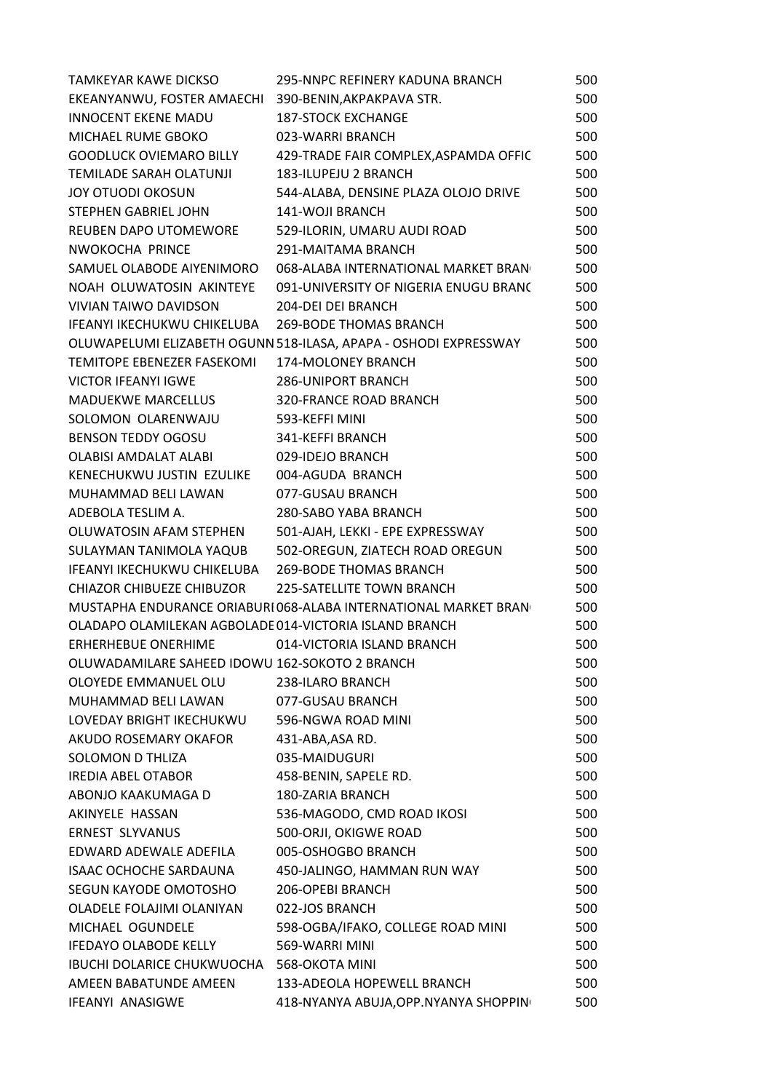| <b>TAMKEYAR KAWE DICKSO</b>                            | <b>295-NNPC REFINERY KADUNA BRANCH</b>                           | 500 |
|--------------------------------------------------------|------------------------------------------------------------------|-----|
| EKEANYANWU, FOSTER AMAECHI 390-BENIN, AKPAKPAVA STR.   |                                                                  | 500 |
| <b>INNOCENT EKENE MADU</b>                             | <b>187-STOCK EXCHANGE</b>                                        | 500 |
| MICHAEL RUME GBOKO                                     | 023-WARRI BRANCH                                                 | 500 |
| <b>GOODLUCK OVIEMARO BILLY</b>                         | 429-TRADE FAIR COMPLEX, ASPAMDA OFFIC                            | 500 |
| TEMILADE SARAH OLATUNJI                                | 183-ILUPEJU 2 BRANCH                                             | 500 |
| <b>JOY OTUODI OKOSUN</b>                               | 544-ALABA, DENSINE PLAZA OLOJO DRIVE                             | 500 |
| <b>STEPHEN GABRIEL JOHN</b>                            | 141-WOJI BRANCH                                                  | 500 |
| REUBEN DAPO UTOMEWORE                                  | 529-ILORIN, UMARU AUDI ROAD                                      | 500 |
| NWOKOCHA PRINCE                                        | 291-MAITAMA BRANCH                                               | 500 |
| SAMUEL OLABODE AIYENIMORO                              | 068-ALABA INTERNATIONAL MARKET BRAN                              | 500 |
| NOAH OLUWATOSIN AKINTEYE                               | 091-UNIVERSITY OF NIGERIA ENUGU BRANC                            | 500 |
| <b>VIVIAN TAIWO DAVIDSON</b>                           | 204-DEI DEI BRANCH                                               | 500 |
| IFEANYI IKECHUKWU CHIKELUBA                            | <b>269-BODE THOMAS BRANCH</b>                                    | 500 |
|                                                        | OLUWAPELUMI ELIZABETH OGUNN 518-ILASA, APAPA - OSHODI EXPRESSWAY | 500 |
| TEMITOPE EBENEZER FASEKOMI                             | 174-MOLONEY BRANCH                                               | 500 |
| <b>VICTOR IFEANYI IGWE</b>                             | <b>286-UNIPORT BRANCH</b>                                        | 500 |
| <b>MADUEKWE MARCELLUS</b>                              | <b>320-FRANCE ROAD BRANCH</b>                                    | 500 |
| SOLOMON OLARENWAJU                                     | 593-KEFFI MINI                                                   | 500 |
| <b>BENSON TEDDY OGOSU</b>                              | 341-KEFFI BRANCH                                                 | 500 |
| OLABISI AMDALAT ALABI                                  | 029-IDEJO BRANCH                                                 | 500 |
| KENECHUKWU JUSTIN EZULIKE                              | 004-AGUDA BRANCH                                                 | 500 |
| MUHAMMAD BELI LAWAN                                    | 077-GUSAU BRANCH                                                 | 500 |
| ADEBOLA TESLIM A.                                      | 280-SABO YABA BRANCH                                             | 500 |
| OLUWATOSIN AFAM STEPHEN                                | 501-AJAH, LEKKI - EPE EXPRESSWAY                                 | 500 |
| SULAYMAN TANIMOLA YAQUB                                | 502-OREGUN, ZIATECH ROAD OREGUN                                  | 500 |
| IFEANYI IKECHUKWU CHIKELUBA                            | <b>269-BODE THOMAS BRANCH</b>                                    | 500 |
| <b>CHIAZOR CHIBUEZE CHIBUZOR</b>                       | <b>225-SATELLITE TOWN BRANCH</b>                                 | 500 |
|                                                        | MUSTAPHA ENDURANCE ORIABURI 068-ALABA INTERNATIONAL MARKET BRAN  | 500 |
| OLADAPO OLAMILEKAN AGBOLADE 014-VICTORIA ISLAND BRANCH |                                                                  | 500 |
| <b>ERHERHEBUE ONERHIME</b>                             | 014-VICTORIA ISLAND BRANCH                                       | 500 |
| OLUWADAMILARE SAHEED IDOWU 162-SOKOTO 2 BRANCH         |                                                                  | 500 |
| OLOYEDE EMMANUEL OLU                                   | 238-ILARO BRANCH                                                 | 500 |
| MUHAMMAD BELI LAWAN                                    | 077-GUSAU BRANCH                                                 | 500 |
| LOVEDAY BRIGHT IKECHUKWU                               | 596-NGWA ROAD MINI                                               | 500 |
| AKUDO ROSEMARY OKAFOR                                  | 431-ABA, ASA RD.                                                 | 500 |
| SOLOMON D THLIZA                                       | 035-MAIDUGURI                                                    | 500 |
| <b>IREDIA ABEL OTABOR</b>                              | 458-BENIN, SAPELE RD.                                            | 500 |
| ABONJO KAAKUMAGA D                                     | <b>180-ZARIA BRANCH</b>                                          | 500 |
| AKINYELE HASSAN                                        | 536-MAGODO, CMD ROAD IKOSI                                       | 500 |
| <b>ERNEST SLYVANUS</b>                                 | 500-ORJI, OKIGWE ROAD                                            | 500 |
| EDWARD ADEWALE ADEFILA                                 | 005-OSHOGBO BRANCH                                               | 500 |
| <b>ISAAC OCHOCHE SARDAUNA</b>                          | 450-JALINGO, HAMMAN RUN WAY                                      | 500 |
| SEGUN KAYODE OMOTOSHO                                  | 206-OPEBI BRANCH                                                 | 500 |
| OLADELE FOLAJIMI OLANIYAN                              | 022-JOS BRANCH                                                   | 500 |
| MICHAEL OGUNDELE                                       | 598-OGBA/IFAKO, COLLEGE ROAD MINI                                | 500 |
| <b>IFEDAYO OLABODE KELLY</b>                           | 569-WARRI MINI                                                   | 500 |
| IBUCHI DOLARICE CHUKWUOCHA                             | 568-OKOTA MINI                                                   | 500 |
| AMEEN BABATUNDE AMEEN                                  | 133-ADEOLA HOPEWELL BRANCH                                       | 500 |
| IFEANYI ANASIGWE                                       | 418-NYANYA ABUJA, OPP. NYANYA SHOPPIN                            | 500 |
|                                                        |                                                                  |     |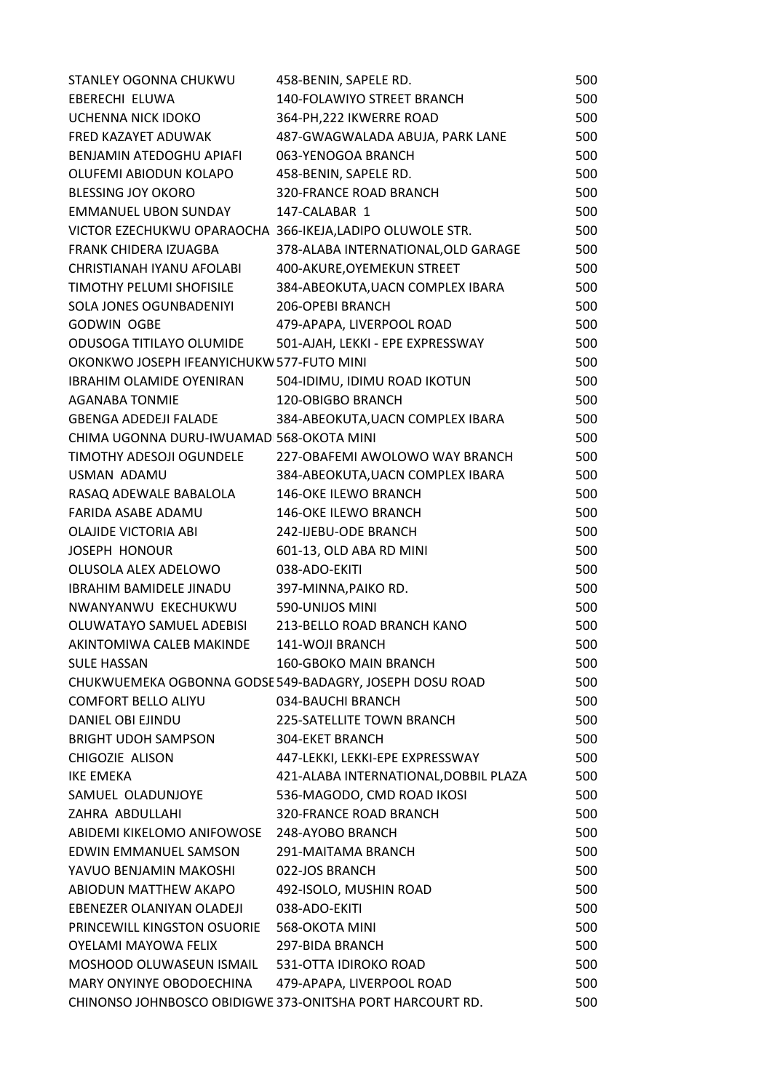| STANLEY OGONNA CHUKWU                                    | 458-BENIN, SAPELE RD.                                     | 500 |
|----------------------------------------------------------|-----------------------------------------------------------|-----|
| <b>EBERECHI ELUWA</b>                                    | <b>140-FOLAWIYO STREET BRANCH</b>                         | 500 |
| UCHENNA NICK IDOKO                                       | 364-PH, 222 IKWERRE ROAD                                  | 500 |
| FRED KAZAYET ADUWAK                                      | 487-GWAGWALADA ABUJA, PARK LANE                           | 500 |
| BENJAMIN ATEDOGHU APIAFI                                 | 063-YENOGOA BRANCH                                        | 500 |
| OLUFEMI ABIODUN KOLAPO                                   | 458-BENIN, SAPELE RD.                                     | 500 |
| <b>BLESSING JOY OKORO</b>                                | <b>320-FRANCE ROAD BRANCH</b>                             | 500 |
| <b>EMMANUEL UBON SUNDAY</b>                              | 147-CALABAR 1                                             | 500 |
| VICTOR EZECHUKWU OPARAOCHA 366-IKEJA,LADIPO OLUWOLE STR. |                                                           | 500 |
| FRANK CHIDERA IZUAGBA                                    | 378-ALABA INTERNATIONAL, OLD GARAGE                       | 500 |
| CHRISTIANAH IYANU AFOLABI                                | 400-AKURE, OYEMEKUN STREET                                | 500 |
| TIMOTHY PELUMI SHOFISILE                                 | 384-ABEOKUTA, UACN COMPLEX IBARA                          | 500 |
| SOLA JONES OGUNBADENIYI                                  | 206-OPEBI BRANCH                                          | 500 |
| <b>GODWIN OGBE</b>                                       | 479-APAPA, LIVERPOOL ROAD                                 | 500 |
| ODUSOGA TITILAYO OLUMIDE                                 | 501-AJAH, LEKKI - EPE EXPRESSWAY                          | 500 |
| OKONKWO JOSEPH IFEANYICHUKW 577-FUTO MINI                |                                                           | 500 |
| <b>IBRAHIM OLAMIDE OYENIRAN</b>                          | 504-IDIMU, IDIMU ROAD IKOTUN                              | 500 |
| <b>AGANABA TONMIE</b>                                    | <b>120-OBIGBO BRANCH</b>                                  | 500 |
| <b>GBENGA ADEDEJI FALADE</b>                             | 384-ABEOKUTA, UACN COMPLEX IBARA                          | 500 |
| CHIMA UGONNA DURU-IWUAMAD 568-OKOTA MINI                 |                                                           | 500 |
| <b>TIMOTHY ADESOJI OGUNDELE</b>                          | 227-OBAFEMI AWOLOWO WAY BRANCH                            | 500 |
| USMAN ADAMU                                              | 384-ABEOKUTA, UACN COMPLEX IBARA                          | 500 |
| RASAQ ADEWALE BABALOLA                                   | 146-OKE ILEWO BRANCH                                      | 500 |
| FARIDA ASABE ADAMU                                       | <b>146-OKE ILEWO BRANCH</b>                               | 500 |
| <b>OLAJIDE VICTORIA ABI</b>                              | 242-IJEBU-ODE BRANCH                                      | 500 |
| <b>JOSEPH HONOUR</b>                                     | 601-13, OLD ABA RD MINI                                   | 500 |
| OLUSOLA ALEX ADELOWO                                     | 038-ADO-EKITI                                             | 500 |
| <b>IBRAHIM BAMIDELE JINADU</b>                           | 397-MINNA, PAIKO RD.                                      | 500 |
| NWANYANWU EKECHUKWU                                      | 590-UNIJOS MINI                                           | 500 |
| OLUWATAYO SAMUEL ADEBISI                                 | 213-BELLO ROAD BRANCH KANO                                | 500 |
| AKINTOMIWA CALEB MAKINDE                                 | 141-WOJI BRANCH                                           | 500 |
| <b>SULE HASSAN</b>                                       | <b>160-GBOKO MAIN BRANCH</b>                              | 500 |
|                                                          | CHUKWUEMEKA OGBONNA GODSE 549-BADAGRY, JOSEPH DOSU ROAD   | 500 |
| <b>COMFORT BELLO ALIYU</b>                               | 034-BAUCHI BRANCH                                         | 500 |
| <b>DANIEL OBI EJINDU</b>                                 | 225-SATELLITE TOWN BRANCH                                 | 500 |
| <b>BRIGHT UDOH SAMPSON</b>                               | <b>304-EKET BRANCH</b>                                    | 500 |
| CHIGOZIE ALISON                                          | 447-LEKKI, LEKKI-EPE EXPRESSWAY                           | 500 |
| <b>IKE EMEKA</b>                                         | 421-ALABA INTERNATIONAL, DOBBIL PLAZA                     | 500 |
| SAMUEL OLADUNJOYE                                        | 536-MAGODO, CMD ROAD IKOSI                                | 500 |
| ZAHRA ABDULLAHI                                          | <b>320-FRANCE ROAD BRANCH</b>                             | 500 |
| ABIDEMI KIKELOMO ANIFOWOSE                               | 248-AYOBO BRANCH                                          | 500 |
| EDWIN EMMANUEL SAMSON                                    | 291-MAITAMA BRANCH                                        | 500 |
| YAVUO BENJAMIN MAKOSHI                                   | 022-JOS BRANCH                                            | 500 |
| ABIODUN MATTHEW AKAPO                                    | 492-ISOLO, MUSHIN ROAD                                    | 500 |
| EBENEZER OLANIYAN OLADEJI                                | 038-ADO-EKITI                                             | 500 |
| PRINCEWILL KINGSTON OSUORIE                              | 568-OKOTA MINI                                            | 500 |
| <b>OYELAMI MAYOWA FELIX</b>                              | 297-BIDA BRANCH                                           | 500 |
| MOSHOOD OLUWASEUN ISMAIL 531-OTTA IDIROKO ROAD           |                                                           | 500 |
| MARY ONYINYE OBODOECHINA                                 | 479-APAPA, LIVERPOOL ROAD                                 | 500 |
|                                                          | CHINONSO JOHNBOSCO OBIDIGWE 373-ONITSHA PORT HARCOURT RD. | 500 |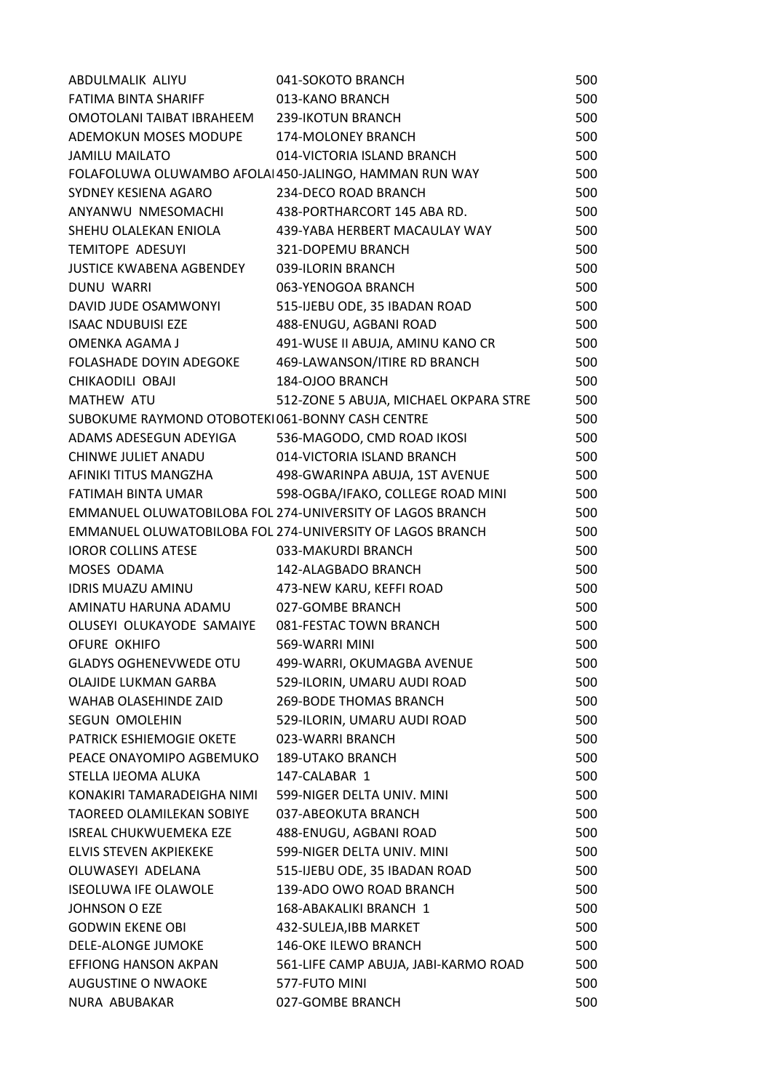| ABDULMALIK ALIYU                                  | 041-SOKOTO BRANCH                                         | 500 |
|---------------------------------------------------|-----------------------------------------------------------|-----|
| FATIMA BINTA SHARIFF                              | 013-KANO BRANCH                                           | 500 |
| OMOTOLANI TAIBAT IBRAHEEM 239-IKOTUN BRANCH       |                                                           | 500 |
| ADEMOKUN MOSES MODUPE 174-MOLONEY BRANCH          |                                                           | 500 |
| <b>JAMILU MAILATO</b>                             | 014-VICTORIA ISLAND BRANCH                                | 500 |
|                                                   | FOLAFOLUWA OLUWAMBO AFOLAI 450-JALINGO, HAMMAN RUN WAY    | 500 |
| SYDNEY KESIENA AGARO                              | 234-DECO ROAD BRANCH                                      | 500 |
| ANYANWU NMESOMACHI                                | 438-PORTHARCORT 145 ABA RD.                               | 500 |
|                                                   | SHEHU OLALEKAN ENIOLA 439-YABA HERBERT MACAULAY WAY       | 500 |
| <b>TEMITOPE ADESUYI</b>                           | 321-DOPEMU BRANCH                                         | 500 |
| JUSTICE KWABENA AGBENDEY 039-ILORIN BRANCH        |                                                           | 500 |
| DUNU WARRI                                        | 063-YENOGOA BRANCH                                        | 500 |
| DAVID JUDE OSAMWONYI                              | 515-IJEBU ODE, 35 IBADAN ROAD                             | 500 |
| <b>ISAAC NDUBUISI EZE</b>                         | 488-ENUGU, AGBANI ROAD                                    | 500 |
| OMENKA AGAMA J                                    | 491-WUSE II ABUJA, AMINU KANO CR                          | 500 |
| FOLASHADE DOYIN ADEGOKE                           | 469-LAWANSON/ITIRE RD BRANCH                              | 500 |
| CHIKAODILI OBAJI                                  | 184-OJOO BRANCH                                           | 500 |
| <b>MATHEW ATU</b>                                 | 512-ZONE 5 ABUJA, MICHAEL OKPARA STRE                     | 500 |
| SUBOKUME RAYMOND OTOBOTEKI061-BONNY CASH CENTRE   |                                                           | 500 |
| ADAMS ADESEGUN ADEYIGA 536-MAGODO, CMD ROAD IKOSI |                                                           | 500 |
| CHINWE JULIET ANADU                               | 014-VICTORIA ISLAND BRANCH                                | 500 |
| AFINIKI TITUS MANGZHA                             | 498-GWARINPA ABUJA, 1ST AVENUE                            | 500 |
| FATIMAH BINTA UMAR                                | 598-OGBA/IFAKO, COLLEGE ROAD MINI                         | 500 |
|                                                   | EMMANUEL OLUWATOBILOBA FOL 274-UNIVERSITY OF LAGOS BRANCH | 500 |
|                                                   | EMMANUEL OLUWATOBILOBA FOL 274-UNIVERSITY OF LAGOS BRANCH | 500 |
| <b>IOROR COLLINS ATESE</b>                        | 033-MAKURDI BRANCH                                        | 500 |
| MOSES ODAMA                                       | 142-ALAGBADO BRANCH                                       | 500 |
| IDRIS MUAZU AMINU                                 | 473-NEW KARU, KEFFI ROAD                                  | 500 |
| AMINATU HARUNA ADAMU                              | 027-GOMBE BRANCH                                          | 500 |
| OLUSEYI OLUKAYODE SAMAIYE                         | 081-FESTAC TOWN BRANCH                                    | 500 |
| OFURE OKHIFO                                      | 569-WARRI MINI                                            | 500 |
| <b>GLADYS OGHENEVWEDE OTU</b>                     | 499-WARRI, OKUMAGBA AVENUE                                | 500 |
| <b>OLAJIDE LUKMAN GARBA</b>                       | 529-ILORIN, UMARU AUDI ROAD                               | 500 |
| WAHAB OLASEHINDE ZAID                             | <b>269-BODE THOMAS BRANCH</b>                             | 500 |
| <b>SEGUN OMOLEHIN</b>                             | 529-ILORIN, UMARU AUDI ROAD                               | 500 |
| PATRICK ESHIEMOGIE OKETE                          | 023-WARRI BRANCH                                          | 500 |
| PEACE ONAYOMIPO AGBEMUKO                          | <b>189-UTAKO BRANCH</b>                                   | 500 |
| STELLA IJEOMA ALUKA                               | 147-CALABAR 1                                             | 500 |
| KONAKIRI TAMARADEIGHA NIMI                        | 599-NIGER DELTA UNIV. MINI                                | 500 |
| <b>TAOREED OLAMILEKAN SOBIYE</b>                  | 037-ABEOKUTA BRANCH                                       | 500 |
| <b>ISREAL CHUKWUEMEKA EZE</b>                     | 488-ENUGU, AGBANI ROAD                                    | 500 |
| ELVIS STEVEN AKPIEKEKE                            | 599-NIGER DELTA UNIV. MINI                                | 500 |
| OLUWASEYI ADELANA                                 | 515-IJEBU ODE, 35 IBADAN ROAD                             | 500 |
| <b>ISEOLUWA IFE OLAWOLE</b>                       | 139-ADO OWO ROAD BRANCH                                   | 500 |
| <b>JOHNSON O EZE</b>                              | 168-ABAKALIKI BRANCH 1                                    | 500 |
| <b>GODWIN EKENE OBI</b>                           | 432-SULEJA, IBB MARKET                                    | 500 |
| <b>DELE-ALONGE JUMOKE</b>                         | <b>146-OKE ILEWO BRANCH</b>                               | 500 |
| EFFIONG HANSON AKPAN                              | 561-LIFE CAMP ABUJA, JABI-KARMO ROAD                      | 500 |
| AUGUSTINE O NWAOKE                                | 577-FUTO MINI                                             | 500 |
| NURA ABUBAKAR                                     | 027-GOMBE BRANCH                                          | 500 |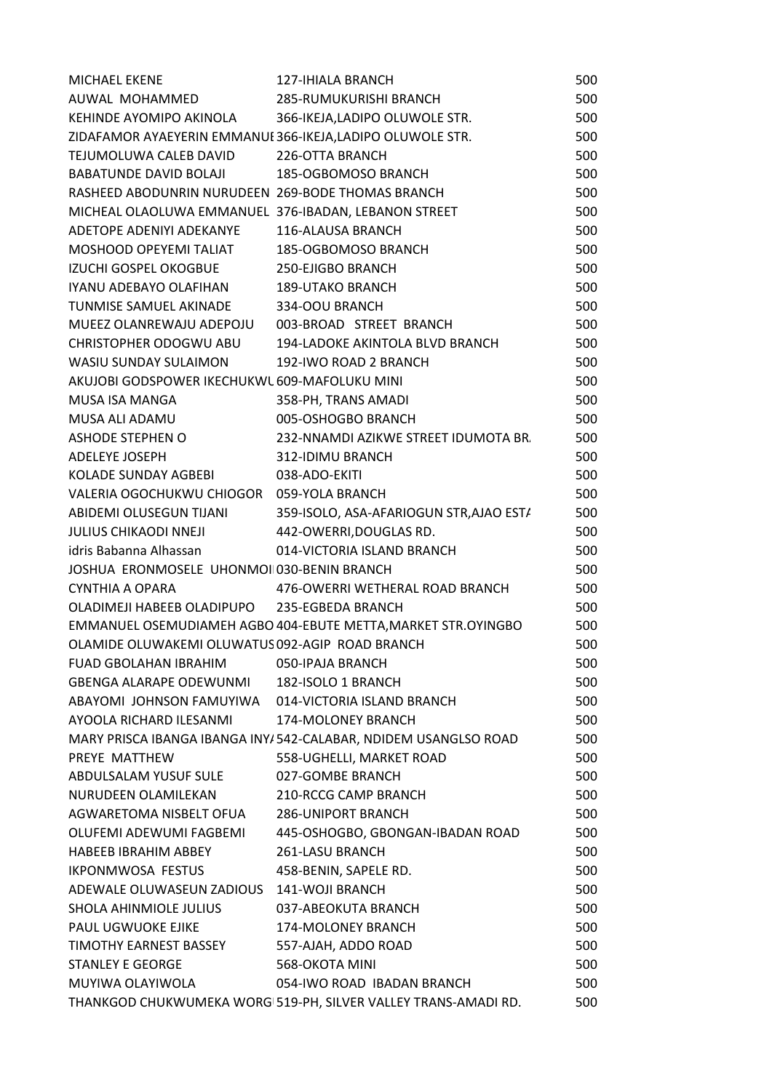| <b>MICHAEL EKENE</b>                                       | <b>127-IHIALA BRANCH</b>                                        | 500 |
|------------------------------------------------------------|-----------------------------------------------------------------|-----|
| AUWAL MOHAMMED 285-RUMUKURISHI BRANCH                      |                                                                 | 500 |
| KEHINDE AYOMIPO AKINOLA 366-IKEJA, LADIPO OLUWOLE STR.     |                                                                 | 500 |
| ZIDAFAMOR AYAEYERIN EMMANUI 366-IKEJA, LADIPO OLUWOLE STR. |                                                                 | 500 |
| TEJUMOLUWA CALEB DAVID                                     | 226-OTTA BRANCH                                                 | 500 |
| BABATUNDE DAVID BOLAJI                                     | 185-OGBOMOSO BRANCH                                             | 500 |
| RASHEED ABODUNRIN NURUDEEN 269-BODE THOMAS BRANCH          |                                                                 | 500 |
| MICHEAL OLAOLUWA EMMANUEL 376-IBADAN, LEBANON STREET       |                                                                 | 500 |
| ADETOPE ADENIYI ADEKANYE                                   | 116-ALAUSA BRANCH                                               | 500 |
| MOSHOOD OPEYEMI TALIAT 185-OGBOMOSO BRANCH                 |                                                                 | 500 |
| IZUCHI GOSPEL OKOGBUE                                      | 250-EJIGBO BRANCH                                               | 500 |
| IYANU ADEBAYO OLAFIHAN 189-UTAKO BRANCH                    |                                                                 | 500 |
| TUNMISE SAMUEL AKINADE 334-OOU BRANCH                      |                                                                 | 500 |
| MUEEZ OLANREWAJU ADEPOJU 003-BROAD STREET BRANCH           |                                                                 | 500 |
|                                                            | CHRISTOPHER ODOGWU ABU 194-LADOKE AKINTOLA BLVD BRANCH          | 500 |
| WASIU SUNDAY SULAIMON 192-IWO ROAD 2 BRANCH                |                                                                 | 500 |
| AKUJOBI GODSPOWER IKECHUKWL 609-MAFOLUKU MINI              |                                                                 | 500 |
| MUSA ISA MANGA                                             | 358-PH, TRANS AMADI                                             | 500 |
| MUSA ALI ADAMU                                             | 005-OSHOGBO BRANCH                                              | 500 |
| ASHODE STEPHEN O                                           | 232-NNAMDI AZIKWE STREET IDUMOTA BR.                            | 500 |
| ADELEYE JOSEPH                                             | 312-IDIMU BRANCH                                                | 500 |
| KOLADE SUNDAY AGBEBI                                       | 038-ADO-EKITI                                                   | 500 |
| VALERIA OGOCHUKWU CHIOGOR 059-YOLA BRANCH                  |                                                                 | 500 |
|                                                            | ABIDEMI OLUSEGUN TIJANI 359-ISOLO, ASA-AFARIOGUN STR, AJAO ESTA | 500 |
| JULIUS CHIKAODI NNEJI 442-OWERRI, DOUGLAS RD.              |                                                                 | 500 |
| idris Babanna Alhassan                                     | 014-VICTORIA ISLAND BRANCH                                      | 500 |
| JOSHUA ERONMOSELE UHONMOI 030-BENIN BRANCH                 |                                                                 | 500 |
| CYNTHIA A OPARA                                            | 476-OWERRI WETHERAL ROAD BRANCH                                 | 500 |
| OLADIMEJI HABEEB OLADIPUPO 235-EGBEDA BRANCH               |                                                                 | 500 |
|                                                            | EMMANUEL OSEMUDIAMEH AGBO 404-EBUTE METTA, MARKET STR. OYINGBO  | 500 |
| OLAMIDE OLUWAKEMI OLUWATUS 092-AGIP ROAD BRANCH            |                                                                 | 500 |
| <b>FUAD GBOLAHAN IBRAHIM</b>                               | 050-IPAJA BRANCH                                                | 500 |
| GBENGA ALARAPE ODEWUNMI                                    | 182-ISOLO 1 BRANCH                                              | 500 |
| ABAYOMI JOHNSON FAMUYIWA 014-VICTORIA ISLAND BRANCH        |                                                                 | 500 |
| AYOOLA RICHARD ILESANMI                                    | 174-MOLONEY BRANCH                                              | 500 |
|                                                            | MARY PRISCA IBANGA IBANGA INY/542-CALABAR, NDIDEM USANGLSO ROAD | 500 |
| PREYE MATTHEW                                              | 558-UGHELLI, MARKET ROAD                                        | 500 |
| ABDULSALAM YUSUF SULE                                      | 027-GOMBE BRANCH                                                | 500 |
| NURUDEEN OLAMILEKAN                                        | 210-RCCG CAMP BRANCH                                            | 500 |
| AGWARETOMA NISBELT OFUA                                    | <b>286-UNIPORT BRANCH</b>                                       | 500 |
| OLUFEMI ADEWUMI FAGBEMI                                    | 445-OSHOGBO, GBONGAN-IBADAN ROAD                                | 500 |
| HABEEB IBRAHIM ABBEY                                       | 261-LASU BRANCH                                                 | 500 |
| IKPONMWOSA FESTUS                                          | 458-BENIN, SAPELE RD.                                           | 500 |
| ADEWALE OLUWASEUN ZADIOUS 141-WOJI BRANCH                  |                                                                 | 500 |
| SHOLA AHINMIOLE JULIUS                                     | 037-ABEOKUTA BRANCH                                             | 500 |
| PAUL UGWUOKE EJIKE                                         | 174-MOLONEY BRANCH                                              | 500 |
| TIMOTHY EARNEST BASSEY                                     | 557-AJAH, ADDO ROAD                                             | 500 |
| <b>STANLEY E GEORGE</b>                                    | 568-OKOTA MINI                                                  | 500 |
| MUYIWA OLAYIWOLA                                           | 054-IWO ROAD IBADAN BRANCH                                      | 500 |
|                                                            | THANKGOD CHUKWUMEKA WORG 519-PH, SILVER VALLEY TRANS-AMADI RD.  | 500 |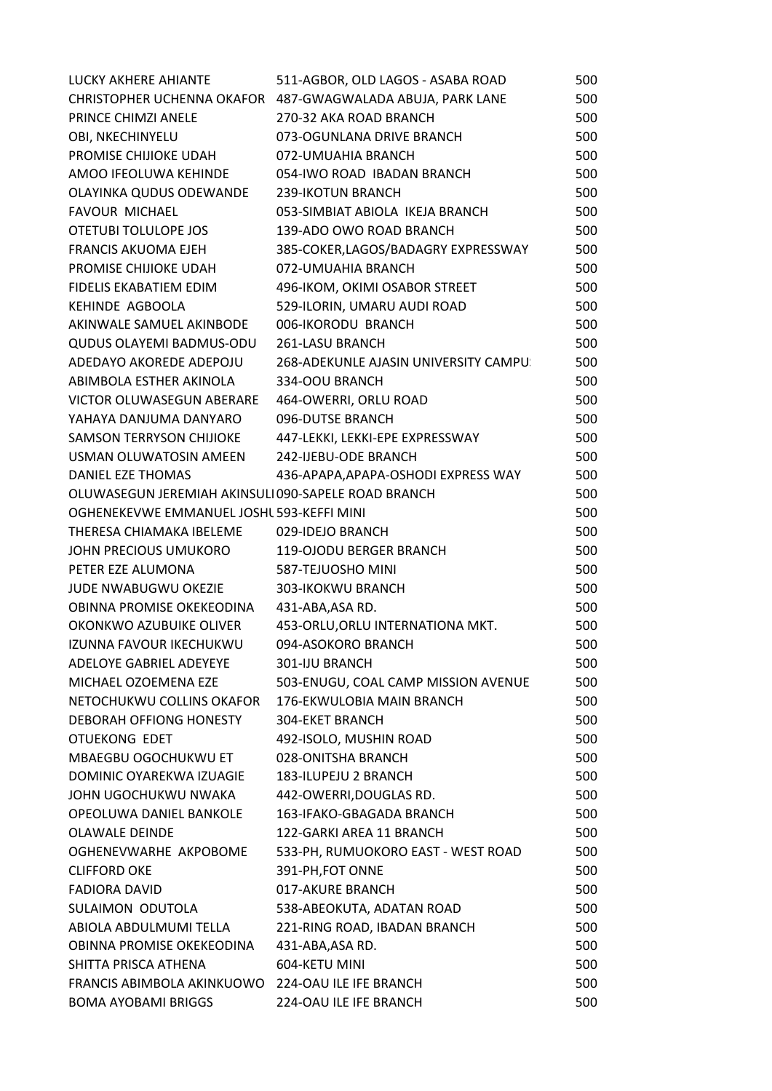| LUCKY AKHERE AHIANTE                                | 511-AGBOR, OLD LAGOS - ASABA ROAD                          | 500 |
|-----------------------------------------------------|------------------------------------------------------------|-----|
|                                                     | CHRISTOPHER UCHENNA OKAFOR 487-GWAGWALADA ABUJA, PARK LANE | 500 |
| PRINCE CHIMZI ANELE                                 | 270-32 AKA ROAD BRANCH                                     | 500 |
| OBI, NKECHINYELU                                    | 073-OGUNLANA DRIVE BRANCH                                  | 500 |
| PROMISE CHIJIOKE UDAH                               | 072-UMUAHIA BRANCH                                         | 500 |
| AMOO IFEOLUWA KEHINDE                               | 054-IWO ROAD IBADAN BRANCH                                 | 500 |
| OLAYINKA QUDUS ODEWANDE                             | 239-IKOTUN BRANCH                                          | 500 |
| <b>FAVOUR MICHAEL</b>                               | 053-SIMBIAT ABIOLA IKEJA BRANCH                            | 500 |
| OTETUBI TOLULOPE JOS                                | 139-ADO OWO ROAD BRANCH                                    | 500 |
| <b>FRANCIS AKUOMA EJEH</b>                          | 385-COKER,LAGOS/BADAGRY EXPRESSWAY                         | 500 |
| PROMISE CHIJIOKE UDAH                               | 072-UMUAHIA BRANCH                                         | 500 |
| FIDELIS EKABATIEM EDIM                              | 496-IKOM, OKIMI OSABOR STREET                              | 500 |
| KEHINDE AGBOOLA                                     | 529-ILORIN, UMARU AUDI ROAD                                | 500 |
| AKINWALE SAMUEL AKINBODE                            | 006-IKORODU BRANCH                                         | 500 |
| <b>QUDUS OLAYEMI BADMUS-ODU</b>                     | 261-LASU BRANCH                                            | 500 |
| ADEDAYO AKOREDE ADEPOJU                             | 268-ADEKUNLE AJASIN UNIVERSITY CAMPU:                      | 500 |
| ABIMBOLA ESTHER AKINOLA                             | 334-OOU BRANCH                                             | 500 |
| VICTOR OLUWASEGUN ABERARE                           | 464-OWERRI, ORLU ROAD                                      | 500 |
| YAHAYA DANJUMA DANYARO                              | 096-DUTSE BRANCH                                           | 500 |
| SAMSON TERRYSON CHIJIOKE                            | 447-LEKKI, LEKKI-EPE EXPRESSWAY                            | 500 |
| USMAN OLUWATOSIN AMEEN                              | 242-IJEBU-ODE BRANCH                                       | 500 |
| DANIEL EZE THOMAS                                   | 436-APAPA, APAPA-OSHODI EXPRESS WAY                        | 500 |
| OLUWASEGUN JEREMIAH AKINSULI 090-SAPELE ROAD BRANCH |                                                            | 500 |
| OGHENEKEVWE EMMANUEL JOSHL 593-KEFFI MINI           |                                                            | 500 |
| THERESA CHIAMAKA IBELEME                            | 029-IDEJO BRANCH                                           | 500 |
| JOHN PRECIOUS UMUKORO                               | 119-OJODU BERGER BRANCH                                    | 500 |
| PETER EZE ALUMONA                                   | 587-TEJUOSHO MINI                                          | 500 |
| JUDE NWABUGWU OKEZIE                                | 303-IKOKWU BRANCH                                          | 500 |
| OBINNA PROMISE OKEKEODINA                           | 431-ABA, ASA RD.                                           | 500 |
| OKONKWO AZUBUIKE OLIVER                             | 453-ORLU, ORLU INTERNATIONA MKT.                           | 500 |
| IZUNNA FAVOUR IKECHUKWU                             | 094-ASOKORO BRANCH                                         | 500 |
| ADELOYE GABRIEL ADEYEYE                             | <b>301-IJU BRANCH</b>                                      | 500 |
| MICHAEL OZOEMENA EZE                                | 503-ENUGU, COAL CAMP MISSION AVENUE                        | 500 |
| NETOCHUKWU COLLINS OKAFOR                           | 176-EKWULOBIA MAIN BRANCH                                  | 500 |
| <b>DEBORAH OFFIONG HONESTY</b>                      | <b>304-EKET BRANCH</b>                                     | 500 |
| OTUEKONG EDET                                       | 492-ISOLO, MUSHIN ROAD                                     | 500 |
| MBAEGBU OGOCHUKWU ET                                | 028-ONITSHA BRANCH                                         | 500 |
| DOMINIC OYAREKWA IZUAGIE                            | 183-ILUPEJU 2 BRANCH                                       | 500 |
| JOHN UGOCHUKWU NWAKA                                | 442-OWERRI, DOUGLAS RD.                                    | 500 |
| OPEOLUWA DANIEL BANKOLE                             | 163-IFAKO-GBAGADA BRANCH                                   | 500 |
| <b>OLAWALE DEINDE</b>                               | 122-GARKI AREA 11 BRANCH                                   | 500 |
| OGHENEVWARHE AKPOBOME                               | 533-PH, RUMUOKORO EAST - WEST ROAD                         | 500 |
| <b>CLIFFORD OKE</b>                                 | 391-PH, FOT ONNE                                           | 500 |
| <b>FADIORA DAVID</b>                                | 017-AKURE BRANCH                                           | 500 |
| SULAIMON ODUTOLA                                    | 538-ABEOKUTA, ADATAN ROAD                                  | 500 |
| ABIOLA ABDULMUMI TELLA                              | 221-RING ROAD, IBADAN BRANCH                               | 500 |
| OBINNA PROMISE OKEKEODINA                           | 431-ABA, ASA RD.                                           | 500 |
| SHITTA PRISCA ATHENA                                | 604-KETU MINI                                              | 500 |
| FRANCIS ABIMBOLA AKINKUOWO                          | 224-OAU ILE IFE BRANCH                                     | 500 |
| <b>BOMA AYOBAMI BRIGGS</b>                          | 224-OAU ILE IFE BRANCH                                     | 500 |
|                                                     |                                                            |     |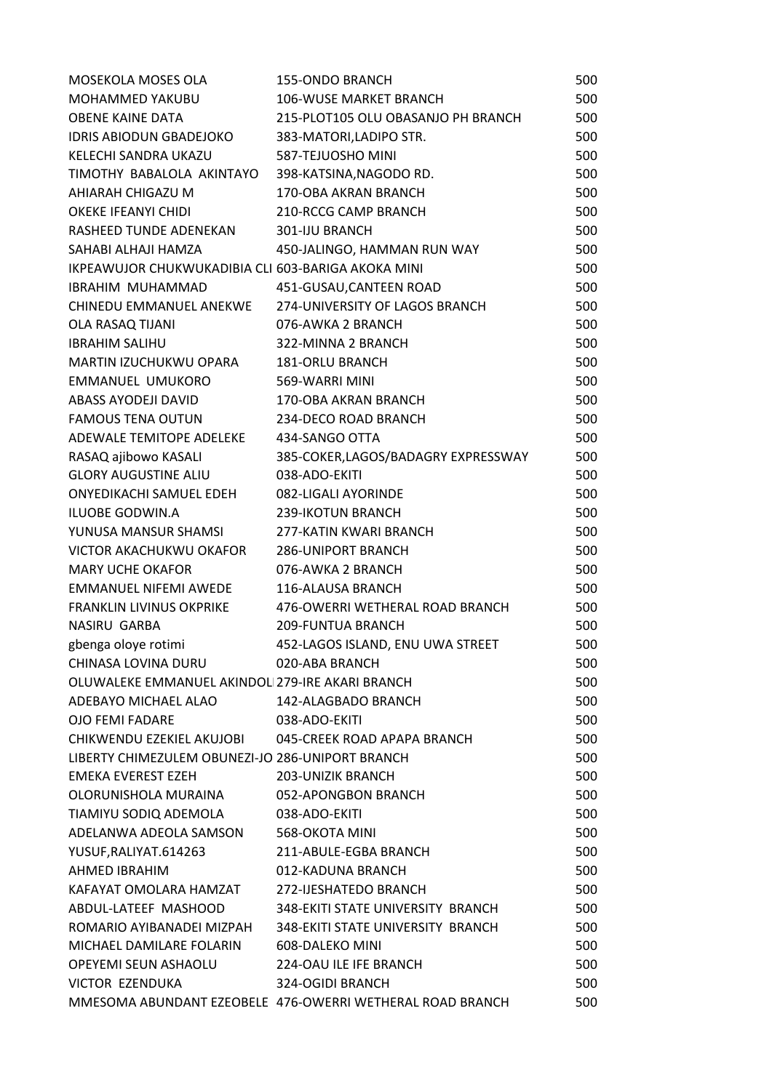| MOSEKOLA MOSES OLA                                    | <b>155-ONDO BRANCH</b>                                    | 500 |
|-------------------------------------------------------|-----------------------------------------------------------|-----|
| MOHAMMED YAKUBU                                       | <b>106-WUSE MARKET BRANCH</b>                             | 500 |
| <b>OBENE KAINE DATA</b>                               | 215-PLOT105 OLU OBASANJO PH BRANCH                        | 500 |
| <b>IDRIS ABIODUN GBADEJOKO</b>                        | 383-MATORI, LADIPO STR.                                   | 500 |
| KELECHI SANDRA UKAZU                                  | 587-TEJUOSHO MINI                                         | 500 |
| TIMOTHY BABALOLA AKINTAYO                             | 398-KATSINA, NAGODO RD.                                   | 500 |
| AHIARAH CHIGAZU M                                     | 170-OBA AKRAN BRANCH                                      | 500 |
| OKEKE IFEANYI CHIDI                                   | 210-RCCG CAMP BRANCH                                      | 500 |
| RASHEED TUNDE ADENEKAN                                | <b>301-IJU BRANCH</b>                                     | 500 |
| SAHABI ALHAJI HAMZA                                   | 450-JALINGO, HAMMAN RUN WAY                               | 500 |
| IKPEAWUJOR CHUKWUKADIBIA CLI 603-BARIGA AKOKA MINI    |                                                           | 500 |
| IBRAHIM MUHAMMAD                                      | 451-GUSAU, CANTEEN ROAD                                   | 500 |
| CHINEDU EMMANUEL ANEKWE                               | 274-UNIVERSITY OF LAGOS BRANCH                            | 500 |
| OLA RASAQ TIJANI                                      | 076-AWKA 2 BRANCH                                         | 500 |
| <b>IBRAHIM SALIHU</b>                                 | 322-MINNA 2 BRANCH                                        | 500 |
| MARTIN IZUCHUKWU OPARA                                | <b>181-ORLU BRANCH</b>                                    | 500 |
| EMMANUEL UMUKORO                                      | 569-WARRI MINI                                            | 500 |
| ABASS AYODEJI DAVID                                   | 170-OBA AKRAN BRANCH                                      | 500 |
| <b>FAMOUS TENA OUTUN</b>                              | 234-DECO ROAD BRANCH                                      | 500 |
| ADEWALE TEMITOPE ADELEKE                              | 434-SANGO OTTA                                            | 500 |
| RASAQ ajibowo KASALI                                  | 385-COKER, LAGOS/BADAGRY EXPRESSWAY                       | 500 |
| <b>GLORY AUGUSTINE ALIU</b>                           | 038-ADO-EKITI                                             | 500 |
| ONYEDIKACHI SAMUEL EDEH                               | 082-LIGALI AYORINDE                                       | 500 |
| ILUOBE GODWIN.A                                       | 239-IKOTUN BRANCH                                         | 500 |
| YUNUSA MANSUR SHAMSI                                  | 277-KATIN KWARI BRANCH                                    | 500 |
| VICTOR AKACHUKWU OKAFOR                               | <b>286-UNIPORT BRANCH</b>                                 | 500 |
| <b>MARY UCHE OKAFOR</b>                               | 076-AWKA 2 BRANCH                                         | 500 |
| EMMANUEL NIFEMI AWEDE                                 | 116-ALAUSA BRANCH                                         | 500 |
| FRANKLIN LIVINUS OKPRIKE                              | 476-OWERRI WETHERAL ROAD BRANCH                           | 500 |
| NASIRU GARBA                                          | <b>209-FUNTUA BRANCH</b>                                  | 500 |
| gbenga oloye rotimi                                   | 452-LAGOS ISLAND, ENU UWA STREET                          | 500 |
| CHINASA LOVINA DURU                                   | 020-ABA BRANCH                                            | 500 |
| OLUWALEKE EMMANUEL AKINDOL 279-IRE AKARI BRANCH       |                                                           | 500 |
| ADEBAYO MICHAEL ALAO                                  | 142-ALAGBADO BRANCH                                       | 500 |
| <b>OIO FEMI FADARE</b>                                | 038-ADO-EKITI                                             | 500 |
| CHIKWENDU EZEKIEL AKUJOBI 045-CREEK ROAD APAPA BRANCH |                                                           | 500 |
| LIBERTY CHIMEZULEM OBUNEZI-JO 286-UNIPORT BRANCH      |                                                           | 500 |
| EMEKA EVEREST EZEH                                    | <b>203-UNIZIK BRANCH</b>                                  | 500 |
| OLORUNISHOLA MURAINA                                  | 052-APONGBON BRANCH                                       | 500 |
| TIAMIYU SODIQ ADEMOLA 038-ADO-EKITI                   |                                                           | 500 |
| ADELANWA ADEOLA SAMSON 568-OKOTA MINI                 |                                                           | 500 |
| YUSUF, RALIYAT. 614263                                | 211-ABULE-EGBA BRANCH                                     | 500 |
| AHMED IBRAHIM                                         | 012-KADUNA BRANCH                                         | 500 |
| KAFAYAT OMOLARA HAMZAT                                | 272-IJESHATEDO BRANCH                                     | 500 |
| ABDUL-LATEEF MASHOOD                                  | 348-EKITI STATE UNIVERSITY BRANCH                         | 500 |
| ROMARIO AYIBANADEI MIZPAH                             | 348-EKITI STATE UNIVERSITY BRANCH                         | 500 |
| MICHAEL DAMILARE FOLARIN 608-DALEKO MINI              |                                                           | 500 |
| OPEYEMI SEUN ASHAOLU 224-OAU ILE IFE BRANCH           |                                                           | 500 |
| VICTOR EZENDUKA                                       | 324-OGIDI BRANCH                                          | 500 |
|                                                       | MMESOMA ABUNDANT EZEOBELE 476-OWERRI WETHERAL ROAD BRANCH | 500 |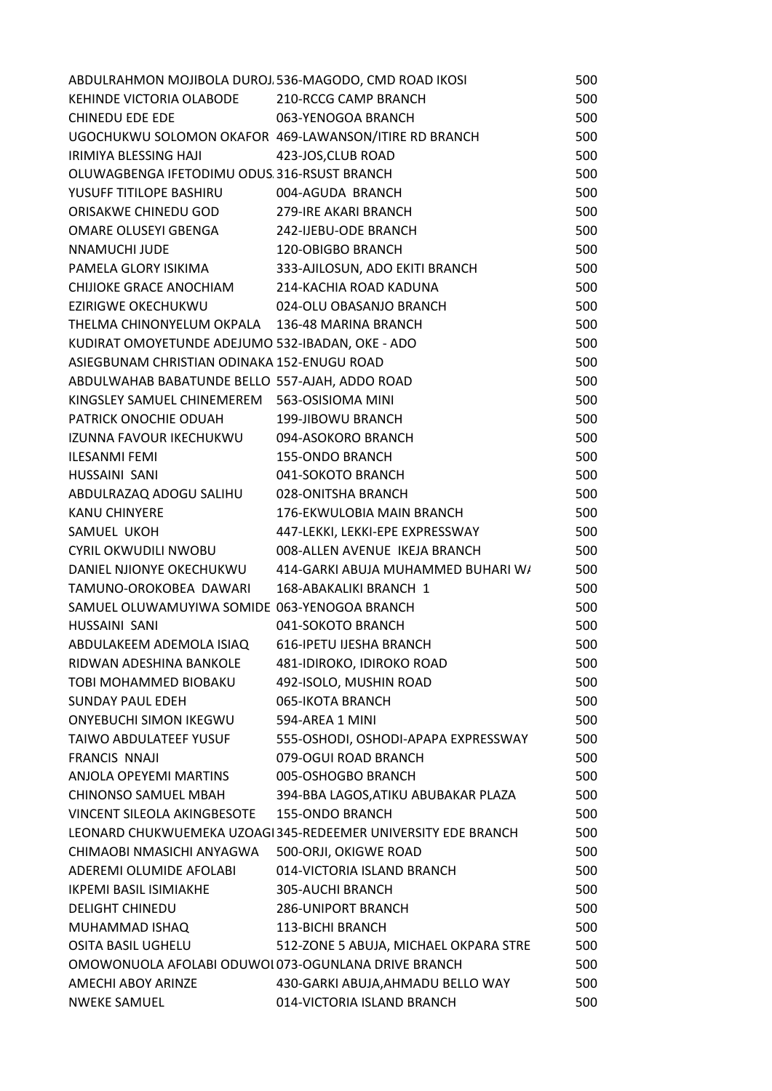| ABDULRAHMON MOJIBOLA DUROJ 536-MAGODO, CMD ROAD IKOSI |                                                               | 500 |
|-------------------------------------------------------|---------------------------------------------------------------|-----|
| KEHINDE VICTORIA OLABODE 210-RCCG CAMP BRANCH         |                                                               | 500 |
| CHINEDU EDE EDE 063-YENOGOA BRANCH                    |                                                               | 500 |
|                                                       | UGOCHUKWU SOLOMON OKAFOR 469-LAWANSON/ITIRE RD BRANCH         | 500 |
| IRIMIYA BLESSING HAJI                                 | 423-JOS, CLUB ROAD                                            | 500 |
| OLUWAGBENGA IFETODIMU ODUS. 316-RSUST BRANCH          |                                                               | 500 |
| YUSUFF TITILOPE BASHIRU 004-AGUDA BRANCH              |                                                               | 500 |
| ORISAKWE CHINEDU GOD 279-IRE AKARI BRANCH             |                                                               | 500 |
| OMARE OLUSEYI GBENGA 242-IJEBU-ODE BRANCH             |                                                               | 500 |
| NNAMUCHI JUDE                                         | 120-OBIGBO BRANCH                                             | 500 |
|                                                       | PAMELA GLORY ISIKIMA 333-AJILOSUN, ADO EKITI BRANCH           | 500 |
| CHIJIOKE GRACE ANOCHIAM 214-KACHIA ROAD KADUNA        |                                                               | 500 |
| EZIRIGWE OKECHUKWU 024-OLU OBASANJO BRANCH            |                                                               | 500 |
| THELMA CHINONYELUM OKPALA 136-48 MARINA BRANCH        |                                                               | 500 |
| KUDIRAT OMOYETUNDE ADEJUMO 532-IBADAN, OKE - ADO      |                                                               | 500 |
| ASIEGBUNAM CHRISTIAN ODINAKA 152-ENUGU ROAD           |                                                               | 500 |
| ABDULWAHAB BABATUNDE BELLO 557-AJAH, ADDO ROAD        |                                                               | 500 |
| KINGSLEY SAMUEL CHINEMEREM 563-OSISIOMA MINI          |                                                               | 500 |
| PATRICK ONOCHIE ODUAH 199-JIBOWU BRANCH               |                                                               | 500 |
| IZUNNA FAVOUR IKECHUKWU 094-ASOKORO BRANCH            |                                                               | 500 |
| <b>ILESANMI FEMI</b>                                  |                                                               | 500 |
| HUSSAINI SANI                                         | 155-ONDO BRANCH<br>041-SOKOTO BRANC<br>041-SOKOTO BRANCH      | 500 |
| ABDULRAZAQ ADOGU SALIHU 028-ONITSHA BRANCH            |                                                               | 500 |
| <b>KANU CHINYERE</b>                                  | 176-EKWULOBIA MAIN BRANCH                                     | 500 |
| SAMUEL UKOH                                           | 447-LEKKI, LEKKI-EPE EXPRESSWAY                               | 500 |
|                                                       | CYRIL OKWUDILI NWOBU 008-ALLEN AVENUE IKEJA BRANCH            | 500 |
|                                                       | DANIEL NJIONYE OKECHUKWU 414-GARKI ABUJA MUHAMMED BUHARI W/   | 500 |
| TAMUNO-OROKOBEA DAWARI 168-ABAKALIKI BRANCH 1         |                                                               | 500 |
| SAMUEL OLUWAMUYIWA SOMIDE 063-YENOGOA BRANCH          |                                                               | 500 |
| HUSSAINI SANI                                         | 041-SOKOTO BRANCH                                             | 500 |
| ABDULAKEEM ADEMOLA ISIAQ                              | <b>616-IPETU IJESHA BRANCH</b>                                | 500 |
| RIDWAN ADESHINA BANKOLE                               | 481-IDIROKO, IDIROKO ROAD                                     | 500 |
| TOBI MOHAMMED BIOBAKU                                 | 492-ISOLO, MUSHIN ROAD                                        | 500 |
| <b>SUNDAY PAUL EDEH</b>                               | 065-IKOTA BRANCH                                              | 500 |
| <b>ONYEBUCHI SIMON IKEGWU</b>                         | 594-AREA 1 MINI                                               | 500 |
| <b>TAIWO ABDULATEEF YUSUF</b>                         | 555-OSHODI, OSHODI-APAPA EXPRESSWAY                           | 500 |
| <b>FRANCIS NNAJI</b>                                  | 079-OGUI ROAD BRANCH                                          | 500 |
| ANJOLA OPEYEMI MARTINS                                | 005-OSHOGBO BRANCH                                            | 500 |
| <b>CHINONSO SAMUEL MBAH</b>                           | 394-BBA LAGOS, ATIKU ABUBAKAR PLAZA                           | 500 |
| <b>VINCENT SILEOLA AKINGBESOTE</b>                    | <b>155-ONDO BRANCH</b>                                        | 500 |
|                                                       | LEONARD CHUKWUEMEKA UZOAGI 345-REDEEMER UNIVERSITY EDE BRANCH | 500 |
| CHIMAOBI NMASICHI ANYAGWA                             | 500-ORJI, OKIGWE ROAD                                         | 500 |
| ADEREMI OLUMIDE AFOLABI                               | 014-VICTORIA ISLAND BRANCH                                    | 500 |
| <b>IKPEMI BASIL ISIMIAKHE</b>                         | 305-AUCHI BRANCH                                              | 500 |
| <b>DELIGHT CHINEDU</b>                                | <b>286-UNIPORT BRANCH</b>                                     | 500 |
|                                                       | <b>113-BICHI BRANCH</b>                                       |     |
| MUHAMMAD ISHAQ<br><b>OSITA BASIL UGHELU</b>           | 512-ZONE 5 ABUJA, MICHAEL OKPARA STRE                         | 500 |
|                                                       |                                                               | 500 |
| OMOWONUOLA AFOLABI ODUWOI 073-OGUNLANA DRIVE BRANCH   |                                                               | 500 |
| AMECHI ABOY ARINZE                                    | 430-GARKI ABUJA, AHMADU BELLO WAY                             | 500 |
| <b>NWEKE SAMUEL</b>                                   | 014-VICTORIA ISLAND BRANCH                                    | 500 |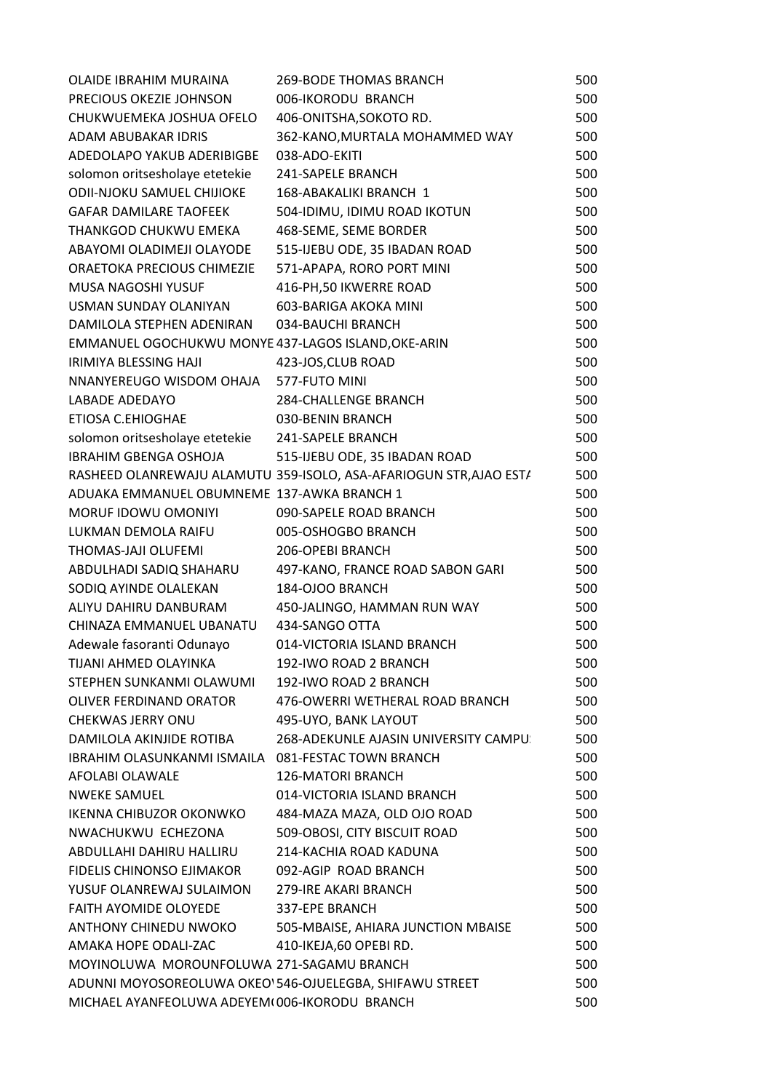| OLAIDE IBRAHIM MURAINA                              | <b>269-BODE THOMAS BRANCH</b>                                      | 500 |
|-----------------------------------------------------|--------------------------------------------------------------------|-----|
| PRECIOUS OKEZIE JOHNSON                             | 006-IKORODU BRANCH                                                 | 500 |
| CHUKWUEMEKA JOSHUA OFELO                            | 406-ONITSHA, SOKOTO RD.                                            | 500 |
| ADAM ABUBAKAR IDRIS                                 | 362-KANO, MURTALA MOHAMMED WAY                                     | 500 |
| ADEDOLAPO YAKUB ADERIBIGBE                          | 038-ADO-EKITI                                                      | 500 |
| solomon oritsesholaye etetekie                      | 241-SAPELE BRANCH                                                  | 500 |
| <b>ODII-NJOKU SAMUEL CHIJIOKE</b>                   | 168-ABAKALIKI BRANCH 1                                             | 500 |
| <b>GAFAR DAMILARE TAOFEEK</b>                       | 504-IDIMU, IDIMU ROAD IKOTUN                                       | 500 |
| THANKGOD CHUKWU EMEKA                               | 468-SEME, SEME BORDER                                              | 500 |
| ABAYOMI OLADIMEJI OLAYODE                           | 515-IJEBU ODE, 35 IBADAN ROAD                                      | 500 |
| ORAETOKA PRECIOUS CHIMEZIE                          | 571-APAPA, RORO PORT MINI                                          | 500 |
| MUSA NAGOSHI YUSUF                                  | 416-PH, 50 IKWERRE ROAD                                            | 500 |
| USMAN SUNDAY OLANIYAN                               | 603-BARIGA AKOKA MINI                                              | 500 |
| DAMILOLA STEPHEN ADENIRAN                           | 034-BAUCHI BRANCH                                                  | 500 |
| EMMANUEL OGOCHUKWU MONYE 437-LAGOS ISLAND, OKE-ARIN |                                                                    | 500 |
| IRIMIYA BLESSING HAJI                               | 423-JOS, CLUB ROAD                                                 | 500 |
| NNANYEREUGO WISDOM OHAJA                            | 577-FUTO MINI                                                      | 500 |
| LABADE ADEDAYO                                      | <b>284-CHALLENGE BRANCH</b>                                        | 500 |
| ETIOSA C.EHIOGHAE                                   | 030-BENIN BRANCH                                                   | 500 |
| solomon oritsesholaye etetekie                      | <b>241-SAPELE BRANCH</b>                                           | 500 |
| <b>IBRAHIM GBENGA OSHOJA</b>                        | 515-IJEBU ODE, 35 IBADAN ROAD                                      | 500 |
|                                                     | RASHEED OLANREWAJU ALAMUTU 359-ISOLO, ASA-AFARIOGUN STR, AJAO ESTA | 500 |
| ADUAKA EMMANUEL OBUMNEME 137-AWKA BRANCH 1          |                                                                    | 500 |
| MORUF IDOWU OMONIYI                                 | 090-SAPELE ROAD BRANCH                                             | 500 |
| LUKMAN DEMOLA RAIFU                                 | 005-OSHOGBO BRANCH                                                 | 500 |
| THOMAS-JAJI OLUFEMI                                 | 206-OPEBI BRANCH                                                   | 500 |
| ABDULHADI SADIQ SHAHARU                             | 497-KANO, FRANCE ROAD SABON GARI                                   | 500 |
| SODIQ AYINDE OLALEKAN                               | 184-OJOO BRANCH                                                    | 500 |
| ALIYU DAHIRU DANBURAM                               | 450-JALINGO, HAMMAN RUN WAY                                        | 500 |
| CHINAZA EMMANUEL UBANATU                            | 434-SANGO OTTA                                                     | 500 |
| Adewale fasoranti Odunayo                           | 014-VICTORIA ISLAND BRANCH                                         | 500 |
| TIJANI AHMED OLAYINKA                               | 192-IWO ROAD 2 BRANCH                                              | 500 |
| STEPHEN SUNKANMI OLAWUMI                            | 192-IWO ROAD 2 BRANCH                                              | 500 |
| OLIVER FERDINAND ORATOR                             | 476-OWERRI WETHERAL ROAD BRANCH                                    | 500 |
| <b>CHEKWAS JERRY ONU</b>                            | 495-UYO, BANK LAYOUT                                               | 500 |
| DAMILOLA AKINJIDE ROTIBA                            | 268-ADEKUNLE AJASIN UNIVERSITY CAMPU:                              | 500 |
| IBRAHIM OLASUNKANMI ISMAILA 081-FESTAC TOWN BRANCH  |                                                                    | 500 |
| AFOLABI OLAWALE                                     | <b>126-MATORI BRANCH</b>                                           | 500 |
| <b>NWEKE SAMUEL</b>                                 | 014-VICTORIA ISLAND BRANCH                                         | 500 |
| <b>IKENNA CHIBUZOR OKONWKO</b>                      | 484-MAZA MAZA, OLD OJO ROAD                                        | 500 |
| NWACHUKWU ECHEZONA                                  | 509-OBOSI, CITY BISCUIT ROAD                                       | 500 |
| ABDULLAHI DAHIRU HALLIRU                            | 214-KACHIA ROAD KADUNA                                             | 500 |
| FIDELIS CHINONSO EJIMAKOR                           | 092-AGIP ROAD BRANCH                                               | 500 |
| YUSUF OLANREWAJ SULAIMON                            | 279-IRE AKARI BRANCH                                               | 500 |
| <b>FAITH AYOMIDE OLOYEDE</b>                        | 337-EPE BRANCH                                                     | 500 |
| ANTHONY CHINEDU NWOKO                               | 505-MBAISE, AHIARA JUNCTION MBAISE                                 | 500 |
| AMAKA HOPE ODALI-ZAC                                | 410-IKEJA,60 OPEBI RD.                                             | 500 |
| MOYINOLUWA MOROUNFOLUWA 271-SAGAMU BRANCH           |                                                                    | 500 |
|                                                     | ADUNNI MOYOSOREOLUWA OKEO 546-OJUELEGBA, SHIFAWU STREET            | 500 |
| MICHAEL AYANFEOLUWA ADEYEM(006-IKORODU BRANCH       |                                                                    | 500 |
|                                                     |                                                                    |     |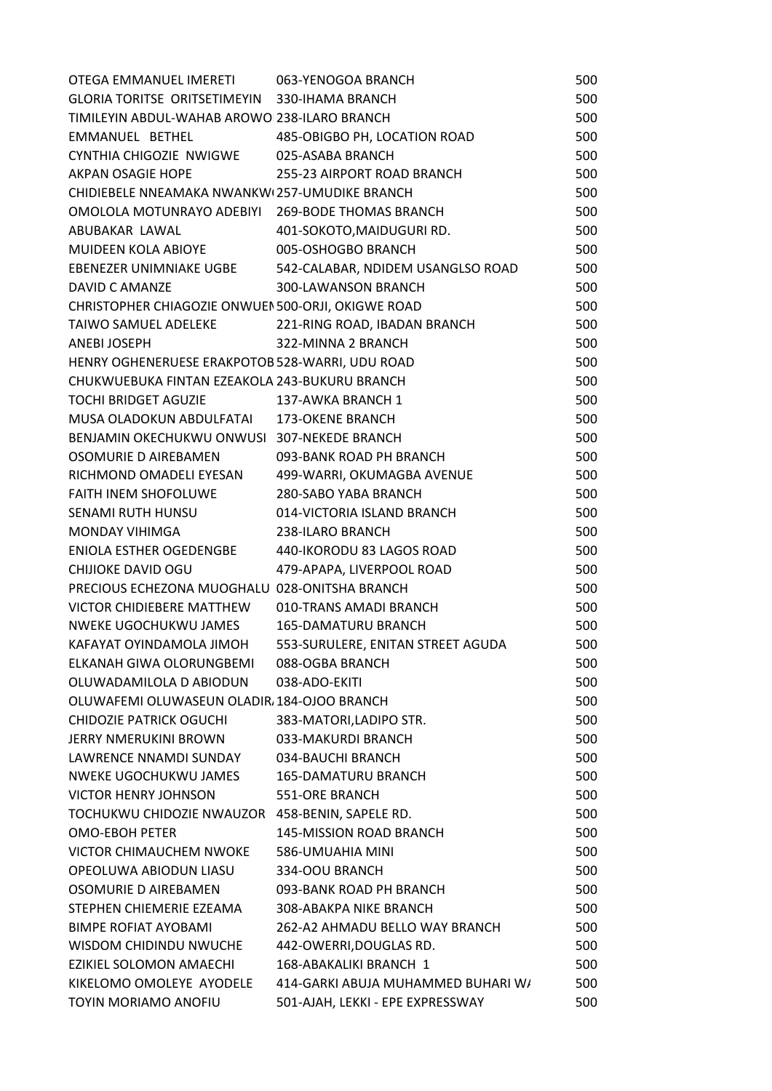| OTEGA EMMANUEL IMERETI                             | 063-YENOGOA BRANCH                                        | 500 |
|----------------------------------------------------|-----------------------------------------------------------|-----|
| GLORIA TORITSE ORITSETIMEYIN 330-IHAMA BRANCH      |                                                           | 500 |
| TIMILEYIN ABDUL-WAHAB AROWO 238-ILARO BRANCH       |                                                           | 500 |
| EMMANUEL BETHEL 485-OBIGBO PH, LOCATION ROAD       |                                                           | 500 |
| CYNTHIA CHIGOZIE NWIGWE                            | 025-ASABA BRANCH                                          | 500 |
| AKPAN OSAGIE HOPE                                  | 255-23 AIRPORT ROAD BRANCH                                | 500 |
| CHIDIEBELE NNEAMAKA NWANKW(257-UMUDIKE BRANCH      |                                                           | 500 |
| OMOLOLA MOTUNRAYO ADEBIYI 269-BODE THOMAS BRANCH   |                                                           | 500 |
| ABUBAKAR LAWAL NARAHA MARAKAT                      | 401-SOKOTO, MAIDUGURI RD.                                 | 500 |
| MUIDEEN KOLA ABIOYE                                | 005-OSHOGBO BRANCH                                        | 500 |
|                                                    | EBENEZER UNIMNIAKE UGBE 542-CALABAR, NDIDEM USANGLSO ROAD | 500 |
| DAVID C AMANZE                                     | <b>300-LAWANSON BRANCH</b>                                | 500 |
| CHRISTOPHER CHIAGOZIE ONWUEN 500-ORJI, OKIGWE ROAD |                                                           | 500 |
| TAIWO SAMUEL ADELEKE 221-RING ROAD, IBADAN BRANCH  |                                                           | 500 |
| ANEBI JOSEPH                                       | 322-MINNA 2 BRANCH                                        | 500 |
| HENRY OGHENERUESE ERAKPOTOB 528-WARRI, UDU ROAD    |                                                           | 500 |
| CHUKWUEBUKA FINTAN EZEAKOLA 243-BUKURU BRANCH      |                                                           | 500 |
| TOCHI BRIDGET AGUZIE 137-AWKA BRANCH 1             |                                                           | 500 |
| MUSA OLADOKUN ABDULFATAI 173-OKENE BRANCH          |                                                           | 500 |
| BENJAMIN OKECHUKWU ONWUSI 307-NEKEDE BRANCH        |                                                           | 500 |
| OSOMURIE D AIREBAMEN                               | 093-BANK ROAD PH BRANCH                                   | 500 |
|                                                    | RICHMOND OMADELI EYESAN 499-WARRI, OKUMAGBA AVENUE        | 500 |
| FAITH INEM SHOFOLUWE 280-SABO YABA BRANCH          |                                                           | 500 |
| SENAMI RUTH HUNSU 014-VICTORIA ISLAND BRANCH       |                                                           | 500 |
| MONDAY VIHIMGA                                     | 238-ILARO BRANCH                                          | 500 |
| ENIOLA ESTHER OGEDENGBE 440-IKORODU 83 LAGOS ROAD  |                                                           | 500 |
| CHIJIOKE DAVID OGU 479-APAPA, LIVERPOOL ROAD       |                                                           | 500 |
| PRECIOUS ECHEZONA MUOGHALU 028-ONITSHA BRANCH      |                                                           | 500 |
| VICTOR CHIDIEBERE MATTHEW                          | 010-TRANS AMADI BRANCH                                    | 500 |
| NWEKE UGOCHUKWU JAMES                              | <b>165-DAMATURU BRANCH</b>                                | 500 |
| KAFAYAT OYINDAMOLA JIMOH                           | 553-SURULERE, ENITAN STREET AGUDA                         | 500 |
| ELKANAH GIWA OLORUNGBEMI                           | 088-OGBA BRANCH                                           | 500 |
| OLUWADAMILOLA D ABIODUN                            | 038-ADO-EKITI                                             | 500 |
| OLUWAFEMI OLUWASEUN OLADIR, 184-OJOO BRANCH        |                                                           | 500 |
| <b>CHIDOZIE PATRICK OGUCHI</b>                     | 383-MATORI, LADIPO STR.                                   | 500 |
| JERRY NMERUKINI BROWN                              | 033-MAKURDI BRANCH                                        | 500 |
| LAWRENCE NNAMDI SUNDAY                             | 034-BAUCHI BRANCH                                         | 500 |
| NWEKE UGOCHUKWU JAMES                              | <b>165-DAMATURU BRANCH</b>                                | 500 |
| <b>VICTOR HENRY JOHNSON</b>                        | 551-ORE BRANCH                                            | 500 |
| TOCHUKWU CHIDOZIE NWAUZOR 458-BENIN, SAPELE RD.    |                                                           | 500 |
| <b>OMO-EBOH PETER</b>                              | 145-MISSION ROAD BRANCH                                   | 500 |
| VICTOR CHIMAUCHEM NWOKE                            | 586-UMUAHIA MINI                                          | 500 |
| OPEOLUWA ABIODUN LIASU                             | 334-OOU BRANCH                                            | 500 |
| OSOMURIE D AIREBAMEN                               | 093-BANK ROAD PH BRANCH                                   | 500 |
| STEPHEN CHIEMERIE EZEAMA                           | 308-ABAKPA NIKE BRANCH                                    | 500 |
| <b>BIMPE ROFIAT AYOBAMI</b>                        | 262-A2 AHMADU BELLO WAY BRANCH                            | 500 |
| WISDOM CHIDINDU NWUCHE                             | 442-OWERRI, DOUGLAS RD.                                   | 500 |
| EZIKIEL SOLOMON AMAECHI                            | 168-ABAKALIKI BRANCH 1                                    | 500 |
| KIKELOMO OMOLEYE AYODELE                           | 414-GARKI ABUJA MUHAMMED BUHARI W/                        | 500 |
| TOYIN MORIAMO ANOFIU                               | 501-AJAH, LEKKI - EPE EXPRESSWAY                          | 500 |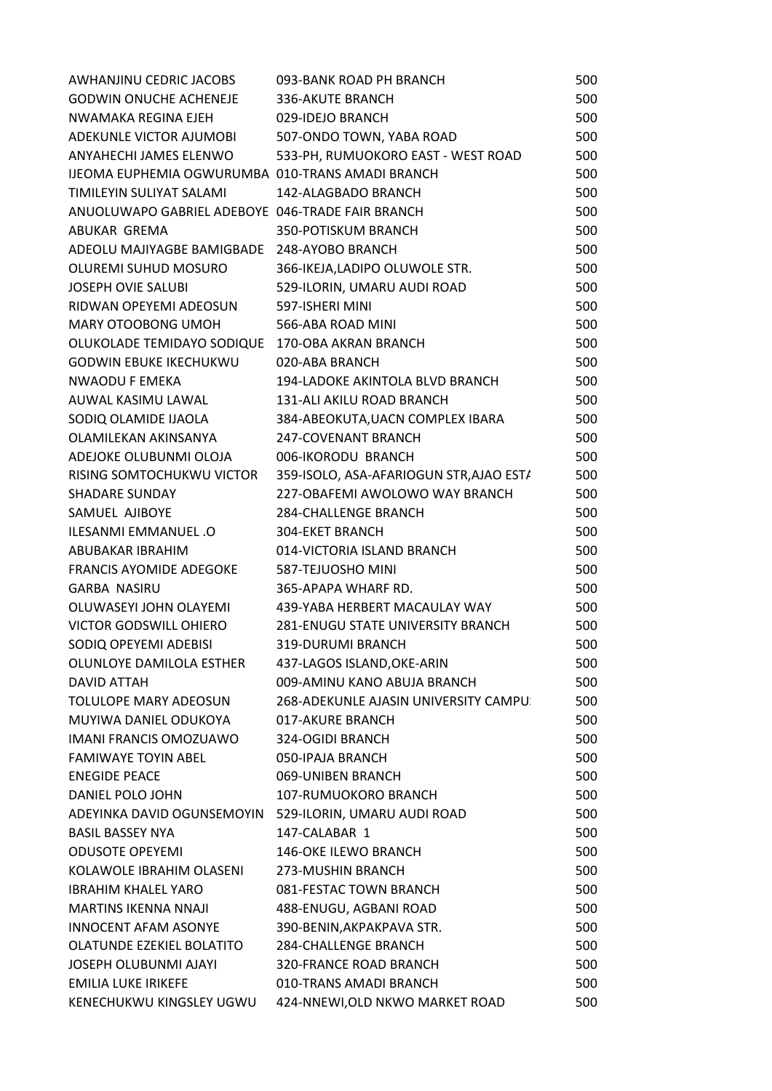| AWHANJINU CEDRIC JACOBS                          | 093-BANK ROAD PH BRANCH                  | 500 |
|--------------------------------------------------|------------------------------------------|-----|
| <b>GODWIN ONUCHE ACHENEJE</b>                    | 336-AKUTE BRANCH                         | 500 |
| NWAMAKA REGINA EJEH                              | 029-IDEJO BRANCH                         | 500 |
| ADEKUNLE VICTOR AJUMOBI                          | 507-ONDO TOWN, YABA ROAD                 | 500 |
| ANYAHECHI JAMES ELENWO                           | 533-PH, RUMUOKORO EAST - WEST ROAD       | 500 |
| IJEOMA EUPHEMIA OGWURUMBA 010-TRANS AMADI BRANCH |                                          | 500 |
| TIMILEYIN SULIYAT SALAMI                         | 142-ALAGBADO BRANCH                      | 500 |
| ANUOLUWAPO GABRIEL ADEBOYE 046-TRADE FAIR BRANCH |                                          | 500 |
| ABUKAR GREMA                                     | 350-POTISKUM BRANCH                      | 500 |
| ADEOLU MAJIYAGBE BAMIGBADE 248-AYOBO BRANCH      |                                          | 500 |
| OLUREMI SUHUD MOSURO                             | 366-IKEJA,LADIPO OLUWOLE STR.            | 500 |
| <b>JOSEPH OVIE SALUBI</b>                        | 529-ILORIN, UMARU AUDI ROAD              | 500 |
| RIDWAN OPEYEMI ADEOSUN                           | 597-ISHERI MINI                          | 500 |
| MARY OTOOBONG UMOH                               | 566-ABA ROAD MINI                        | 500 |
| OLUKOLADE TEMIDAYO SODIQUE 170-OBA AKRAN BRANCH  |                                          | 500 |
| <b>GODWIN EBUKE IKECHUKWU</b>                    | 020-ABA BRANCH                           | 500 |
| NWAODU F EMEKA                                   | 194-LADOKE AKINTOLA BLVD BRANCH          | 500 |
| AUWAL KASIMU LAWAL                               | 131-ALI AKILU ROAD BRANCH                | 500 |
| SODIQ OLAMIDE IJAOLA                             | 384-ABEOKUTA, UACN COMPLEX IBARA         | 500 |
| OLAMILEKAN AKINSANYA                             | 247-COVENANT BRANCH                      | 500 |
| ADEJOKE OLUBUNMI OLOJA                           | 006-IKORODU BRANCH                       | 500 |
| RISING SOMTOCHUKWU VICTOR                        | 359-ISOLO, ASA-AFARIOGUN STR, AJAO EST/  | 500 |
| <b>SHADARE SUNDAY</b>                            | 227-OBAFEMI AWOLOWO WAY BRANCH           | 500 |
| SAMUEL AJIBOYE                                   | <b>284-CHALLENGE BRANCH</b>              | 500 |
| ILESANMI EMMANUEL .O                             | 304-EKET BRANCH                          | 500 |
| ABUBAKAR IBRAHIM                                 | 014-VICTORIA ISLAND BRANCH               | 500 |
| <b>FRANCIS AYOMIDE ADEGOKE</b>                   | 587-TEJUOSHO MINI                        | 500 |
| <b>GARBA NASIRU</b>                              | 365-APAPA WHARF RD.                      | 500 |
| OLUWASEYI JOHN OLAYEMI                           | 439-YABA HERBERT MACAULAY WAY            | 500 |
| VICTOR GODSWILL OHIERO                           | <b>281-ENUGU STATE UNIVERSITY BRANCH</b> | 500 |
| SODIQ OPEYEMI ADEBISI                            | 319-DURUMI BRANCH                        | 500 |
| OLUNLOYE DAMILOLA ESTHER                         | 437-LAGOS ISLAND, OKE-ARIN               | 500 |
| <b>DAVID ATTAH</b>                               | 009-AMINU KANO ABUJA BRANCH              | 500 |
| TOLULOPE MARY ADEOSUN                            | 268-ADEKUNLE AJASIN UNIVERSITY CAMPU:    | 500 |
| MUYIWA DANIEL ODUKOYA                            | 017-AKURE BRANCH                         | 500 |
| <b>IMANI FRANCIS OMOZUAWO</b>                    | 324-OGIDI BRANCH                         | 500 |
| <b>FAMIWAYE TOYIN ABEL</b>                       | 050-IPAJA BRANCH                         | 500 |
| <b>ENEGIDE PEACE</b>                             | 069-UNIBEN BRANCH                        | 500 |
| DANIEL POLO JOHN                                 | 107-RUMUOKORO BRANCH                     | 500 |
| ADEYINKA DAVID OGUNSEMOYIN                       | 529-ILORIN, UMARU AUDI ROAD              | 500 |
| <b>BASIL BASSEY NYA</b>                          | 147-CALABAR 1                            | 500 |
| <b>ODUSOTE OPEYEMI</b>                           | <b>146-OKE ILEWO BRANCH</b>              | 500 |
| KOLAWOLE IBRAHIM OLASENI                         | 273-MUSHIN BRANCH                        | 500 |
| <b>IBRAHIM KHALEL YARO</b>                       | 081-FESTAC TOWN BRANCH                   | 500 |
| <b>MARTINS IKENNA NNAJI</b>                      | 488-ENUGU, AGBANI ROAD                   | 500 |
| <b>INNOCENT AFAM ASONYE</b>                      | 390-BENIN, AKPAKPAVA STR.                | 500 |
| OLATUNDE EZEKIEL BOLATITO                        | <b>284-CHALLENGE BRANCH</b>              | 500 |
| JOSEPH OLUBUNMI AJAYI                            | <b>320-FRANCE ROAD BRANCH</b>            | 500 |
| <b>EMILIA LUKE IRIKEFE</b>                       | 010-TRANS AMADI BRANCH                   | 500 |
| KENECHUKWU KINGSLEY UGWU                         | 424-NNEWI, OLD NKWO MARKET ROAD          | 500 |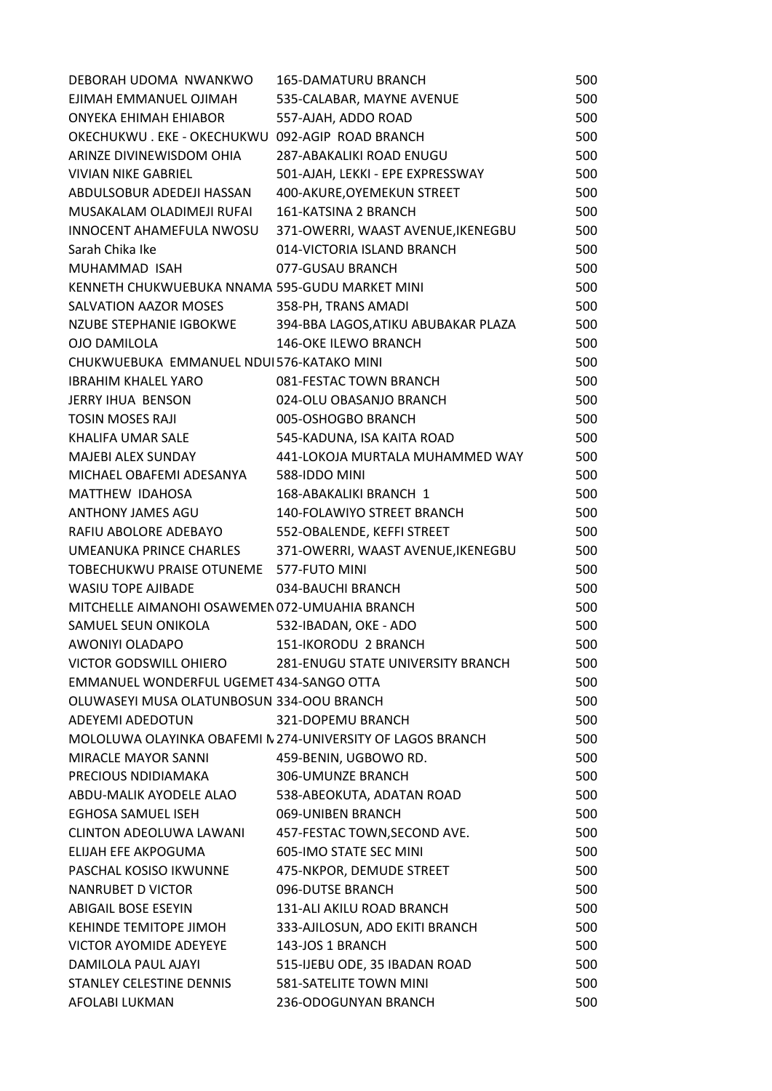| DEBORAH UDOMA NWANKWO                           | <b>165-DAMATURU BRANCH</b>                                 | 500 |
|-------------------------------------------------|------------------------------------------------------------|-----|
| EJIMAH EMMANUEL OJIMAH                          | 535-CALABAR, MAYNE AVENUE                                  | 500 |
| ONYEKA EHIMAH EHIABOR                           | 557-AJAH, ADDO ROAD                                        | 500 |
| OKECHUKWU. EKE - OKECHUKWU 092-AGIP ROAD BRANCH |                                                            | 500 |
| ARINZE DIVINEWISDOM OHIA                        | <b>287-ABAKALIKI ROAD ENUGU</b>                            | 500 |
| <b>VIVIAN NIKE GABRIEL</b>                      | 501-AJAH, LEKKI - EPE EXPRESSWAY                           | 500 |
| ABDULSOBUR ADEDEJI HASSAN                       | 400-AKURE, OYEMEKUN STREET                                 | 500 |
| MUSAKALAM OLADIMEJI RUFAI                       | 161-KATSINA 2 BRANCH                                       | 500 |
| INNOCENT AHAMEFULA NWOSU                        | 371-OWERRI, WAAST AVENUE, IKENEGBU                         | 500 |
| Sarah Chika Ike                                 | 014-VICTORIA ISLAND BRANCH                                 | 500 |
| MUHAMMAD ISAH                                   | 077-GUSAU BRANCH                                           | 500 |
| KENNETH CHUKWUEBUKA NNAMA 595-GUDU MARKET MINI  |                                                            | 500 |
| SALVATION AAZOR MOSES                           | 358-PH, TRANS AMADI                                        | 500 |
| NZUBE STEPHANIE IGBOKWE                         | 394-BBA LAGOS, ATIKU ABUBAKAR PLAZA                        | 500 |
| <b>OJO DAMILOLA</b>                             | <b>146-OKE ILEWO BRANCH</b>                                | 500 |
| CHUKWUEBUKA EMMANUEL NDUI576-KATAKO MINI        |                                                            | 500 |
| <b>IBRAHIM KHALEL YARO</b>                      | 081-FESTAC TOWN BRANCH                                     | 500 |
| JERRY IHUA BENSON                               | 024-OLU OBASANJO BRANCH                                    | 500 |
| <b>TOSIN MOSES RAJI</b>                         | 005-OSHOGBO BRANCH                                         | 500 |
| KHALIFA UMAR SALE                               | 545-KADUNA, ISA KAITA ROAD                                 | 500 |
| MAJEBI ALEX SUNDAY                              | 441-LOKOJA MURTALA MUHAMMED WAY                            | 500 |
| MICHAEL OBAFEMI ADESANYA                        | 588-IDDO MINI                                              | 500 |
| MATTHEW IDAHOSA                                 | 168-ABAKALIKI BRANCH 1                                     | 500 |
| ANTHONY JAMES AGU                               | 140-FOLAWIYO STREET BRANCH                                 | 500 |
| RAFIU ABOLORE ADEBAYO                           | 552-OBALENDE, KEFFI STREET                                 | 500 |
| UMEANUKA PRINCE CHARLES                         | 371-OWERRI, WAAST AVENUE, IKENEGBU                         | 500 |
| TOBECHUKWU PRAISE OTUNEME 577-FUTO MINI         |                                                            | 500 |
| <b>WASIU TOPE AJIBADE</b>                       | 034-BAUCHI BRANCH                                          | 500 |
| MITCHELLE AIMANOHI OSAWEMEN 072-UMUAHIA BRANCH  |                                                            | 500 |
| SAMUEL SEUN ONIKOLA                             | 532-IBADAN, OKE - ADO                                      | 500 |
| AWONIYI OLADAPO                                 | 151-IKORODU 2 BRANCH                                       | 500 |
| VICTOR GODSWILL OHIERO                          | <b>281-ENUGU STATE UNIVERSITY BRANCH</b>                   | 500 |
| EMMANUEL WONDERFUL UGEMET 434-SANGO OTTA        |                                                            | 500 |
| OLUWASEYI MUSA OLATUNBOSUN 334-OOU BRANCH       |                                                            | 500 |
| ADEYEMI ADEDOTUN                                | 321-DOPEMU BRANCH                                          | 500 |
|                                                 | MOLOLUWA OLAYINKA OBAFEMI N 274-UNIVERSITY OF LAGOS BRANCH | 500 |
| MIRACLE MAYOR SANNI                             | 459-BENIN, UGBOWO RD.                                      | 500 |
| PRECIOUS NDIDIAMAKA                             | 306-UMUNZE BRANCH                                          | 500 |
| ABDU-MALIK AYODELE ALAO                         | 538-ABEOKUTA, ADATAN ROAD                                  | 500 |
| EGHOSA SAMUEL ISEH                              | 069-UNIBEN BRANCH                                          | 500 |
| <b>CLINTON ADEOLUWA LAWANI</b>                  | 457-FESTAC TOWN, SECOND AVE.                               | 500 |
| ELIJAH EFE AKPOGUMA                             | 605-IMO STATE SEC MINI                                     | 500 |
| PASCHAL KOSISO IKWUNNE                          | 475-NKPOR, DEMUDE STREET                                   | 500 |
| NANRUBET D VICTOR                               | 096-DUTSE BRANCH                                           | 500 |
| <b>ABIGAIL BOSE ESEYIN</b>                      | 131-ALI AKILU ROAD BRANCH                                  | 500 |
| KEHINDE TEMITOPE JIMOH                          | 333-AJILOSUN, ADO EKITI BRANCH                             | 500 |
| VICTOR AYOMIDE ADEYEYE                          | 143-JOS 1 BRANCH                                           | 500 |
| DAMILOLA PAUL AJAYI                             | 515-IJEBU ODE, 35 IBADAN ROAD                              | 500 |
| STANLEY CELESTINE DENNIS                        | 581-SATELITE TOWN MINI                                     | 500 |
| AFOLABI LUKMAN                                  | 236-ODOGUNYAN BRANCH                                       | 500 |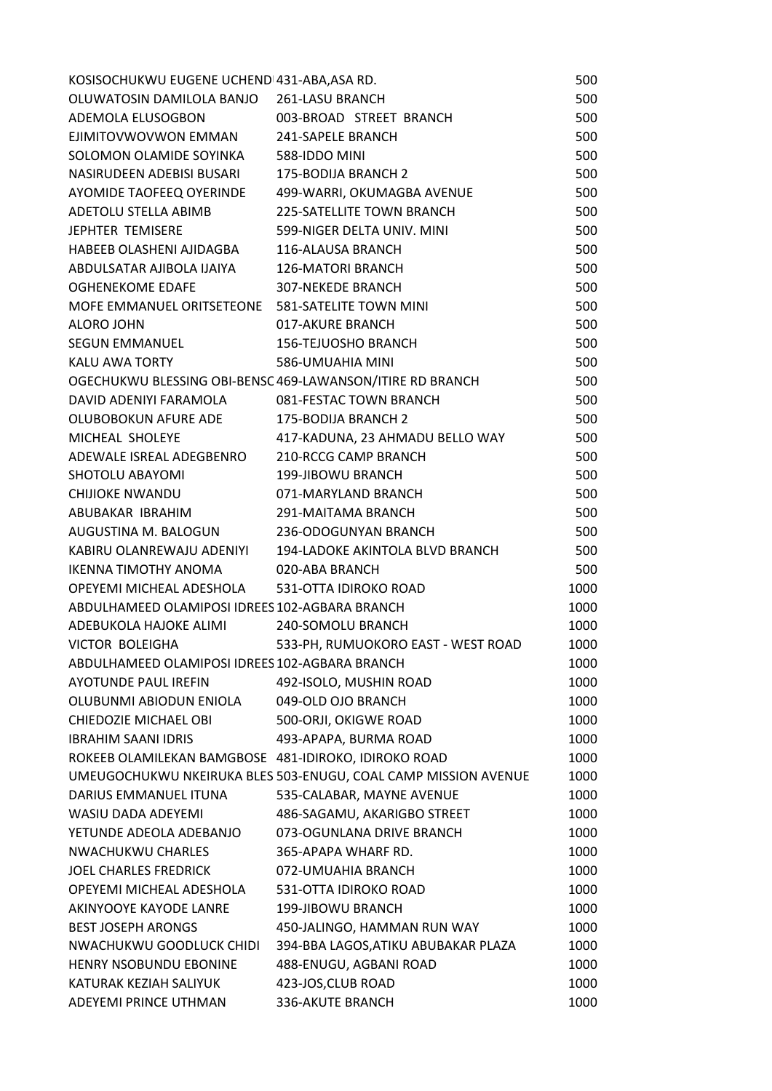| KOSISOCHUKWU EUGENE UCHEND 431-ABA, ASA RD.          |                                                                | 500  |
|------------------------------------------------------|----------------------------------------------------------------|------|
| OLUWATOSIN DAMILOLA BANJO 261-LASU BRANCH            |                                                                | 500  |
| ADEMOLA ELUSOGBON 003-BROAD STREET BRANCH            |                                                                | 500  |
| EJIMITOVWOVWON EMMAN 241-SAPELE BRANCH               |                                                                | 500  |
| SOLOMON OLAMIDE SOYINKA 588-IDDO MINI                |                                                                | 500  |
| NASIRUDEEN ADEBISI BUSARI 175-BODIJA BRANCH 2        |                                                                | 500  |
|                                                      | AYOMIDE TAOFEEQ OYERINDE 499-WARRI, OKUMAGBA AVENUE            | 500  |
| ADETOLU STELLA ABIMB                                 | 225-SATELLITE TOWN BRANCH                                      | 500  |
| JEPHTER TEMISERE                                     | 599-NIGER DELTA UNIV. MINI                                     | 500  |
| HABEEB OLASHENI AJIDAGBA 116-ALAUSA BRANCH           |                                                                | 500  |
| ABDULSATAR AJIBOLA IJAIYA 126-MATORI BRANCH          |                                                                | 500  |
| OGHENEKOME EDAFE                                     | 307-NEKEDE BRANCH                                              | 500  |
| MOFE EMMANUEL ORITSETEONE 581-SATELITE TOWN MINI     |                                                                | 500  |
| ALORO JOHN                                           | 017-AKURE BRANCH                                               | 500  |
| <b>SEGUN EMMANUEL</b>                                | 156-TEJUOSHO BRANCH                                            | 500  |
| KALU AWA TORTY                                       | 586-UMUAHIA MINI                                               | 500  |
|                                                      | OGECHUKWU BLESSING OBI-BENSC 469-LAWANSON/ITIRE RD BRANCH      | 500  |
| DAVID ADENIYI FARAMOLA 081-FESTAC TOWN BRANCH        |                                                                | 500  |
| OLUBOBOKUN AFURE ADE 175-BODIJA BRANCH 2             |                                                                | 500  |
|                                                      | MICHEAL SHOLEYE 417-KADUNA, 23 AHMADU BELLO WAY                | 500  |
| ADEWALE ISREAL ADEGBENRO 210-RCCG CAMP BRANCH        |                                                                | 500  |
| SHOTOLU ABAYOMI                                      | 199-JIBOWU BRANCH                                              | 500  |
| CHIJIOKE NWANDU                                      | 071-MARYLAND BRANCH                                            | 500  |
| ABUBAKAR IBRAHIM                                     | 291-MAITAMA BRANCH                                             | 500  |
| AUGUSTINA M. BALOGUN 236-ODOGUNYAN BRANCH            |                                                                | 500  |
|                                                      | KABIRU OLANREWAJU ADENIYI 194-LADOKE AKINTOLA BLVD BRANCH      | 500  |
| IKENNA TIMOTHY ANOMA 020-ABA BRANCH                  |                                                                | 500  |
| OPEYEMI MICHEAL ADESHOLA 531-OTTA IDIROKO ROAD       |                                                                | 1000 |
| ABDULHAMEED OLAMIPOSI IDREES 102-AGBARA BRANCH       |                                                                | 1000 |
| ADEBUKOLA HAJOKE ALIMI                               | 240-SOMOLU BRANCH                                              | 1000 |
| VICTOR BOLEIGHA                                      | 533-PH, RUMUOKORO EAST - WEST ROAD                             | 1000 |
| ABDULHAMEED OLAMIPOSI IDREES 102-AGBARA BRANCH       |                                                                | 1000 |
| <b>AYOTUNDE PAUL IREFIN</b>                          | 492-ISOLO, MUSHIN ROAD                                         | 1000 |
| OLUBUNMI ABIODUN ENIOLA                              | 049-OLD OJO BRANCH                                             | 1000 |
| CHIEDOZIE MICHAEL OBI                                | 500-ORJI, OKIGWE ROAD                                          | 1000 |
| <b>IBRAHIM SAANI IDRIS</b>                           | 493-APAPA, BURMA ROAD                                          | 1000 |
| ROKEEB OLAMILEKAN BAMGBOSE 481-IDIROKO, IDIROKO ROAD |                                                                | 1000 |
|                                                      | UMEUGOCHUKWU NKEIRUKA BLES 503-ENUGU, COAL CAMP MISSION AVENUE | 1000 |
| DARIUS EMMANUEL ITUNA                                | 535-CALABAR, MAYNE AVENUE                                      | 1000 |
| WASIU DADA ADEYEMI                                   | 486-SAGAMU, AKARIGBO STREET                                    | 1000 |
| YETUNDE ADEOLA ADEBANJO                              | 073-OGUNLANA DRIVE BRANCH                                      | 1000 |
| NWACHUKWU CHARLES                                    | 365-APAPA WHARF RD.                                            | 1000 |
| JOEL CHARLES FREDRICK                                | 072-UMUAHIA BRANCH                                             | 1000 |
| OPEYEMI MICHEAL ADESHOLA                             | 531-OTTA IDIROKO ROAD                                          | 1000 |
| AKINYOOYE KAYODE LANRE                               | 199-JIBOWU BRANCH                                              | 1000 |
| <b>BEST JOSEPH ARONGS</b>                            | 450-JALINGO, HAMMAN RUN WAY                                    | 1000 |
| NWACHUKWU GOODLUCK CHIDI                             | 394-BBA LAGOS, ATIKU ABUBAKAR PLAZA                            | 1000 |
| HENRY NSOBUNDU EBONINE                               | 488-ENUGU, AGBANI ROAD                                         | 1000 |
| KATURAK KEZIAH SALIYUK                               | 423-JOS, CLUB ROAD                                             | 1000 |
| ADEYEMI PRINCE UTHMAN                                | 336-AKUTE BRANCH                                               | 1000 |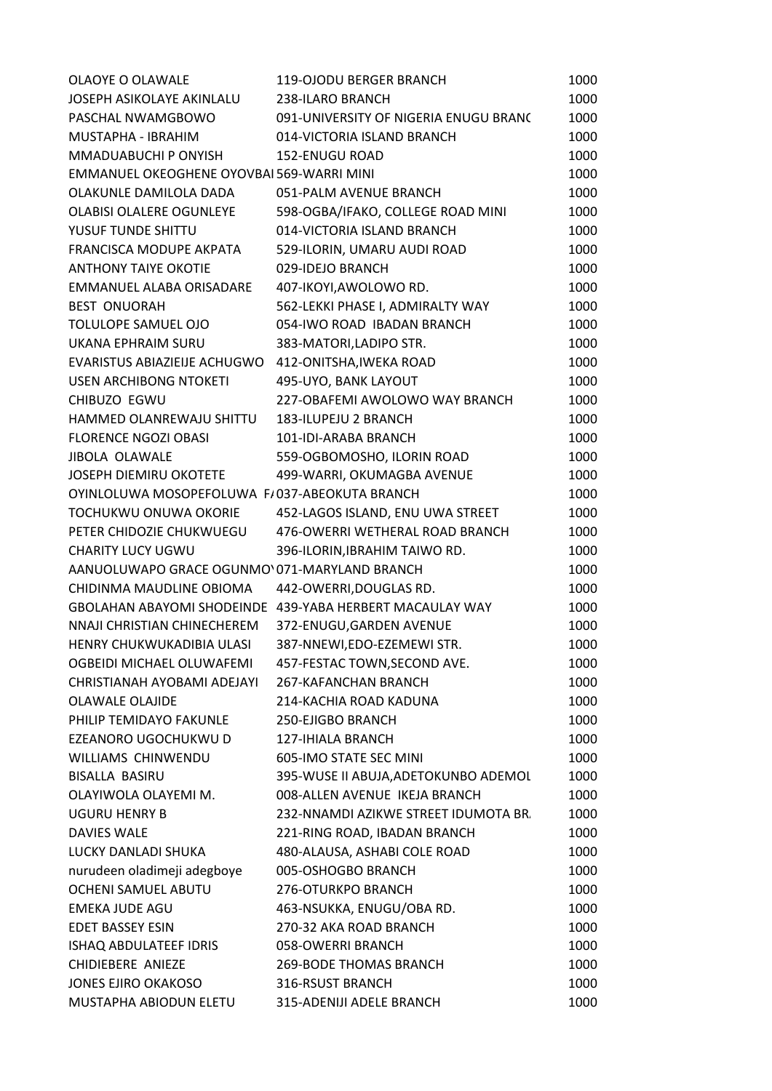| OLAOYE O OLAWALE                              | <b>119-OJODU BERGER BRANCH</b>                           | 1000 |
|-----------------------------------------------|----------------------------------------------------------|------|
| <b>JOSEPH ASIKOLAYE AKINLALU</b>              | 238-ILARO BRANCH                                         | 1000 |
| PASCHAL NWAMGBOWO                             | 091-UNIVERSITY OF NIGERIA ENUGU BRANC                    | 1000 |
| MUSTAPHA - IBRAHIM                            | 014-VICTORIA ISLAND BRANCH                               | 1000 |
| MMADUABUCHI P ONYISH                          | <b>152-ENUGU ROAD</b>                                    | 1000 |
| EMMANUEL OKEOGHENE OYOVBAI 569-WARRI MINI     |                                                          | 1000 |
| OLAKUNLE DAMILOLA DADA                        | 051-PALM AVENUE BRANCH                                   | 1000 |
| <b>OLABISI OLALERE OGUNLEYE</b>               | 598-OGBA/IFAKO, COLLEGE ROAD MINI                        | 1000 |
| YUSUF TUNDE SHITTU                            | 014-VICTORIA ISLAND BRANCH                               | 1000 |
| FRANCISCA MODUPE AKPATA                       | 529-ILORIN, UMARU AUDI ROAD                              | 1000 |
| <b>ANTHONY TAIYE OKOTIE</b>                   | 029-IDEJO BRANCH                                         | 1000 |
| EMMANUEL ALABA ORISADARE                      | 407-IKOYI, AWOLOWO RD.                                   | 1000 |
| <b>BEST ONUORAH</b>                           | 562-LEKKI PHASE I, ADMIRALTY WAY                         | 1000 |
| TOLULOPE SAMUEL OJO                           | 054-IWO ROAD IBADAN BRANCH                               | 1000 |
| UKANA EPHRAIM SURU                            | 383-MATORI, LADIPO STR.                                  | 1000 |
| EVARISTUS ABIAZIEIJE ACHUGWO                  | 412-ONITSHA, IWEKA ROAD                                  | 1000 |
| <b>USEN ARCHIBONG NTOKETI</b>                 | 495-UYO, BANK LAYOUT                                     | 1000 |
| CHIBUZO EGWU                                  | 227-OBAFEMI AWOLOWO WAY BRANCH                           | 1000 |
| HAMMED OLANREWAJU SHITTU                      | 183-ILUPEJU 2 BRANCH                                     | 1000 |
| <b>FLORENCE NGOZI OBASI</b>                   | 101-IDI-ARABA BRANCH                                     | 1000 |
| JIBOLA OLAWALE                                | 559-OGBOMOSHO, ILORIN ROAD                               | 1000 |
| <b>JOSEPH DIEMIRU OKOTETE</b>                 | 499-WARRI, OKUMAGBA AVENUE                               | 1000 |
| OYINLOLUWA MOSOPEFOLUWA F/037-ABEOKUTA BRANCH |                                                          | 1000 |
| TOCHUKWU ONUWA OKORIE                         | 452-LAGOS ISLAND, ENU UWA STREET                         | 1000 |
| PETER CHIDOZIE CHUKWUEGU                      | 476-OWERRI WETHERAL ROAD BRANCH                          | 1000 |
| <b>CHARITY LUCY UGWU</b>                      | 396-ILORIN, IBRAHIM TAIWO RD.                            | 1000 |
| AANUOLUWAPO GRACE OGUNMO'071-MARYLAND BRANCH  |                                                          | 1000 |
| CHIDINMA MAUDLINE OBIOMA                      | 442-OWERRI, DOUGLAS RD.                                  | 1000 |
|                                               | GBOLAHAN ABAYOMI SHODEINDE 439-YABA HERBERT MACAULAY WAY | 1000 |
| NNAJI CHRISTIAN CHINECHEREM                   | 372-ENUGU, GARDEN AVENUE                                 | 1000 |
| HENRY CHUKWUKADIBIA ULASI                     | 387-NNEWI, EDO-EZEMEWI STR.                              | 1000 |
| OGBEIDI MICHAEL OLUWAFEMI                     | 457-FESTAC TOWN, SECOND AVE.                             | 1000 |
| CHRISTIANAH AYOBAMI ADEJAYI                   | 267-KAFANCHAN BRANCH                                     | 1000 |
| <b>OLAWALE OLAJIDE</b>                        | 214-KACHIA ROAD KADUNA                                   | 1000 |
| PHILIP TEMIDAYO FAKUNLE                       | 250-EJIGBO BRANCH                                        | 1000 |
| EZEANORO UGOCHUKWU D                          | <b>127-IHIALA BRANCH</b>                                 | 1000 |
| WILLIAMS CHINWENDU                            | 605-IMO STATE SEC MINI                                   | 1000 |
| BISALLA BASIRU                                | 395-WUSE II ABUJA, ADETOKUNBO ADEMOL                     | 1000 |
| OLAYIWOLA OLAYEMI M.                          | 008-ALLEN AVENUE IKEJA BRANCH                            | 1000 |
| <b>UGURU HENRY B</b>                          | 232-NNAMDI AZIKWE STREET IDUMOTA BR.                     | 1000 |
| DAVIES WALE                                   | 221-RING ROAD, IBADAN BRANCH                             | 1000 |
| LUCKY DANLADI SHUKA                           | 480-ALAUSA, ASHABI COLE ROAD                             | 1000 |
| nurudeen oladimeji adegboye                   | 005-OSHOGBO BRANCH                                       | 1000 |
| OCHENI SAMUEL ABUTU                           | 276-OTURKPO BRANCH                                       | 1000 |
| <b>EMEKA JUDE AGU</b>                         | 463-NSUKKA, ENUGU/OBA RD.                                | 1000 |
| <b>EDET BASSEY ESIN</b>                       | 270-32 AKA ROAD BRANCH                                   | 1000 |
| ISHAQ ABDULATEEF IDRIS                        | 058-OWERRI BRANCH                                        | 1000 |
| CHIDIEBERE ANIEZE                             | <b>269-BODE THOMAS BRANCH</b>                            | 1000 |
| <b>JONES EJIRO OKAKOSO</b>                    | 316-RSUST BRANCH                                         | 1000 |
| MUSTAPHA ABIODUN ELETU                        | 315-ADENIJI ADELE BRANCH                                 | 1000 |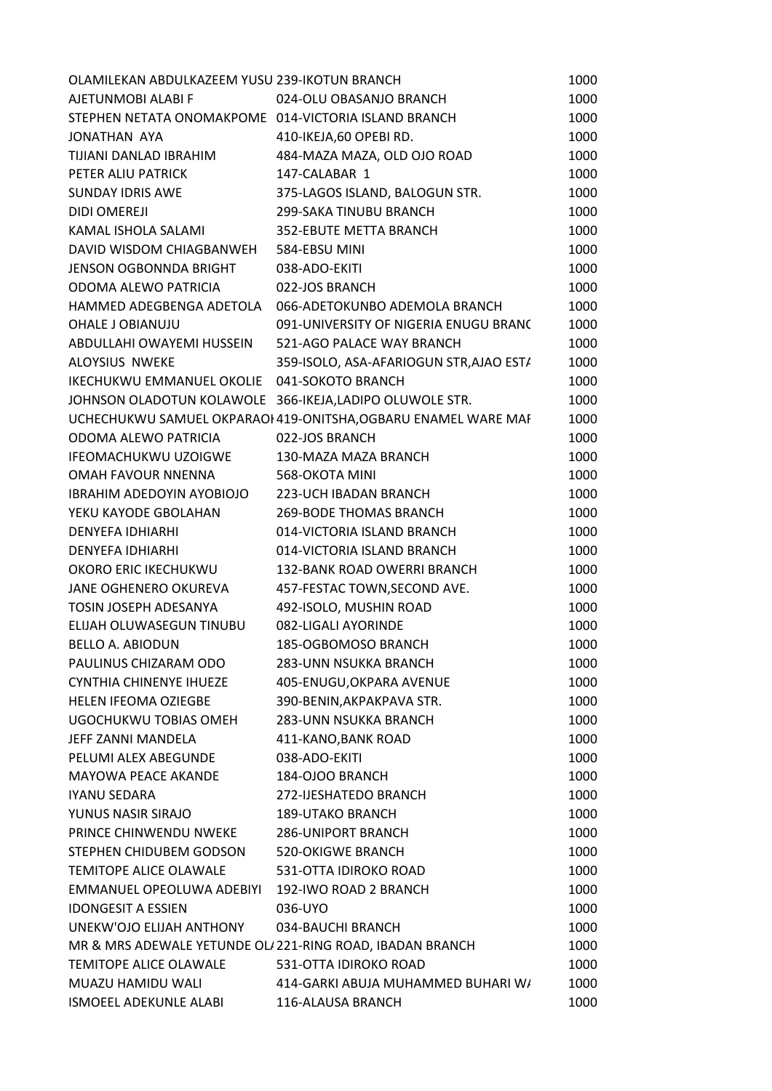| OLAMILEKAN ABDULKAZEEM YUSU 239-IKOTUN BRANCH            |                                                                | 1000 |
|----------------------------------------------------------|----------------------------------------------------------------|------|
| AJETUNMOBI ALABI F                                       | 024-OLU OBASANJO BRANCH                                        | 1000 |
| STEPHEN NETATA ONOMAKPOME 014-VICTORIA ISLAND BRANCH     |                                                                | 1000 |
| JONATHAN AYA                                             | 410-IKEJA,60 OPEBI RD.                                         | 1000 |
| TIJIANI DANLAD IBRAHIM                                   | 484-MAZA MAZA, OLD OJO ROAD                                    | 1000 |
| PETER ALIU PATRICK                                       | 147-CALABAR 1                                                  | 1000 |
| SUNDAY IDRIS AWE                                         | 375-LAGOS ISLAND, BALOGUN STR.                                 | 1000 |
| <b>DIDI OMEREJI</b>                                      | 299-SAKA TINUBU BRANCH                                         | 1000 |
| KAMAL ISHOLA SALAMI                                      | 352-EBUTE METTA BRANCH                                         | 1000 |
| DAVID WISDOM CHIAGBANWEH                                 | 584-EBSU MINI                                                  | 1000 |
| <b>JENSON OGBONNDA BRIGHT</b>                            | 038-ADO-EKITI                                                  | 1000 |
| ODOMA ALEWO PATRICIA                                     | 022-JOS BRANCH                                                 | 1000 |
| HAMMED ADEGBENGA ADETOLA                                 | 066-ADETOKUNBO ADEMOLA BRANCH                                  | 1000 |
| OHALE J OBIANUJU                                         | 091-UNIVERSITY OF NIGERIA ENUGU BRANC                          | 1000 |
| ABDULLAHI OWAYEMI HUSSEIN                                | 521-AGO PALACE WAY BRANCH                                      | 1000 |
| ALOYSIUS NWEKE                                           | 359-ISOLO, ASA-AFARIOGUN STR, AJAO ESTA                        | 1000 |
| IKECHUKWU EMMANUEL OKOLIE 041-SOKOTO BRANCH              |                                                                | 1000 |
|                                                          | JOHNSON OLADOTUN KOLAWOLE 366-IKEJA, LADIPO OLUWOLE STR.       | 1000 |
|                                                          | UCHECHUKWU SAMUEL OKPARAOI 419-ONITSHA, OGBARU ENAMEL WARE MAF | 1000 |
| ODOMA ALEWO PATRICIA                                     | 022-JOS BRANCH                                                 | 1000 |
| IFEOMACHUKWU UZOIGWE                                     | 130-MAZA MAZA BRANCH                                           | 1000 |
| OMAH FAVOUR NNENNA                                       | 568-OKOTA MINI                                                 | 1000 |
| IBRAHIM ADEDOYIN AYOBIOJO                                | 223-UCH IBADAN BRANCH                                          | 1000 |
| YEKU KAYODE GBOLAHAN                                     | <b>269-BODE THOMAS BRANCH</b>                                  | 1000 |
| <b>DENYEFA IDHIARHI</b>                                  | 014-VICTORIA ISLAND BRANCH                                     | 1000 |
| <b>DENYEFA IDHIARHI</b>                                  | 014-VICTORIA ISLAND BRANCH                                     | 1000 |
| OKORO ERIC IKECHUKWU                                     | 132-BANK ROAD OWERRI BRANCH                                    | 1000 |
| JANE OGHENERO OKUREVA                                    | 457-FESTAC TOWN, SECOND AVE.                                   | 1000 |
| TOSIN JOSEPH ADESANYA                                    | 492-ISOLO, MUSHIN ROAD                                         | 1000 |
| ELIJAH OLUWASEGUN TINUBU                                 | 082-LIGALI AYORINDE                                            | 1000 |
| BELLO A. ABIODUN                                         | 185-OGBOMOSO BRANCH                                            | 1000 |
| PAULINUS CHIZARAM ODO                                    | <b>283-UNN NSUKKA BRANCH</b>                                   | 1000 |
| <b>CYNTHIA CHINENYE IHUEZE</b>                           | 405-ENUGU, OKPARA AVENUE                                       | 1000 |
| HELEN IFEOMA OZIEGBE                                     | 390-BENIN, AKPAKPAVA STR.                                      | 1000 |
| UGOCHUKWU TOBIAS OMEH                                    | <b>283-UNN NSUKKA BRANCH</b>                                   | 1000 |
| JEFF ZANNI MANDELA                                       | 411-KANO, BANK ROAD                                            | 1000 |
| PELUMI ALEX ABEGUNDE                                     | 038-ADO-EKITI                                                  | 1000 |
| MAYOWA PEACE AKANDE                                      | 184-OJOO BRANCH                                                | 1000 |
|                                                          |                                                                |      |
| IYANU SEDARA                                             | 272-IJESHATEDO BRANCH                                          | 1000 |
| YUNUS NASIR SIRAJO                                       | <b>189-UTAKO BRANCH</b>                                        | 1000 |
| PRINCE CHINWENDU NWEKE                                   | <b>286-UNIPORT BRANCH</b>                                      | 1000 |
| STEPHEN CHIDUBEM GODSON                                  | <b>520-OKIGWE BRANCH</b>                                       | 1000 |
| <b>TEMITOPE ALICE OLAWALE</b>                            | 531-OTTA IDIROKO ROAD                                          | 1000 |
| EMMANUEL OPEOLUWA ADEBIYI                                | 192-IWO ROAD 2 BRANCH                                          | 1000 |
| <b>IDONGESIT A ESSIEN</b>                                | 036-UYO                                                        | 1000 |
| UNEKW'OJO ELIJAH ANTHONY                                 | 034-BAUCHI BRANCH                                              | 1000 |
| MR & MRS ADEWALE YETUNDE OL/221-RING ROAD, IBADAN BRANCH |                                                                | 1000 |
| <b>TEMITOPE ALICE OLAWALE</b>                            | 531-OTTA IDIROKO ROAD                                          | 1000 |
| MUAZU HAMIDU WALI                                        | 414-GARKI ABUJA MUHAMMED BUHARI W/                             | 1000 |
| ISMOEEL ADEKUNLE ALABI                                   | 116-ALAUSA BRANCH                                              | 1000 |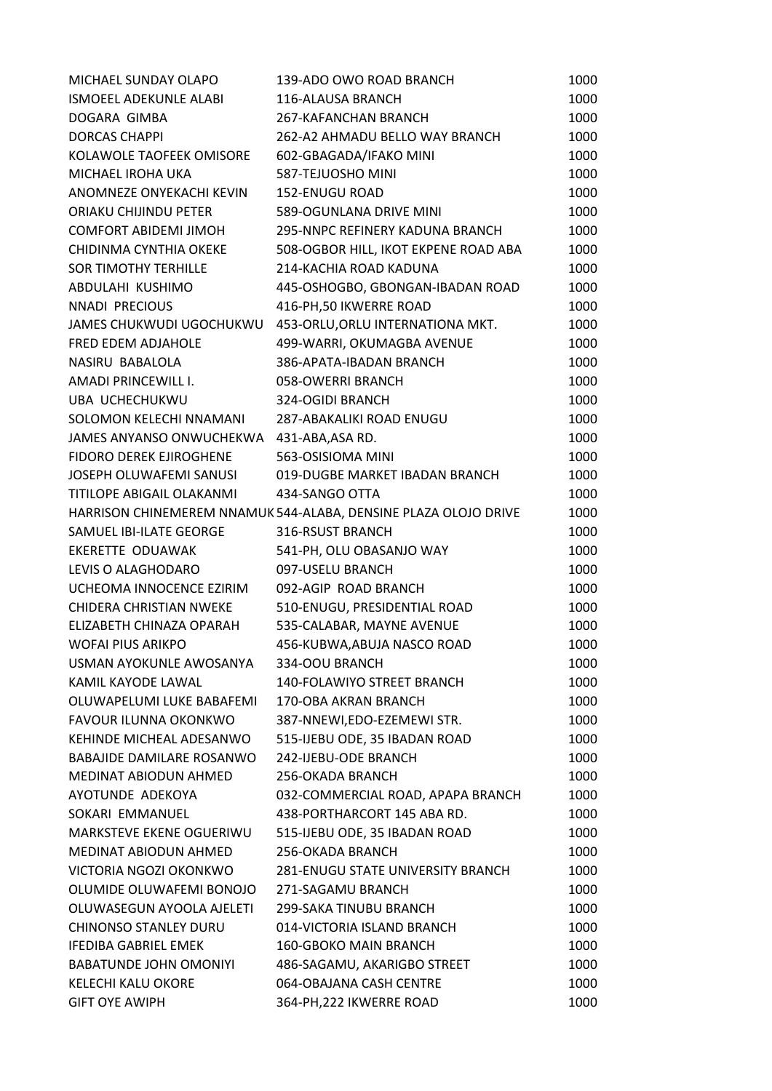| 116-ALAUSA BRANCH<br>1000<br>267-KAFANCHAN BRANCH<br>1000<br><b>DORCAS CHAPPI</b><br>262-A2 AHMADU BELLO WAY BRANCH<br>1000<br>1000<br>KOLAWOLE TAOFEEK OMISORE<br>602-GBAGADA/IFAKO MINI<br>587-TEJUOSHO MINI<br>1000<br>152-ENUGU ROAD<br>1000<br>589-OGUNLANA DRIVE MINI<br>1000<br>295-NNPC REFINERY KADUNA BRANCH<br>1000<br>508-OGBOR HILL, IKOT EKPENE ROAD ABA<br>1000<br>214-KACHIA ROAD KADUNA<br>1000<br>445-OSHOGBO, GBONGAN-IBADAN ROAD<br>1000<br>416-PH, 50 IKWERRE ROAD<br>1000<br>453-ORLU, ORLU INTERNATIONA MKT.<br>1000<br>499-WARRI, OKUMAGBA AVENUE<br>1000<br>386-APATA-IBADAN BRANCH<br>1000<br>1000<br>058-OWERRI BRANCH<br>324-OGIDI BRANCH<br>1000<br>287-ABAKALIKI ROAD ENUGU<br>1000<br>JAMES ANYANSO ONWUCHEKWA 431-ABA, ASA RD.<br>1000<br>563-OSISIOMA MINI<br>1000<br>019-DUGBE MARKET IBADAN BRANCH<br>1000<br>434-SANGO OTTA<br>1000<br>1000<br>HARRISON CHINEMEREM NNAMUK 544-ALABA, DENSINE PLAZA OLOJO DRIVE<br>316-RSUST BRANCH<br>1000<br>541-PH, OLU OBASANJO WAY<br>1000<br>097-USELU BRANCH<br>1000<br>092-AGIP ROAD BRANCH<br>1000<br>510-ENUGU, PRESIDENTIAL ROAD<br>1000<br>535-CALABAR, MAYNE AVENUE<br>1000<br>456-KUBWA, ABUJA NASCO ROAD<br>1000<br>USMAN AYOKUNLE AWOSANYA<br>334-OOU BRANCH<br>1000<br><b>140-FOLAWIYO STREET BRANCH</b><br>1000<br>170-OBA AKRAN BRANCH<br>1000<br>FAVOUR ILUNNA OKONKWO<br>387-NNEWI,EDO-EZEMEWI STR.<br>1000<br>515-IJEBU ODE, 35 IBADAN ROAD<br>KEHINDE MICHEAL ADESANWO<br>1000<br>242-IJEBU-ODE BRANCH<br><b>BABAJIDE DAMILARE ROSANWO</b><br>1000<br>1000<br>256-OKADA BRANCH<br>032-COMMERCIAL ROAD, APAPA BRANCH<br>1000<br>438-PORTHARCORT 145 ABA RD.<br>SOKARI EMMANUEL<br>1000<br>MARKSTEVE EKENE OGUERIWU<br>515-IJEBU ODE, 35 IBADAN ROAD<br>1000<br>MEDINAT ABIODUN AHMED<br>256-OKADA BRANCH<br>1000<br>281-ENUGU STATE UNIVERSITY BRANCH<br>1000<br>OLUMIDE OLUWAFEMI BONOJO<br>271-SAGAMU BRANCH<br>1000<br>OLUWASEGUN AYOOLA AJELETI<br>299-SAKA TINUBU BRANCH<br>1000<br><b>CHINONSO STANLEY DURU</b><br>014-VICTORIA ISLAND BRANCH<br>1000<br><b>160-GBOKO MAIN BRANCH</b><br>1000<br>486-SAGAMU, AKARIGBO STREET<br>1000<br>064-OBAJANA CASH CENTRE<br>1000<br><b>GIFT OYE AWIPH</b><br>364-PH, 222 IKWERRE ROAD<br>1000 | MICHAEL SUNDAY OLAPO           | 139-ADO OWO ROAD BRANCH | 1000 |
|-------------------------------------------------------------------------------------------------------------------------------------------------------------------------------------------------------------------------------------------------------------------------------------------------------------------------------------------------------------------------------------------------------------------------------------------------------------------------------------------------------------------------------------------------------------------------------------------------------------------------------------------------------------------------------------------------------------------------------------------------------------------------------------------------------------------------------------------------------------------------------------------------------------------------------------------------------------------------------------------------------------------------------------------------------------------------------------------------------------------------------------------------------------------------------------------------------------------------------------------------------------------------------------------------------------------------------------------------------------------------------------------------------------------------------------------------------------------------------------------------------------------------------------------------------------------------------------------------------------------------------------------------------------------------------------------------------------------------------------------------------------------------------------------------------------------------------------------------------------------------------------------------------------------------------------------------------------------------------------------------------------------------------------------------------------------------------------------------------------------------------------------------------------------------------------------------------------------------------------|--------------------------------|-------------------------|------|
|                                                                                                                                                                                                                                                                                                                                                                                                                                                                                                                                                                                                                                                                                                                                                                                                                                                                                                                                                                                                                                                                                                                                                                                                                                                                                                                                                                                                                                                                                                                                                                                                                                                                                                                                                                                                                                                                                                                                                                                                                                                                                                                                                                                                                                     | ISMOEEL ADEKUNLE ALABI         |                         |      |
|                                                                                                                                                                                                                                                                                                                                                                                                                                                                                                                                                                                                                                                                                                                                                                                                                                                                                                                                                                                                                                                                                                                                                                                                                                                                                                                                                                                                                                                                                                                                                                                                                                                                                                                                                                                                                                                                                                                                                                                                                                                                                                                                                                                                                                     | DOGARA GIMBA                   |                         |      |
|                                                                                                                                                                                                                                                                                                                                                                                                                                                                                                                                                                                                                                                                                                                                                                                                                                                                                                                                                                                                                                                                                                                                                                                                                                                                                                                                                                                                                                                                                                                                                                                                                                                                                                                                                                                                                                                                                                                                                                                                                                                                                                                                                                                                                                     |                                |                         |      |
|                                                                                                                                                                                                                                                                                                                                                                                                                                                                                                                                                                                                                                                                                                                                                                                                                                                                                                                                                                                                                                                                                                                                                                                                                                                                                                                                                                                                                                                                                                                                                                                                                                                                                                                                                                                                                                                                                                                                                                                                                                                                                                                                                                                                                                     |                                |                         |      |
|                                                                                                                                                                                                                                                                                                                                                                                                                                                                                                                                                                                                                                                                                                                                                                                                                                                                                                                                                                                                                                                                                                                                                                                                                                                                                                                                                                                                                                                                                                                                                                                                                                                                                                                                                                                                                                                                                                                                                                                                                                                                                                                                                                                                                                     | MICHAEL IROHA UKA              |                         |      |
|                                                                                                                                                                                                                                                                                                                                                                                                                                                                                                                                                                                                                                                                                                                                                                                                                                                                                                                                                                                                                                                                                                                                                                                                                                                                                                                                                                                                                                                                                                                                                                                                                                                                                                                                                                                                                                                                                                                                                                                                                                                                                                                                                                                                                                     | ANOMNEZE ONYEKACHI KEVIN       |                         |      |
|                                                                                                                                                                                                                                                                                                                                                                                                                                                                                                                                                                                                                                                                                                                                                                                                                                                                                                                                                                                                                                                                                                                                                                                                                                                                                                                                                                                                                                                                                                                                                                                                                                                                                                                                                                                                                                                                                                                                                                                                                                                                                                                                                                                                                                     | ORIAKU CHIJINDU PETER          |                         |      |
|                                                                                                                                                                                                                                                                                                                                                                                                                                                                                                                                                                                                                                                                                                                                                                                                                                                                                                                                                                                                                                                                                                                                                                                                                                                                                                                                                                                                                                                                                                                                                                                                                                                                                                                                                                                                                                                                                                                                                                                                                                                                                                                                                                                                                                     | <b>COMFORT ABIDEMI JIMOH</b>   |                         |      |
|                                                                                                                                                                                                                                                                                                                                                                                                                                                                                                                                                                                                                                                                                                                                                                                                                                                                                                                                                                                                                                                                                                                                                                                                                                                                                                                                                                                                                                                                                                                                                                                                                                                                                                                                                                                                                                                                                                                                                                                                                                                                                                                                                                                                                                     | CHIDINMA CYNTHIA OKEKE         |                         |      |
|                                                                                                                                                                                                                                                                                                                                                                                                                                                                                                                                                                                                                                                                                                                                                                                                                                                                                                                                                                                                                                                                                                                                                                                                                                                                                                                                                                                                                                                                                                                                                                                                                                                                                                                                                                                                                                                                                                                                                                                                                                                                                                                                                                                                                                     | <b>SOR TIMOTHY TERHILLE</b>    |                         |      |
|                                                                                                                                                                                                                                                                                                                                                                                                                                                                                                                                                                                                                                                                                                                                                                                                                                                                                                                                                                                                                                                                                                                                                                                                                                                                                                                                                                                                                                                                                                                                                                                                                                                                                                                                                                                                                                                                                                                                                                                                                                                                                                                                                                                                                                     | ABDULAHI KUSHIMO               |                         |      |
|                                                                                                                                                                                                                                                                                                                                                                                                                                                                                                                                                                                                                                                                                                                                                                                                                                                                                                                                                                                                                                                                                                                                                                                                                                                                                                                                                                                                                                                                                                                                                                                                                                                                                                                                                                                                                                                                                                                                                                                                                                                                                                                                                                                                                                     | NNADI PRECIOUS                 |                         |      |
|                                                                                                                                                                                                                                                                                                                                                                                                                                                                                                                                                                                                                                                                                                                                                                                                                                                                                                                                                                                                                                                                                                                                                                                                                                                                                                                                                                                                                                                                                                                                                                                                                                                                                                                                                                                                                                                                                                                                                                                                                                                                                                                                                                                                                                     | JAMES CHUKWUDI UGOCHUKWU       |                         |      |
|                                                                                                                                                                                                                                                                                                                                                                                                                                                                                                                                                                                                                                                                                                                                                                                                                                                                                                                                                                                                                                                                                                                                                                                                                                                                                                                                                                                                                                                                                                                                                                                                                                                                                                                                                                                                                                                                                                                                                                                                                                                                                                                                                                                                                                     | FRED EDEM ADJAHOLE             |                         |      |
|                                                                                                                                                                                                                                                                                                                                                                                                                                                                                                                                                                                                                                                                                                                                                                                                                                                                                                                                                                                                                                                                                                                                                                                                                                                                                                                                                                                                                                                                                                                                                                                                                                                                                                                                                                                                                                                                                                                                                                                                                                                                                                                                                                                                                                     | NASIRU BABALOLA                |                         |      |
|                                                                                                                                                                                                                                                                                                                                                                                                                                                                                                                                                                                                                                                                                                                                                                                                                                                                                                                                                                                                                                                                                                                                                                                                                                                                                                                                                                                                                                                                                                                                                                                                                                                                                                                                                                                                                                                                                                                                                                                                                                                                                                                                                                                                                                     | AMADI PRINCEWILL I.            |                         |      |
|                                                                                                                                                                                                                                                                                                                                                                                                                                                                                                                                                                                                                                                                                                                                                                                                                                                                                                                                                                                                                                                                                                                                                                                                                                                                                                                                                                                                                                                                                                                                                                                                                                                                                                                                                                                                                                                                                                                                                                                                                                                                                                                                                                                                                                     | UBA UCHECHUKWU                 |                         |      |
|                                                                                                                                                                                                                                                                                                                                                                                                                                                                                                                                                                                                                                                                                                                                                                                                                                                                                                                                                                                                                                                                                                                                                                                                                                                                                                                                                                                                                                                                                                                                                                                                                                                                                                                                                                                                                                                                                                                                                                                                                                                                                                                                                                                                                                     | SOLOMON KELECHI NNAMANI        |                         |      |
|                                                                                                                                                                                                                                                                                                                                                                                                                                                                                                                                                                                                                                                                                                                                                                                                                                                                                                                                                                                                                                                                                                                                                                                                                                                                                                                                                                                                                                                                                                                                                                                                                                                                                                                                                                                                                                                                                                                                                                                                                                                                                                                                                                                                                                     |                                |                         |      |
|                                                                                                                                                                                                                                                                                                                                                                                                                                                                                                                                                                                                                                                                                                                                                                                                                                                                                                                                                                                                                                                                                                                                                                                                                                                                                                                                                                                                                                                                                                                                                                                                                                                                                                                                                                                                                                                                                                                                                                                                                                                                                                                                                                                                                                     | <b>FIDORO DEREK EJIROGHENE</b> |                         |      |
|                                                                                                                                                                                                                                                                                                                                                                                                                                                                                                                                                                                                                                                                                                                                                                                                                                                                                                                                                                                                                                                                                                                                                                                                                                                                                                                                                                                                                                                                                                                                                                                                                                                                                                                                                                                                                                                                                                                                                                                                                                                                                                                                                                                                                                     | JOSEPH OLUWAFEMI SANUSI        |                         |      |
|                                                                                                                                                                                                                                                                                                                                                                                                                                                                                                                                                                                                                                                                                                                                                                                                                                                                                                                                                                                                                                                                                                                                                                                                                                                                                                                                                                                                                                                                                                                                                                                                                                                                                                                                                                                                                                                                                                                                                                                                                                                                                                                                                                                                                                     | TITILOPE ABIGAIL OLAKANMI      |                         |      |
|                                                                                                                                                                                                                                                                                                                                                                                                                                                                                                                                                                                                                                                                                                                                                                                                                                                                                                                                                                                                                                                                                                                                                                                                                                                                                                                                                                                                                                                                                                                                                                                                                                                                                                                                                                                                                                                                                                                                                                                                                                                                                                                                                                                                                                     |                                |                         |      |
|                                                                                                                                                                                                                                                                                                                                                                                                                                                                                                                                                                                                                                                                                                                                                                                                                                                                                                                                                                                                                                                                                                                                                                                                                                                                                                                                                                                                                                                                                                                                                                                                                                                                                                                                                                                                                                                                                                                                                                                                                                                                                                                                                                                                                                     | SAMUEL IBI-ILATE GEORGE        |                         |      |
|                                                                                                                                                                                                                                                                                                                                                                                                                                                                                                                                                                                                                                                                                                                                                                                                                                                                                                                                                                                                                                                                                                                                                                                                                                                                                                                                                                                                                                                                                                                                                                                                                                                                                                                                                                                                                                                                                                                                                                                                                                                                                                                                                                                                                                     | EKERETTE ODUAWAK               |                         |      |
|                                                                                                                                                                                                                                                                                                                                                                                                                                                                                                                                                                                                                                                                                                                                                                                                                                                                                                                                                                                                                                                                                                                                                                                                                                                                                                                                                                                                                                                                                                                                                                                                                                                                                                                                                                                                                                                                                                                                                                                                                                                                                                                                                                                                                                     | LEVIS O ALAGHODARO             |                         |      |
|                                                                                                                                                                                                                                                                                                                                                                                                                                                                                                                                                                                                                                                                                                                                                                                                                                                                                                                                                                                                                                                                                                                                                                                                                                                                                                                                                                                                                                                                                                                                                                                                                                                                                                                                                                                                                                                                                                                                                                                                                                                                                                                                                                                                                                     | UCHEOMA INNOCENCE EZIRIM       |                         |      |
|                                                                                                                                                                                                                                                                                                                                                                                                                                                                                                                                                                                                                                                                                                                                                                                                                                                                                                                                                                                                                                                                                                                                                                                                                                                                                                                                                                                                                                                                                                                                                                                                                                                                                                                                                                                                                                                                                                                                                                                                                                                                                                                                                                                                                                     | <b>CHIDERA CHRISTIAN NWEKE</b> |                         |      |
|                                                                                                                                                                                                                                                                                                                                                                                                                                                                                                                                                                                                                                                                                                                                                                                                                                                                                                                                                                                                                                                                                                                                                                                                                                                                                                                                                                                                                                                                                                                                                                                                                                                                                                                                                                                                                                                                                                                                                                                                                                                                                                                                                                                                                                     | ELIZABETH CHINAZA OPARAH       |                         |      |
|                                                                                                                                                                                                                                                                                                                                                                                                                                                                                                                                                                                                                                                                                                                                                                                                                                                                                                                                                                                                                                                                                                                                                                                                                                                                                                                                                                                                                                                                                                                                                                                                                                                                                                                                                                                                                                                                                                                                                                                                                                                                                                                                                                                                                                     | <b>WOFAI PIUS ARIKPO</b>       |                         |      |
|                                                                                                                                                                                                                                                                                                                                                                                                                                                                                                                                                                                                                                                                                                                                                                                                                                                                                                                                                                                                                                                                                                                                                                                                                                                                                                                                                                                                                                                                                                                                                                                                                                                                                                                                                                                                                                                                                                                                                                                                                                                                                                                                                                                                                                     |                                |                         |      |
|                                                                                                                                                                                                                                                                                                                                                                                                                                                                                                                                                                                                                                                                                                                                                                                                                                                                                                                                                                                                                                                                                                                                                                                                                                                                                                                                                                                                                                                                                                                                                                                                                                                                                                                                                                                                                                                                                                                                                                                                                                                                                                                                                                                                                                     | KAMIL KAYODE LAWAL             |                         |      |
|                                                                                                                                                                                                                                                                                                                                                                                                                                                                                                                                                                                                                                                                                                                                                                                                                                                                                                                                                                                                                                                                                                                                                                                                                                                                                                                                                                                                                                                                                                                                                                                                                                                                                                                                                                                                                                                                                                                                                                                                                                                                                                                                                                                                                                     | OLUWAPELUMI LUKE BABAFEMI      |                         |      |
|                                                                                                                                                                                                                                                                                                                                                                                                                                                                                                                                                                                                                                                                                                                                                                                                                                                                                                                                                                                                                                                                                                                                                                                                                                                                                                                                                                                                                                                                                                                                                                                                                                                                                                                                                                                                                                                                                                                                                                                                                                                                                                                                                                                                                                     |                                |                         |      |
|                                                                                                                                                                                                                                                                                                                                                                                                                                                                                                                                                                                                                                                                                                                                                                                                                                                                                                                                                                                                                                                                                                                                                                                                                                                                                                                                                                                                                                                                                                                                                                                                                                                                                                                                                                                                                                                                                                                                                                                                                                                                                                                                                                                                                                     |                                |                         |      |
|                                                                                                                                                                                                                                                                                                                                                                                                                                                                                                                                                                                                                                                                                                                                                                                                                                                                                                                                                                                                                                                                                                                                                                                                                                                                                                                                                                                                                                                                                                                                                                                                                                                                                                                                                                                                                                                                                                                                                                                                                                                                                                                                                                                                                                     |                                |                         |      |
|                                                                                                                                                                                                                                                                                                                                                                                                                                                                                                                                                                                                                                                                                                                                                                                                                                                                                                                                                                                                                                                                                                                                                                                                                                                                                                                                                                                                                                                                                                                                                                                                                                                                                                                                                                                                                                                                                                                                                                                                                                                                                                                                                                                                                                     | <b>MEDINAT ABIODUN AHMED</b>   |                         |      |
|                                                                                                                                                                                                                                                                                                                                                                                                                                                                                                                                                                                                                                                                                                                                                                                                                                                                                                                                                                                                                                                                                                                                                                                                                                                                                                                                                                                                                                                                                                                                                                                                                                                                                                                                                                                                                                                                                                                                                                                                                                                                                                                                                                                                                                     | AYOTUNDE ADEKOYA               |                         |      |
|                                                                                                                                                                                                                                                                                                                                                                                                                                                                                                                                                                                                                                                                                                                                                                                                                                                                                                                                                                                                                                                                                                                                                                                                                                                                                                                                                                                                                                                                                                                                                                                                                                                                                                                                                                                                                                                                                                                                                                                                                                                                                                                                                                                                                                     |                                |                         |      |
|                                                                                                                                                                                                                                                                                                                                                                                                                                                                                                                                                                                                                                                                                                                                                                                                                                                                                                                                                                                                                                                                                                                                                                                                                                                                                                                                                                                                                                                                                                                                                                                                                                                                                                                                                                                                                                                                                                                                                                                                                                                                                                                                                                                                                                     |                                |                         |      |
|                                                                                                                                                                                                                                                                                                                                                                                                                                                                                                                                                                                                                                                                                                                                                                                                                                                                                                                                                                                                                                                                                                                                                                                                                                                                                                                                                                                                                                                                                                                                                                                                                                                                                                                                                                                                                                                                                                                                                                                                                                                                                                                                                                                                                                     |                                |                         |      |
|                                                                                                                                                                                                                                                                                                                                                                                                                                                                                                                                                                                                                                                                                                                                                                                                                                                                                                                                                                                                                                                                                                                                                                                                                                                                                                                                                                                                                                                                                                                                                                                                                                                                                                                                                                                                                                                                                                                                                                                                                                                                                                                                                                                                                                     | VICTORIA NGOZI OKONKWO         |                         |      |
|                                                                                                                                                                                                                                                                                                                                                                                                                                                                                                                                                                                                                                                                                                                                                                                                                                                                                                                                                                                                                                                                                                                                                                                                                                                                                                                                                                                                                                                                                                                                                                                                                                                                                                                                                                                                                                                                                                                                                                                                                                                                                                                                                                                                                                     |                                |                         |      |
|                                                                                                                                                                                                                                                                                                                                                                                                                                                                                                                                                                                                                                                                                                                                                                                                                                                                                                                                                                                                                                                                                                                                                                                                                                                                                                                                                                                                                                                                                                                                                                                                                                                                                                                                                                                                                                                                                                                                                                                                                                                                                                                                                                                                                                     |                                |                         |      |
|                                                                                                                                                                                                                                                                                                                                                                                                                                                                                                                                                                                                                                                                                                                                                                                                                                                                                                                                                                                                                                                                                                                                                                                                                                                                                                                                                                                                                                                                                                                                                                                                                                                                                                                                                                                                                                                                                                                                                                                                                                                                                                                                                                                                                                     |                                |                         |      |
|                                                                                                                                                                                                                                                                                                                                                                                                                                                                                                                                                                                                                                                                                                                                                                                                                                                                                                                                                                                                                                                                                                                                                                                                                                                                                                                                                                                                                                                                                                                                                                                                                                                                                                                                                                                                                                                                                                                                                                                                                                                                                                                                                                                                                                     | <b>IFEDIBA GABRIEL EMEK</b>    |                         |      |
|                                                                                                                                                                                                                                                                                                                                                                                                                                                                                                                                                                                                                                                                                                                                                                                                                                                                                                                                                                                                                                                                                                                                                                                                                                                                                                                                                                                                                                                                                                                                                                                                                                                                                                                                                                                                                                                                                                                                                                                                                                                                                                                                                                                                                                     | <b>BABATUNDE JOHN OMONIYI</b>  |                         |      |
|                                                                                                                                                                                                                                                                                                                                                                                                                                                                                                                                                                                                                                                                                                                                                                                                                                                                                                                                                                                                                                                                                                                                                                                                                                                                                                                                                                                                                                                                                                                                                                                                                                                                                                                                                                                                                                                                                                                                                                                                                                                                                                                                                                                                                                     | KELECHI KALU OKORE             |                         |      |
|                                                                                                                                                                                                                                                                                                                                                                                                                                                                                                                                                                                                                                                                                                                                                                                                                                                                                                                                                                                                                                                                                                                                                                                                                                                                                                                                                                                                                                                                                                                                                                                                                                                                                                                                                                                                                                                                                                                                                                                                                                                                                                                                                                                                                                     |                                |                         |      |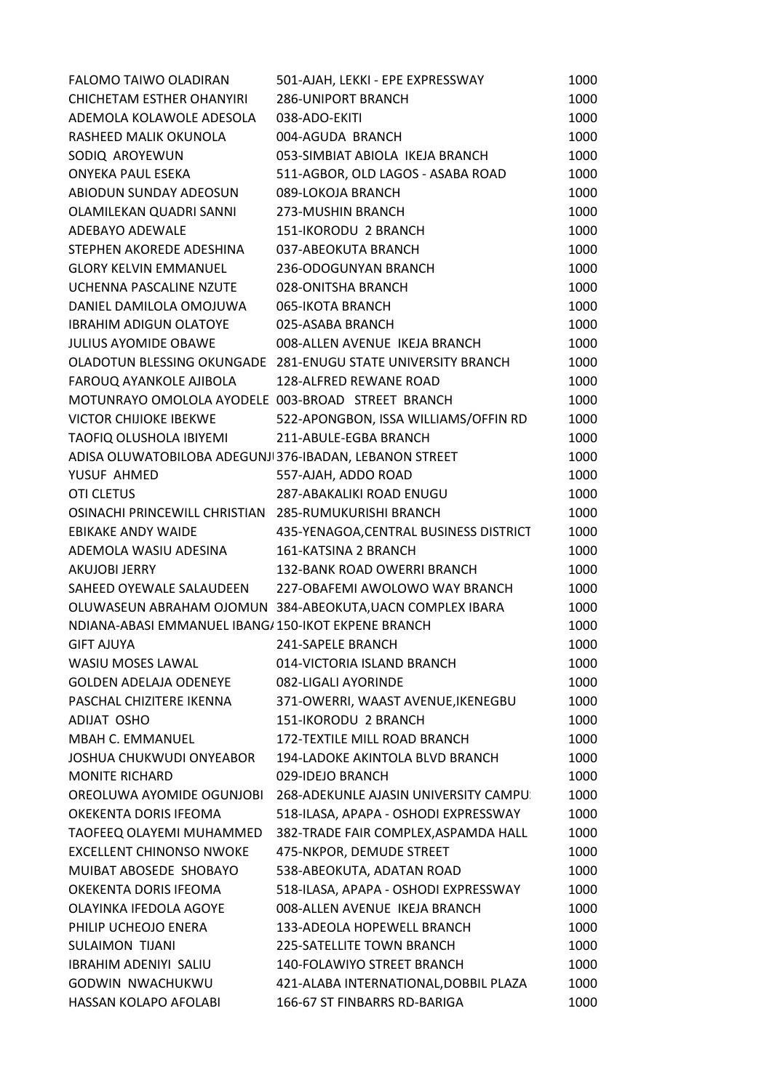| FALOMO TAIWO OLADIRAN                                   | 501-AJAH, LEKKI - EPE EXPRESSWAY                             | 1000 |
|---------------------------------------------------------|--------------------------------------------------------------|------|
| <b>CHICHETAM ESTHER OHANYIRI</b>                        | <b>286-UNIPORT BRANCH</b>                                    | 1000 |
| ADEMOLA KOLAWOLE ADESOLA                                | 038-ADO-EKITI                                                | 1000 |
| RASHEED MALIK OKUNOLA                                   | 004-AGUDA BRANCH                                             | 1000 |
| SODIQ AROYEWUN                                          | 053-SIMBIAT ABIOLA IKEJA BRANCH                              | 1000 |
| <b>ONYEKA PAUL ESEKA</b>                                | 511-AGBOR, OLD LAGOS - ASABA ROAD                            | 1000 |
| ABIODUN SUNDAY ADEOSUN                                  | 089-LOKOJA BRANCH                                            | 1000 |
| OLAMILEKAN QUADRI SANNI                                 | 273-MUSHIN BRANCH                                            | 1000 |
| ADEBAYO ADEWALE                                         | 151-IKORODU 2 BRANCH                                         | 1000 |
| STEPHEN AKOREDE ADESHINA                                | 037-ABEOKUTA BRANCH                                          | 1000 |
| <b>GLORY KELVIN EMMANUEL</b>                            | 236-ODOGUNYAN BRANCH                                         | 1000 |
| UCHENNA PASCALINE NZUTE                                 | 028-ONITSHA BRANCH                                           | 1000 |
| DANIEL DAMILOLA OMOJUWA                                 | 065-IKOTA BRANCH                                             | 1000 |
| <b>IBRAHIM ADIGUN OLATOYE</b>                           | 025-ASABA BRANCH                                             | 1000 |
| <b>JULIUS AYOMIDE OBAWE</b>                             | 008-ALLEN AVENUE IKEJA BRANCH                                | 1000 |
|                                                         | OLADOTUN BLESSING OKUNGADE 281-ENUGU STATE UNIVERSITY BRANCH | 1000 |
| FAROUQ AYANKOLE AJIBOLA                                 | 128-ALFRED REWANE ROAD                                       | 1000 |
| MOTUNRAYO OMOLOLA AYODELE 003-BROAD STREET BRANCH       |                                                              | 1000 |
| <b>VICTOR CHIJIOKE IBEKWE</b>                           | 522-APONGBON, ISSA WILLIAMS/OFFIN RD                         | 1000 |
| TAOFIQ OLUSHOLA IBIYEMI                                 | 211-ABULE-EGBA BRANCH                                        | 1000 |
| ADISA OLUWATOBILOBA ADEGUNJI 376-IBADAN, LEBANON STREET |                                                              | 1000 |
| YUSUF AHMED                                             | 557-AJAH, ADDO ROAD                                          | 1000 |
| <b>OTI CLETUS</b>                                       | 287-ABAKALIKI ROAD ENUGU                                     | 1000 |
| OSINACHI PRINCEWILL CHRISTIAN 285-RUMUKURISHI BRANCH    |                                                              | 1000 |
| <b>EBIKAKE ANDY WAIDE</b>                               | 435-YENAGOA, CENTRAL BUSINESS DISTRICT                       | 1000 |
| ADEMOLA WASIU ADESINA                                   | 161-KATSINA 2 BRANCH                                         | 1000 |
| AKUJOBI JERRY                                           | 132-BANK ROAD OWERRI BRANCH                                  | 1000 |
| SAHEED OYEWALE SALAUDEEN                                | 227-OBAFEMI AWOLOWO WAY BRANCH                               | 1000 |
|                                                         | OLUWASEUN ABRAHAM OJOMUN 384-ABEOKUTA, UACN COMPLEX IBARA    | 1000 |
| NDIANA-ABASI EMMANUEL IBANG/150-IKOT EKPENE BRANCH      |                                                              | 1000 |
| <b>GIFT AJUYA</b>                                       | 241-SAPELE BRANCH                                            | 1000 |
| <b>WASIU MOSES LAWAL</b>                                | 014-VICTORIA ISLAND BRANCH                                   | 1000 |
| <b>GOLDEN ADELAJA ODENEYE</b>                           | 082-LIGALI AYORINDE                                          | 1000 |
| PASCHAL CHIZITERE IKENNA                                | 371-OWERRI, WAAST AVENUE, IKENEGBU                           | 1000 |
| ADIJAT OSHO                                             | 151-IKORODU 2 BRANCH                                         | 1000 |
| <b>MBAH C. EMMANUEL</b>                                 | 172-TEXTILE MILL ROAD BRANCH                                 | 1000 |
| <b>JOSHUA CHUKWUDI ONYEABOR</b>                         | 194-LADOKE AKINTOLA BLVD BRANCH                              | 1000 |
| <b>MONITE RICHARD</b>                                   | 029-IDEJO BRANCH                                             | 1000 |
| OREOLUWA AYOMIDE OGUNJOBI                               | 268-ADEKUNLE AJASIN UNIVERSITY CAMPU:                        | 1000 |
| OKEKENTA DORIS IFEOMA                                   | 518-ILASA, APAPA - OSHODI EXPRESSWAY                         | 1000 |
| TAOFEEQ OLAYEMI MUHAMMED                                | 382-TRADE FAIR COMPLEX, ASPAMDA HALL                         | 1000 |
| <b>EXCELLENT CHINONSO NWOKE</b>                         | 475-NKPOR, DEMUDE STREET                                     | 1000 |
| MUIBAT ABOSEDE SHOBAYO                                  | 538-ABEOKUTA, ADATAN ROAD                                    | 1000 |
| OKEKENTA DORIS IFEOMA                                   | 518-ILASA, APAPA - OSHODI EXPRESSWAY                         | 1000 |
| OLAYINKA IFEDOLA AGOYE                                  | 008-ALLEN AVENUE IKEJA BRANCH                                | 1000 |
| PHILIP UCHEOJO ENERA                                    | 133-ADEOLA HOPEWELL BRANCH                                   | 1000 |
| <b>SULAIMON TIJANI</b>                                  | <b>225-SATELLITE TOWN BRANCH</b>                             | 1000 |
| <b>IBRAHIM ADENIYI SALIU</b>                            | <b>140-FOLAWIYO STREET BRANCH</b>                            | 1000 |
| GODWIN NWACHUKWU                                        | 421-ALABA INTERNATIONAL, DOBBIL PLAZA                        | 1000 |
| HASSAN KOLAPO AFOLABI                                   | 166-67 ST FINBARRS RD-BARIGA                                 | 1000 |
|                                                         |                                                              |      |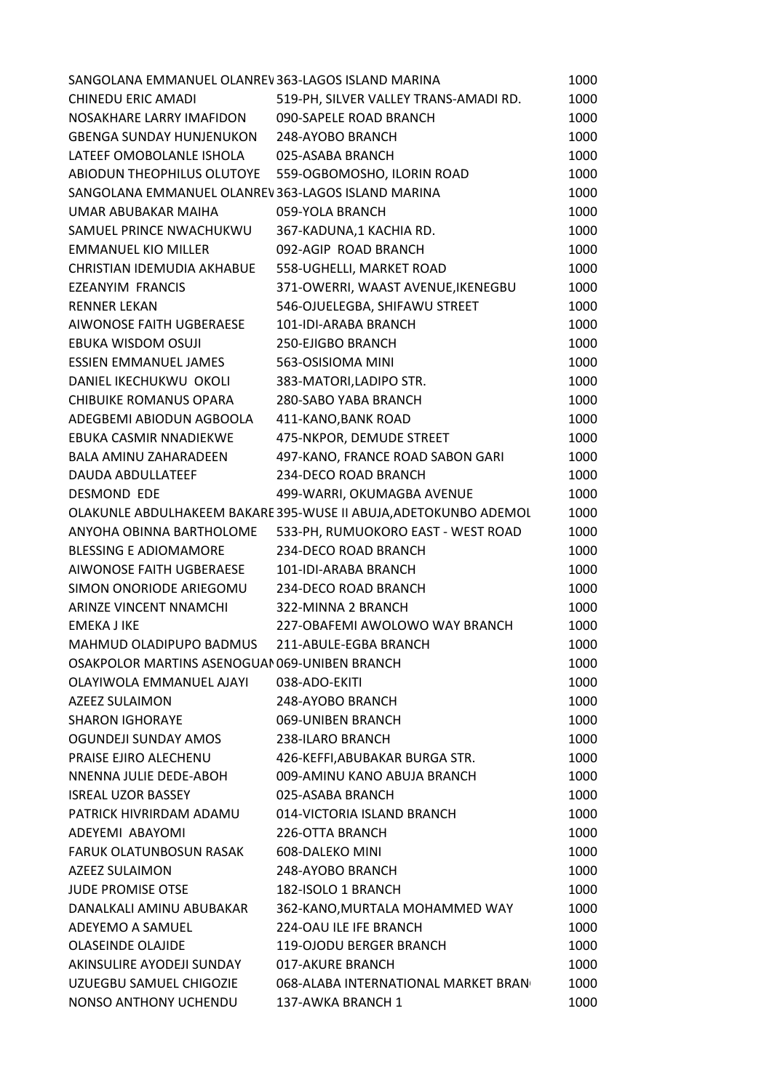| 519-PH, SILVER VALLEY TRANS-AMADI RD.<br>1000<br>090-SAPELE ROAD BRANCH<br>1000<br>1000<br>248-AYOBO BRANCH<br>1000<br>025-ASABA BRANCH<br>ABIODUN THEOPHILUS OLUTOYE 559-OGBOMOSHO, ILORIN ROAD<br>1000<br>1000<br>SANGOLANA EMMANUEL OLANREV363-LAGOS ISLAND MARINA<br>059-YOLA BRANCH<br>1000<br>367-KADUNA,1 KACHIA RD.<br>1000<br>092-AGIP ROAD BRANCH<br>1000<br>558-UGHELLI, MARKET ROAD<br>1000<br>371-OWERRI, WAAST AVENUE, IKENEGBU<br>1000<br>546-OJUELEGBA, SHIFAWU STREET<br>1000<br>101-IDI-ARABA BRANCH<br>1000<br>1000<br>250-EJIGBO BRANCH<br>563-OSISIOMA MINI<br>1000<br>383-MATORI, LADIPO STR.<br>1000<br>1000<br>280-SABO YABA BRANCH<br>1000<br>411-KANO, BANK ROAD<br>475-NKPOR, DEMUDE STREET<br>1000<br>497-KANO, FRANCE ROAD SABON GARI<br>1000<br>234-DECO ROAD BRANCH<br>1000<br>499-WARRI, OKUMAGBA AVENUE<br>1000<br>OLAKUNLE ABDULHAKEEM BAKARE 395-WUSE II ABUJA, ADETOKUNBO ADEMOL<br>1000<br>533-PH, RUMUOKORO EAST - WEST ROAD<br>1000<br>234-DECO ROAD BRANCH<br>1000<br>1000<br>101-IDI-ARABA BRANCH<br>SIMON ONORIODE ARIEGOMU 234-DECO ROAD BRANCH<br>1000<br>322-MINNA 2 BRANCH<br>1000<br>227-OBAFEMI AWOLOWO WAY BRANCH<br>1000<br>1000<br>211-ABULE-EGBA BRANCH<br>OSAKPOLOR MARTINS ASENOGUAI 069-UNIBEN BRANCH<br>1000<br>1000<br>038-ADO-EKITI<br>1000<br>248-AYOBO BRANCH<br>069-UNIBEN BRANCH<br>1000<br>238-ILARO BRANCH<br>1000<br>1000<br>426-KEFFI, ABUBAKAR BURGA STR.<br>009-AMINU KANO ABUJA BRANCH<br>1000<br>1000<br>025-ASABA BRANCH<br>014-VICTORIA ISLAND BRANCH<br>1000<br>226-OTTA BRANCH<br>1000<br>1000<br>608-DALEKO MINI<br>248-AYOBO BRANCH<br>1000<br>182-ISOLO 1 BRANCH<br>1000<br>362-KANO, MURTALA MOHAMMED WAY<br>1000<br>224-OAU ILE IFE BRANCH<br>1000<br>119-OJODU BERGER BRANCH<br>1000<br>017-AKURE BRANCH<br>1000 | SANGOLANA EMMANUEL OLANREV363-LAGOS ISLAND MARINA | 1000 |
|--------------------------------------------------------------------------------------------------------------------------------------------------------------------------------------------------------------------------------------------------------------------------------------------------------------------------------------------------------------------------------------------------------------------------------------------------------------------------------------------------------------------------------------------------------------------------------------------------------------------------------------------------------------------------------------------------------------------------------------------------------------------------------------------------------------------------------------------------------------------------------------------------------------------------------------------------------------------------------------------------------------------------------------------------------------------------------------------------------------------------------------------------------------------------------------------------------------------------------------------------------------------------------------------------------------------------------------------------------------------------------------------------------------------------------------------------------------------------------------------------------------------------------------------------------------------------------------------------------------------------------------------------------------------------------------------------------------------------------------------------------------------------------------------------|---------------------------------------------------|------|
|                                                                                                                                                                                                                                                                                                                                                                                                                                                                                                                                                                                                                                                                                                                                                                                                                                                                                                                                                                                                                                                                                                                                                                                                                                                                                                                                                                                                                                                                                                                                                                                                                                                                                                                                                                                                  | CHINEDU ERIC AMADI                                |      |
|                                                                                                                                                                                                                                                                                                                                                                                                                                                                                                                                                                                                                                                                                                                                                                                                                                                                                                                                                                                                                                                                                                                                                                                                                                                                                                                                                                                                                                                                                                                                                                                                                                                                                                                                                                                                  | NOSAKHARE LARRY IMAFIDON                          |      |
|                                                                                                                                                                                                                                                                                                                                                                                                                                                                                                                                                                                                                                                                                                                                                                                                                                                                                                                                                                                                                                                                                                                                                                                                                                                                                                                                                                                                                                                                                                                                                                                                                                                                                                                                                                                                  | GBENGA SUNDAY HUNJENUKON                          |      |
|                                                                                                                                                                                                                                                                                                                                                                                                                                                                                                                                                                                                                                                                                                                                                                                                                                                                                                                                                                                                                                                                                                                                                                                                                                                                                                                                                                                                                                                                                                                                                                                                                                                                                                                                                                                                  | LATEEF OMOBOLANLE ISHOLA                          |      |
|                                                                                                                                                                                                                                                                                                                                                                                                                                                                                                                                                                                                                                                                                                                                                                                                                                                                                                                                                                                                                                                                                                                                                                                                                                                                                                                                                                                                                                                                                                                                                                                                                                                                                                                                                                                                  |                                                   |      |
|                                                                                                                                                                                                                                                                                                                                                                                                                                                                                                                                                                                                                                                                                                                                                                                                                                                                                                                                                                                                                                                                                                                                                                                                                                                                                                                                                                                                                                                                                                                                                                                                                                                                                                                                                                                                  |                                                   |      |
|                                                                                                                                                                                                                                                                                                                                                                                                                                                                                                                                                                                                                                                                                                                                                                                                                                                                                                                                                                                                                                                                                                                                                                                                                                                                                                                                                                                                                                                                                                                                                                                                                                                                                                                                                                                                  | UMAR ABUBAKAR MAIHA                               |      |
|                                                                                                                                                                                                                                                                                                                                                                                                                                                                                                                                                                                                                                                                                                                                                                                                                                                                                                                                                                                                                                                                                                                                                                                                                                                                                                                                                                                                                                                                                                                                                                                                                                                                                                                                                                                                  | SAMUEL PRINCE NWACHUKWU                           |      |
|                                                                                                                                                                                                                                                                                                                                                                                                                                                                                                                                                                                                                                                                                                                                                                                                                                                                                                                                                                                                                                                                                                                                                                                                                                                                                                                                                                                                                                                                                                                                                                                                                                                                                                                                                                                                  | <b>EMMANUEL KIO MILLER</b>                        |      |
|                                                                                                                                                                                                                                                                                                                                                                                                                                                                                                                                                                                                                                                                                                                                                                                                                                                                                                                                                                                                                                                                                                                                                                                                                                                                                                                                                                                                                                                                                                                                                                                                                                                                                                                                                                                                  | CHRISTIAN IDEMUDIA AKHABUE                        |      |
|                                                                                                                                                                                                                                                                                                                                                                                                                                                                                                                                                                                                                                                                                                                                                                                                                                                                                                                                                                                                                                                                                                                                                                                                                                                                                                                                                                                                                                                                                                                                                                                                                                                                                                                                                                                                  | <b>EZEANYIM FRANCIS</b>                           |      |
|                                                                                                                                                                                                                                                                                                                                                                                                                                                                                                                                                                                                                                                                                                                                                                                                                                                                                                                                                                                                                                                                                                                                                                                                                                                                                                                                                                                                                                                                                                                                                                                                                                                                                                                                                                                                  | <b>RENNER LEKAN</b>                               |      |
|                                                                                                                                                                                                                                                                                                                                                                                                                                                                                                                                                                                                                                                                                                                                                                                                                                                                                                                                                                                                                                                                                                                                                                                                                                                                                                                                                                                                                                                                                                                                                                                                                                                                                                                                                                                                  | AIWONOSE FAITH UGBERAESE                          |      |
|                                                                                                                                                                                                                                                                                                                                                                                                                                                                                                                                                                                                                                                                                                                                                                                                                                                                                                                                                                                                                                                                                                                                                                                                                                                                                                                                                                                                                                                                                                                                                                                                                                                                                                                                                                                                  | EBUKA WISDOM OSUJI                                |      |
|                                                                                                                                                                                                                                                                                                                                                                                                                                                                                                                                                                                                                                                                                                                                                                                                                                                                                                                                                                                                                                                                                                                                                                                                                                                                                                                                                                                                                                                                                                                                                                                                                                                                                                                                                                                                  | <b>ESSIEN EMMANUEL JAMES</b>                      |      |
|                                                                                                                                                                                                                                                                                                                                                                                                                                                                                                                                                                                                                                                                                                                                                                                                                                                                                                                                                                                                                                                                                                                                                                                                                                                                                                                                                                                                                                                                                                                                                                                                                                                                                                                                                                                                  | DANIEL IKECHUKWU OKOLI                            |      |
|                                                                                                                                                                                                                                                                                                                                                                                                                                                                                                                                                                                                                                                                                                                                                                                                                                                                                                                                                                                                                                                                                                                                                                                                                                                                                                                                                                                                                                                                                                                                                                                                                                                                                                                                                                                                  | <b>CHIBUIKE ROMANUS OPARA</b>                     |      |
|                                                                                                                                                                                                                                                                                                                                                                                                                                                                                                                                                                                                                                                                                                                                                                                                                                                                                                                                                                                                                                                                                                                                                                                                                                                                                                                                                                                                                                                                                                                                                                                                                                                                                                                                                                                                  | ADEGBEMI ABIODUN AGBOOLA                          |      |
|                                                                                                                                                                                                                                                                                                                                                                                                                                                                                                                                                                                                                                                                                                                                                                                                                                                                                                                                                                                                                                                                                                                                                                                                                                                                                                                                                                                                                                                                                                                                                                                                                                                                                                                                                                                                  | EBUKA CASMIR NNADIEKWE                            |      |
|                                                                                                                                                                                                                                                                                                                                                                                                                                                                                                                                                                                                                                                                                                                                                                                                                                                                                                                                                                                                                                                                                                                                                                                                                                                                                                                                                                                                                                                                                                                                                                                                                                                                                                                                                                                                  | <b>BALA AMINU ZAHARADEEN</b>                      |      |
|                                                                                                                                                                                                                                                                                                                                                                                                                                                                                                                                                                                                                                                                                                                                                                                                                                                                                                                                                                                                                                                                                                                                                                                                                                                                                                                                                                                                                                                                                                                                                                                                                                                                                                                                                                                                  | <b>DAUDA ABDULLATEEF</b>                          |      |
|                                                                                                                                                                                                                                                                                                                                                                                                                                                                                                                                                                                                                                                                                                                                                                                                                                                                                                                                                                                                                                                                                                                                                                                                                                                                                                                                                                                                                                                                                                                                                                                                                                                                                                                                                                                                  | DESMOND EDE                                       |      |
|                                                                                                                                                                                                                                                                                                                                                                                                                                                                                                                                                                                                                                                                                                                                                                                                                                                                                                                                                                                                                                                                                                                                                                                                                                                                                                                                                                                                                                                                                                                                                                                                                                                                                                                                                                                                  |                                                   |      |
|                                                                                                                                                                                                                                                                                                                                                                                                                                                                                                                                                                                                                                                                                                                                                                                                                                                                                                                                                                                                                                                                                                                                                                                                                                                                                                                                                                                                                                                                                                                                                                                                                                                                                                                                                                                                  | ANYOHA OBINNA BARTHOLOME                          |      |
|                                                                                                                                                                                                                                                                                                                                                                                                                                                                                                                                                                                                                                                                                                                                                                                                                                                                                                                                                                                                                                                                                                                                                                                                                                                                                                                                                                                                                                                                                                                                                                                                                                                                                                                                                                                                  | <b>BLESSING E ADIOMAMORE</b>                      |      |
|                                                                                                                                                                                                                                                                                                                                                                                                                                                                                                                                                                                                                                                                                                                                                                                                                                                                                                                                                                                                                                                                                                                                                                                                                                                                                                                                                                                                                                                                                                                                                                                                                                                                                                                                                                                                  | AIWONOSE FAITH UGBERAESE                          |      |
|                                                                                                                                                                                                                                                                                                                                                                                                                                                                                                                                                                                                                                                                                                                                                                                                                                                                                                                                                                                                                                                                                                                                                                                                                                                                                                                                                                                                                                                                                                                                                                                                                                                                                                                                                                                                  |                                                   |      |
|                                                                                                                                                                                                                                                                                                                                                                                                                                                                                                                                                                                                                                                                                                                                                                                                                                                                                                                                                                                                                                                                                                                                                                                                                                                                                                                                                                                                                                                                                                                                                                                                                                                                                                                                                                                                  | ARINZE VINCENT NNAMCHI                            |      |
|                                                                                                                                                                                                                                                                                                                                                                                                                                                                                                                                                                                                                                                                                                                                                                                                                                                                                                                                                                                                                                                                                                                                                                                                                                                                                                                                                                                                                                                                                                                                                                                                                                                                                                                                                                                                  | <b>EMEKA J IKE</b>                                |      |
|                                                                                                                                                                                                                                                                                                                                                                                                                                                                                                                                                                                                                                                                                                                                                                                                                                                                                                                                                                                                                                                                                                                                                                                                                                                                                                                                                                                                                                                                                                                                                                                                                                                                                                                                                                                                  | MAHMUD OLADIPUPO BADMUS                           |      |
|                                                                                                                                                                                                                                                                                                                                                                                                                                                                                                                                                                                                                                                                                                                                                                                                                                                                                                                                                                                                                                                                                                                                                                                                                                                                                                                                                                                                                                                                                                                                                                                                                                                                                                                                                                                                  |                                                   |      |
|                                                                                                                                                                                                                                                                                                                                                                                                                                                                                                                                                                                                                                                                                                                                                                                                                                                                                                                                                                                                                                                                                                                                                                                                                                                                                                                                                                                                                                                                                                                                                                                                                                                                                                                                                                                                  | OLAYIWOLA EMMANUEL AJAYI                          |      |
|                                                                                                                                                                                                                                                                                                                                                                                                                                                                                                                                                                                                                                                                                                                                                                                                                                                                                                                                                                                                                                                                                                                                                                                                                                                                                                                                                                                                                                                                                                                                                                                                                                                                                                                                                                                                  | AZEEZ SULAIMON                                    |      |
|                                                                                                                                                                                                                                                                                                                                                                                                                                                                                                                                                                                                                                                                                                                                                                                                                                                                                                                                                                                                                                                                                                                                                                                                                                                                                                                                                                                                                                                                                                                                                                                                                                                                                                                                                                                                  | <b>SHARON IGHORAYE</b>                            |      |
|                                                                                                                                                                                                                                                                                                                                                                                                                                                                                                                                                                                                                                                                                                                                                                                                                                                                                                                                                                                                                                                                                                                                                                                                                                                                                                                                                                                                                                                                                                                                                                                                                                                                                                                                                                                                  | OGUNDEJI SUNDAY AMOS                              |      |
|                                                                                                                                                                                                                                                                                                                                                                                                                                                                                                                                                                                                                                                                                                                                                                                                                                                                                                                                                                                                                                                                                                                                                                                                                                                                                                                                                                                                                                                                                                                                                                                                                                                                                                                                                                                                  | PRAISE EJIRO ALECHENU                             |      |
|                                                                                                                                                                                                                                                                                                                                                                                                                                                                                                                                                                                                                                                                                                                                                                                                                                                                                                                                                                                                                                                                                                                                                                                                                                                                                                                                                                                                                                                                                                                                                                                                                                                                                                                                                                                                  | NNENNA JULIE DEDE-ABOH                            |      |
|                                                                                                                                                                                                                                                                                                                                                                                                                                                                                                                                                                                                                                                                                                                                                                                                                                                                                                                                                                                                                                                                                                                                                                                                                                                                                                                                                                                                                                                                                                                                                                                                                                                                                                                                                                                                  | <b>ISREAL UZOR BASSEY</b>                         |      |
|                                                                                                                                                                                                                                                                                                                                                                                                                                                                                                                                                                                                                                                                                                                                                                                                                                                                                                                                                                                                                                                                                                                                                                                                                                                                                                                                                                                                                                                                                                                                                                                                                                                                                                                                                                                                  | PATRICK HIVRIRDAM ADAMU                           |      |
|                                                                                                                                                                                                                                                                                                                                                                                                                                                                                                                                                                                                                                                                                                                                                                                                                                                                                                                                                                                                                                                                                                                                                                                                                                                                                                                                                                                                                                                                                                                                                                                                                                                                                                                                                                                                  | ADEYEMI ABAYOMI                                   |      |
|                                                                                                                                                                                                                                                                                                                                                                                                                                                                                                                                                                                                                                                                                                                                                                                                                                                                                                                                                                                                                                                                                                                                                                                                                                                                                                                                                                                                                                                                                                                                                                                                                                                                                                                                                                                                  | FARUK OLATUNBOSUN RASAK                           |      |
|                                                                                                                                                                                                                                                                                                                                                                                                                                                                                                                                                                                                                                                                                                                                                                                                                                                                                                                                                                                                                                                                                                                                                                                                                                                                                                                                                                                                                                                                                                                                                                                                                                                                                                                                                                                                  | AZEEZ SULAIMON                                    |      |
|                                                                                                                                                                                                                                                                                                                                                                                                                                                                                                                                                                                                                                                                                                                                                                                                                                                                                                                                                                                                                                                                                                                                                                                                                                                                                                                                                                                                                                                                                                                                                                                                                                                                                                                                                                                                  | <b>JUDE PROMISE OTSE</b>                          |      |
|                                                                                                                                                                                                                                                                                                                                                                                                                                                                                                                                                                                                                                                                                                                                                                                                                                                                                                                                                                                                                                                                                                                                                                                                                                                                                                                                                                                                                                                                                                                                                                                                                                                                                                                                                                                                  | DANALKALI AMINU ABUBAKAR                          |      |
|                                                                                                                                                                                                                                                                                                                                                                                                                                                                                                                                                                                                                                                                                                                                                                                                                                                                                                                                                                                                                                                                                                                                                                                                                                                                                                                                                                                                                                                                                                                                                                                                                                                                                                                                                                                                  | ADEYEMO A SAMUEL                                  |      |
|                                                                                                                                                                                                                                                                                                                                                                                                                                                                                                                                                                                                                                                                                                                                                                                                                                                                                                                                                                                                                                                                                                                                                                                                                                                                                                                                                                                                                                                                                                                                                                                                                                                                                                                                                                                                  | <b>OLASEINDE OLAJIDE</b>                          |      |
|                                                                                                                                                                                                                                                                                                                                                                                                                                                                                                                                                                                                                                                                                                                                                                                                                                                                                                                                                                                                                                                                                                                                                                                                                                                                                                                                                                                                                                                                                                                                                                                                                                                                                                                                                                                                  | AKINSULIRE AYODEJI SUNDAY                         |      |
| 068-ALABA INTERNATIONAL MARKET BRAN<br>1000                                                                                                                                                                                                                                                                                                                                                                                                                                                                                                                                                                                                                                                                                                                                                                                                                                                                                                                                                                                                                                                                                                                                                                                                                                                                                                                                                                                                                                                                                                                                                                                                                                                                                                                                                      |                                                   |      |
| NONSO ANTHONY UCHENDU<br>137-AWKA BRANCH 1<br>1000                                                                                                                                                                                                                                                                                                                                                                                                                                                                                                                                                                                                                                                                                                                                                                                                                                                                                                                                                                                                                                                                                                                                                                                                                                                                                                                                                                                                                                                                                                                                                                                                                                                                                                                                               | UZUEGBU SAMUEL CHIGOZIE                           |      |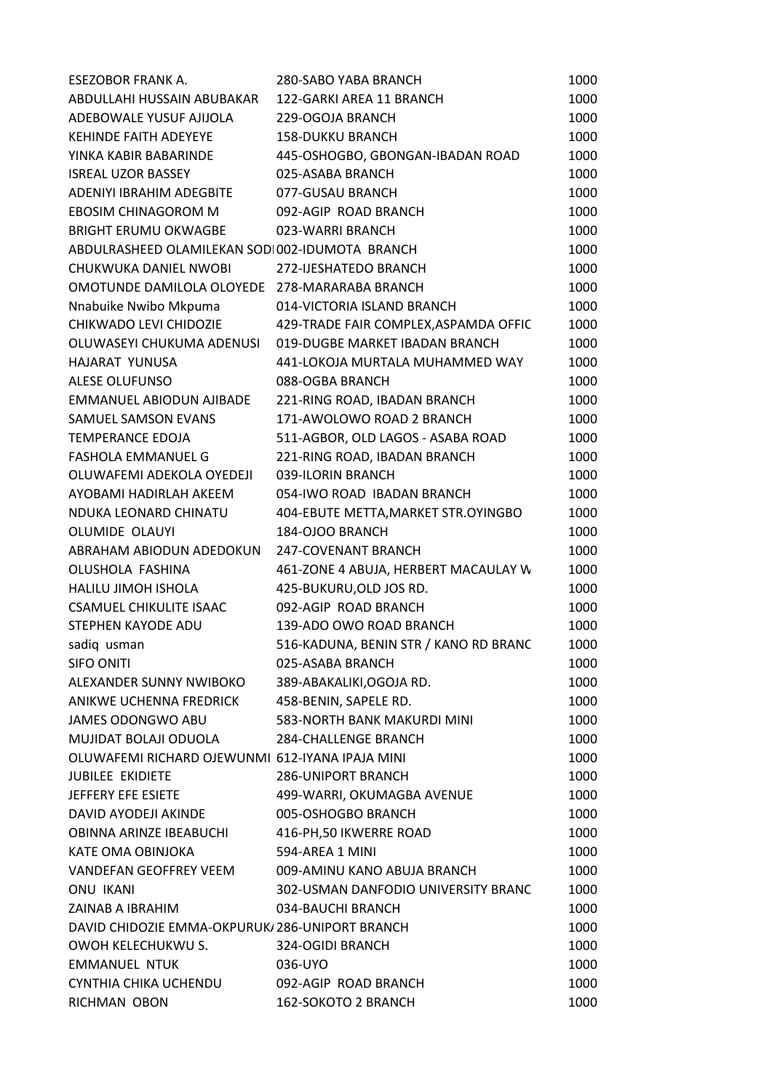| ABDULLAHI HUSSAIN ABUBAKAR<br>122-GARKI AREA 11 BRANCH<br>1000<br>ADEBOWALE YUSUF AJIJOLA<br>1000<br>229-OGOJA BRANCH<br>KEHINDE FAITH ADEYEYE<br><b>158-DUKKU BRANCH</b><br>1000<br>YINKA KABIR BABARINDE<br>445-OSHOGBO, GBONGAN-IBADAN ROAD<br>1000<br>025-ASABA BRANCH<br>1000<br><b>ISREAL UZOR BASSEY</b><br>ADENIYI IBRAHIM ADEGBITE<br>077-GUSAU BRANCH<br>1000<br>EBOSIM CHINAGOROM M<br>092-AGIP ROAD BRANCH<br>1000<br><b>BRIGHT ERUMU OKWAGBE</b><br>023-WARRI BRANCH<br>1000<br>1000<br>ABDULRASHEED OLAMILEKAN SODI002-IDUMOTA BRANCH<br>CHUKWUKA DANIEL NWOBI<br>272-IJESHATEDO BRANCH<br>1000<br>OMOTUNDE DAMILOLA OLOYEDE 278-MARARABA BRANCH<br>1000<br>Nnabuike Nwibo Mkpuma<br>014-VICTORIA ISLAND BRANCH<br>1000<br>CHIKWADO LEVI CHIDOZIE<br>429-TRADE FAIR COMPLEX, ASPAMDA OFFIC<br>1000<br>019-DUGBE MARKET IBADAN BRANCH<br>OLUWASEYI CHUKUMA ADENUSI<br>1000<br>HAJARAT YUNUSA<br>441-LOKOJA MURTALA MUHAMMED WAY<br>1000<br>1000<br>ALESE OLUFUNSO<br>088-OGBA BRANCH<br>EMMANUEL ABIODUN AJIBADE<br>221-RING ROAD, IBADAN BRANCH<br>1000<br>171-AWOLOWO ROAD 2 BRANCH<br>SAMUEL SAMSON EVANS<br>1000<br>TEMPERANCE EDOJA<br>511-AGBOR, OLD LAGOS - ASABA ROAD<br>1000<br><b>FASHOLA EMMANUEL G</b><br>221-RING ROAD, IBADAN BRANCH<br>1000<br>OLUWAFEMI ADEKOLA OYEDEJI<br>039-ILORIN BRANCH<br>1000<br>AYOBAMI HADIRLAH AKEEM<br>054-IWO ROAD IBADAN BRANCH<br>1000<br>NDUKA LEONARD CHINATU<br>404-EBUTE METTA, MARKET STR. OYINGBO<br>1000<br>OLUMIDE OLAUYI<br>184-OJOO BRANCH<br>1000<br>ABRAHAM ABIODUN ADEDOKUN<br>247-COVENANT BRANCH<br>1000<br>OLUSHOLA FASHINA<br>461-ZONE 4 ABUJA, HERBERT MACAULAY W<br>1000<br>HALILU JIMOH ISHOLA<br>425-BUKURU, OLD JOS RD.<br>1000<br><b>CSAMUEL CHIKULITE ISAAC</b><br>092-AGIP ROAD BRANCH<br>1000<br>STEPHEN KAYODE ADU<br>139-ADO OWO ROAD BRANCH<br>1000 |
|---------------------------------------------------------------------------------------------------------------------------------------------------------------------------------------------------------------------------------------------------------------------------------------------------------------------------------------------------------------------------------------------------------------------------------------------------------------------------------------------------------------------------------------------------------------------------------------------------------------------------------------------------------------------------------------------------------------------------------------------------------------------------------------------------------------------------------------------------------------------------------------------------------------------------------------------------------------------------------------------------------------------------------------------------------------------------------------------------------------------------------------------------------------------------------------------------------------------------------------------------------------------------------------------------------------------------------------------------------------------------------------------------------------------------------------------------------------------------------------------------------------------------------------------------------------------------------------------------------------------------------------------------------------------------------------------------------------------------------------------------------------------------------------------------------------------------------------------|
|                                                                                                                                                                                                                                                                                                                                                                                                                                                                                                                                                                                                                                                                                                                                                                                                                                                                                                                                                                                                                                                                                                                                                                                                                                                                                                                                                                                                                                                                                                                                                                                                                                                                                                                                                                                                                                             |
|                                                                                                                                                                                                                                                                                                                                                                                                                                                                                                                                                                                                                                                                                                                                                                                                                                                                                                                                                                                                                                                                                                                                                                                                                                                                                                                                                                                                                                                                                                                                                                                                                                                                                                                                                                                                                                             |
|                                                                                                                                                                                                                                                                                                                                                                                                                                                                                                                                                                                                                                                                                                                                                                                                                                                                                                                                                                                                                                                                                                                                                                                                                                                                                                                                                                                                                                                                                                                                                                                                                                                                                                                                                                                                                                             |
|                                                                                                                                                                                                                                                                                                                                                                                                                                                                                                                                                                                                                                                                                                                                                                                                                                                                                                                                                                                                                                                                                                                                                                                                                                                                                                                                                                                                                                                                                                                                                                                                                                                                                                                                                                                                                                             |
|                                                                                                                                                                                                                                                                                                                                                                                                                                                                                                                                                                                                                                                                                                                                                                                                                                                                                                                                                                                                                                                                                                                                                                                                                                                                                                                                                                                                                                                                                                                                                                                                                                                                                                                                                                                                                                             |
|                                                                                                                                                                                                                                                                                                                                                                                                                                                                                                                                                                                                                                                                                                                                                                                                                                                                                                                                                                                                                                                                                                                                                                                                                                                                                                                                                                                                                                                                                                                                                                                                                                                                                                                                                                                                                                             |
|                                                                                                                                                                                                                                                                                                                                                                                                                                                                                                                                                                                                                                                                                                                                                                                                                                                                                                                                                                                                                                                                                                                                                                                                                                                                                                                                                                                                                                                                                                                                                                                                                                                                                                                                                                                                                                             |
|                                                                                                                                                                                                                                                                                                                                                                                                                                                                                                                                                                                                                                                                                                                                                                                                                                                                                                                                                                                                                                                                                                                                                                                                                                                                                                                                                                                                                                                                                                                                                                                                                                                                                                                                                                                                                                             |
|                                                                                                                                                                                                                                                                                                                                                                                                                                                                                                                                                                                                                                                                                                                                                                                                                                                                                                                                                                                                                                                                                                                                                                                                                                                                                                                                                                                                                                                                                                                                                                                                                                                                                                                                                                                                                                             |
|                                                                                                                                                                                                                                                                                                                                                                                                                                                                                                                                                                                                                                                                                                                                                                                                                                                                                                                                                                                                                                                                                                                                                                                                                                                                                                                                                                                                                                                                                                                                                                                                                                                                                                                                                                                                                                             |
|                                                                                                                                                                                                                                                                                                                                                                                                                                                                                                                                                                                                                                                                                                                                                                                                                                                                                                                                                                                                                                                                                                                                                                                                                                                                                                                                                                                                                                                                                                                                                                                                                                                                                                                                                                                                                                             |
|                                                                                                                                                                                                                                                                                                                                                                                                                                                                                                                                                                                                                                                                                                                                                                                                                                                                                                                                                                                                                                                                                                                                                                                                                                                                                                                                                                                                                                                                                                                                                                                                                                                                                                                                                                                                                                             |
|                                                                                                                                                                                                                                                                                                                                                                                                                                                                                                                                                                                                                                                                                                                                                                                                                                                                                                                                                                                                                                                                                                                                                                                                                                                                                                                                                                                                                                                                                                                                                                                                                                                                                                                                                                                                                                             |
|                                                                                                                                                                                                                                                                                                                                                                                                                                                                                                                                                                                                                                                                                                                                                                                                                                                                                                                                                                                                                                                                                                                                                                                                                                                                                                                                                                                                                                                                                                                                                                                                                                                                                                                                                                                                                                             |
|                                                                                                                                                                                                                                                                                                                                                                                                                                                                                                                                                                                                                                                                                                                                                                                                                                                                                                                                                                                                                                                                                                                                                                                                                                                                                                                                                                                                                                                                                                                                                                                                                                                                                                                                                                                                                                             |
|                                                                                                                                                                                                                                                                                                                                                                                                                                                                                                                                                                                                                                                                                                                                                                                                                                                                                                                                                                                                                                                                                                                                                                                                                                                                                                                                                                                                                                                                                                                                                                                                                                                                                                                                                                                                                                             |
|                                                                                                                                                                                                                                                                                                                                                                                                                                                                                                                                                                                                                                                                                                                                                                                                                                                                                                                                                                                                                                                                                                                                                                                                                                                                                                                                                                                                                                                                                                                                                                                                                                                                                                                                                                                                                                             |
|                                                                                                                                                                                                                                                                                                                                                                                                                                                                                                                                                                                                                                                                                                                                                                                                                                                                                                                                                                                                                                                                                                                                                                                                                                                                                                                                                                                                                                                                                                                                                                                                                                                                                                                                                                                                                                             |
|                                                                                                                                                                                                                                                                                                                                                                                                                                                                                                                                                                                                                                                                                                                                                                                                                                                                                                                                                                                                                                                                                                                                                                                                                                                                                                                                                                                                                                                                                                                                                                                                                                                                                                                                                                                                                                             |
|                                                                                                                                                                                                                                                                                                                                                                                                                                                                                                                                                                                                                                                                                                                                                                                                                                                                                                                                                                                                                                                                                                                                                                                                                                                                                                                                                                                                                                                                                                                                                                                                                                                                                                                                                                                                                                             |
|                                                                                                                                                                                                                                                                                                                                                                                                                                                                                                                                                                                                                                                                                                                                                                                                                                                                                                                                                                                                                                                                                                                                                                                                                                                                                                                                                                                                                                                                                                                                                                                                                                                                                                                                                                                                                                             |
|                                                                                                                                                                                                                                                                                                                                                                                                                                                                                                                                                                                                                                                                                                                                                                                                                                                                                                                                                                                                                                                                                                                                                                                                                                                                                                                                                                                                                                                                                                                                                                                                                                                                                                                                                                                                                                             |
|                                                                                                                                                                                                                                                                                                                                                                                                                                                                                                                                                                                                                                                                                                                                                                                                                                                                                                                                                                                                                                                                                                                                                                                                                                                                                                                                                                                                                                                                                                                                                                                                                                                                                                                                                                                                                                             |
|                                                                                                                                                                                                                                                                                                                                                                                                                                                                                                                                                                                                                                                                                                                                                                                                                                                                                                                                                                                                                                                                                                                                                                                                                                                                                                                                                                                                                                                                                                                                                                                                                                                                                                                                                                                                                                             |
|                                                                                                                                                                                                                                                                                                                                                                                                                                                                                                                                                                                                                                                                                                                                                                                                                                                                                                                                                                                                                                                                                                                                                                                                                                                                                                                                                                                                                                                                                                                                                                                                                                                                                                                                                                                                                                             |
|                                                                                                                                                                                                                                                                                                                                                                                                                                                                                                                                                                                                                                                                                                                                                                                                                                                                                                                                                                                                                                                                                                                                                                                                                                                                                                                                                                                                                                                                                                                                                                                                                                                                                                                                                                                                                                             |
|                                                                                                                                                                                                                                                                                                                                                                                                                                                                                                                                                                                                                                                                                                                                                                                                                                                                                                                                                                                                                                                                                                                                                                                                                                                                                                                                                                                                                                                                                                                                                                                                                                                                                                                                                                                                                                             |
|                                                                                                                                                                                                                                                                                                                                                                                                                                                                                                                                                                                                                                                                                                                                                                                                                                                                                                                                                                                                                                                                                                                                                                                                                                                                                                                                                                                                                                                                                                                                                                                                                                                                                                                                                                                                                                             |
|                                                                                                                                                                                                                                                                                                                                                                                                                                                                                                                                                                                                                                                                                                                                                                                                                                                                                                                                                                                                                                                                                                                                                                                                                                                                                                                                                                                                                                                                                                                                                                                                                                                                                                                                                                                                                                             |
| 516-KADUNA, BENIN STR / KANO RD BRANC<br>1000<br>sadiq usman                                                                                                                                                                                                                                                                                                                                                                                                                                                                                                                                                                                                                                                                                                                                                                                                                                                                                                                                                                                                                                                                                                                                                                                                                                                                                                                                                                                                                                                                                                                                                                                                                                                                                                                                                                                |
| <b>SIFO ONITI</b><br>025-ASABA BRANCH<br>1000                                                                                                                                                                                                                                                                                                                                                                                                                                                                                                                                                                                                                                                                                                                                                                                                                                                                                                                                                                                                                                                                                                                                                                                                                                                                                                                                                                                                                                                                                                                                                                                                                                                                                                                                                                                               |
| ALEXANDER SUNNY NWIBOKO<br>1000<br>389-ABAKALIKI, OGOJA RD.                                                                                                                                                                                                                                                                                                                                                                                                                                                                                                                                                                                                                                                                                                                                                                                                                                                                                                                                                                                                                                                                                                                                                                                                                                                                                                                                                                                                                                                                                                                                                                                                                                                                                                                                                                                 |
| ANIKWE UCHENNA FREDRICK<br>458-BENIN, SAPELE RD.<br>1000                                                                                                                                                                                                                                                                                                                                                                                                                                                                                                                                                                                                                                                                                                                                                                                                                                                                                                                                                                                                                                                                                                                                                                                                                                                                                                                                                                                                                                                                                                                                                                                                                                                                                                                                                                                    |
| JAMES ODONGWO ABU<br>583-NORTH BANK MAKURDI MINI<br>1000                                                                                                                                                                                                                                                                                                                                                                                                                                                                                                                                                                                                                                                                                                                                                                                                                                                                                                                                                                                                                                                                                                                                                                                                                                                                                                                                                                                                                                                                                                                                                                                                                                                                                                                                                                                    |
| MUJIDAT BOLAJI ODUOLA<br><b>284-CHALLENGE BRANCH</b><br>1000                                                                                                                                                                                                                                                                                                                                                                                                                                                                                                                                                                                                                                                                                                                                                                                                                                                                                                                                                                                                                                                                                                                                                                                                                                                                                                                                                                                                                                                                                                                                                                                                                                                                                                                                                                                |
| OLUWAFEMI RICHARD OJEWUNMI 612-IYANA IPAJA MINI<br>1000                                                                                                                                                                                                                                                                                                                                                                                                                                                                                                                                                                                                                                                                                                                                                                                                                                                                                                                                                                                                                                                                                                                                                                                                                                                                                                                                                                                                                                                                                                                                                                                                                                                                                                                                                                                     |
| <b>JUBILEE EKIDIETE</b><br><b>286-UNIPORT BRANCH</b><br>1000                                                                                                                                                                                                                                                                                                                                                                                                                                                                                                                                                                                                                                                                                                                                                                                                                                                                                                                                                                                                                                                                                                                                                                                                                                                                                                                                                                                                                                                                                                                                                                                                                                                                                                                                                                                |
| JEFFERY EFE ESIETE<br>499-WARRI, OKUMAGBA AVENUE<br>1000                                                                                                                                                                                                                                                                                                                                                                                                                                                                                                                                                                                                                                                                                                                                                                                                                                                                                                                                                                                                                                                                                                                                                                                                                                                                                                                                                                                                                                                                                                                                                                                                                                                                                                                                                                                    |
| DAVID AYODEJI AKINDE<br>005-OSHOGBO BRANCH<br>1000                                                                                                                                                                                                                                                                                                                                                                                                                                                                                                                                                                                                                                                                                                                                                                                                                                                                                                                                                                                                                                                                                                                                                                                                                                                                                                                                                                                                                                                                                                                                                                                                                                                                                                                                                                                          |
| OBINNA ARINZE IBEABUCHI<br>1000<br>416-PH,50 IKWERRE ROAD                                                                                                                                                                                                                                                                                                                                                                                                                                                                                                                                                                                                                                                                                                                                                                                                                                                                                                                                                                                                                                                                                                                                                                                                                                                                                                                                                                                                                                                                                                                                                                                                                                                                                                                                                                                   |
| KATE OMA OBINJOKA<br>594-AREA 1 MINI<br>1000                                                                                                                                                                                                                                                                                                                                                                                                                                                                                                                                                                                                                                                                                                                                                                                                                                                                                                                                                                                                                                                                                                                                                                                                                                                                                                                                                                                                                                                                                                                                                                                                                                                                                                                                                                                                |
| VANDEFAN GEOFFREY VEEM<br>009-AMINU KANO ABUJA BRANCH<br>1000                                                                                                                                                                                                                                                                                                                                                                                                                                                                                                                                                                                                                                                                                                                                                                                                                                                                                                                                                                                                                                                                                                                                                                                                                                                                                                                                                                                                                                                                                                                                                                                                                                                                                                                                                                               |
| <b>ONU IKANI</b><br>302-USMAN DANFODIO UNIVERSITY BRANC<br>1000                                                                                                                                                                                                                                                                                                                                                                                                                                                                                                                                                                                                                                                                                                                                                                                                                                                                                                                                                                                                                                                                                                                                                                                                                                                                                                                                                                                                                                                                                                                                                                                                                                                                                                                                                                             |
| 1000<br>ZAINAB A IBRAHIM<br>034-BAUCHI BRANCH                                                                                                                                                                                                                                                                                                                                                                                                                                                                                                                                                                                                                                                                                                                                                                                                                                                                                                                                                                                                                                                                                                                                                                                                                                                                                                                                                                                                                                                                                                                                                                                                                                                                                                                                                                                               |
| DAVID CHIDOZIE EMMA-OKPURUK/286-UNIPORT BRANCH<br>1000                                                                                                                                                                                                                                                                                                                                                                                                                                                                                                                                                                                                                                                                                                                                                                                                                                                                                                                                                                                                                                                                                                                                                                                                                                                                                                                                                                                                                                                                                                                                                                                                                                                                                                                                                                                      |
| OWOH KELECHUKWU S.<br>1000<br>324-OGIDI BRANCH                                                                                                                                                                                                                                                                                                                                                                                                                                                                                                                                                                                                                                                                                                                                                                                                                                                                                                                                                                                                                                                                                                                                                                                                                                                                                                                                                                                                                                                                                                                                                                                                                                                                                                                                                                                              |
| 1000<br><b>EMMANUEL NTUK</b><br>036-UYO                                                                                                                                                                                                                                                                                                                                                                                                                                                                                                                                                                                                                                                                                                                                                                                                                                                                                                                                                                                                                                                                                                                                                                                                                                                                                                                                                                                                                                                                                                                                                                                                                                                                                                                                                                                                     |
| CYNTHIA CHIKA UCHENDU<br>092-AGIP ROAD BRANCH<br>1000                                                                                                                                                                                                                                                                                                                                                                                                                                                                                                                                                                                                                                                                                                                                                                                                                                                                                                                                                                                                                                                                                                                                                                                                                                                                                                                                                                                                                                                                                                                                                                                                                                                                                                                                                                                       |
| RICHMAN OBON<br>162-SOKOTO 2 BRANCH<br>1000                                                                                                                                                                                                                                                                                                                                                                                                                                                                                                                                                                                                                                                                                                                                                                                                                                                                                                                                                                                                                                                                                                                                                                                                                                                                                                                                                                                                                                                                                                                                                                                                                                                                                                                                                                                                 |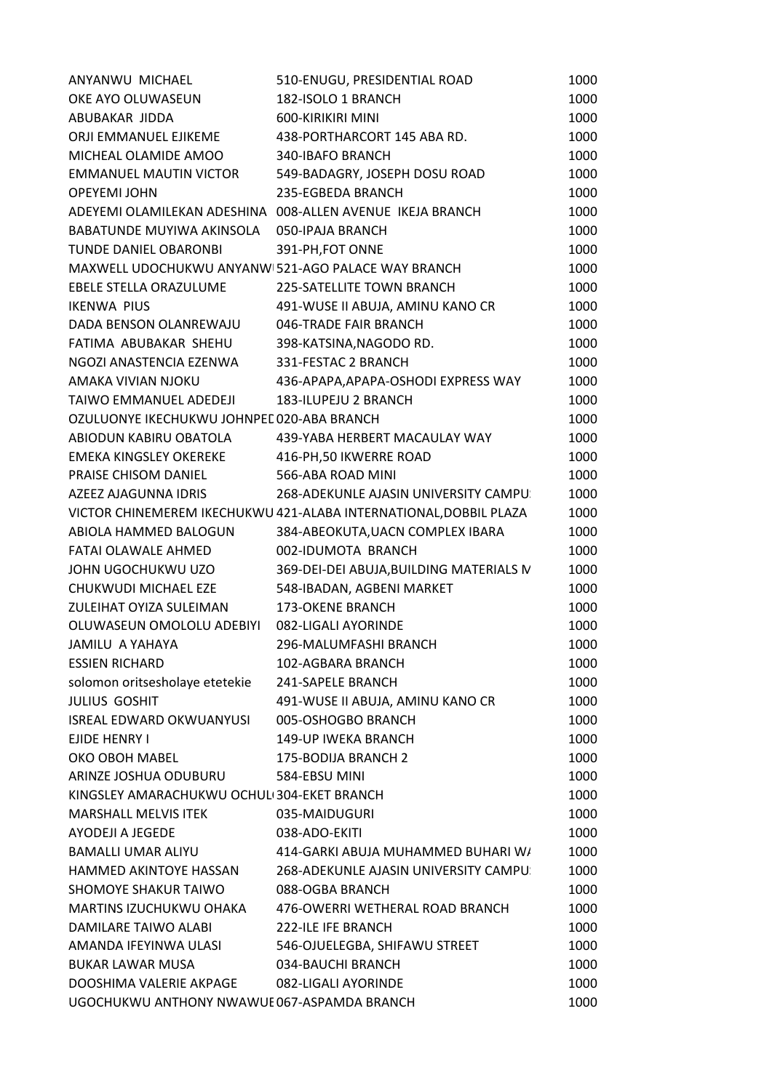| OKE AYO OLUWASEUN<br>182-ISOLO 1 BRANCH<br>1000<br>600-KIRIKIRI MINI<br>1000<br>ABUBAKAR JIDDA<br>ORJI EMMANUEL EJIKEME<br>438-PORTHARCORT 145 ABA RD.<br>1000<br>MICHEAL OLAMIDE AMOO<br>340-IBAFO BRANCH<br>1000<br><b>EMMANUEL MAUTIN VICTOR</b><br>549-BADAGRY, JOSEPH DOSU ROAD<br>1000<br><b>OPEYEMI JOHN</b><br>235-EGBEDA BRANCH<br>1000<br>ADEYEMI OLAMILEKAN ADESHINA 008-ALLEN AVENUE IKEJA BRANCH<br>1000<br>BABATUNDE MUYIWA AKINSOLA<br>050-IPAJA BRANCH<br>1000<br>TUNDE DANIEL OBARONBI<br>1000<br>391-PH, FOT ONNE<br>MAXWELL UDOCHUKWU ANYANW 521-AGO PALACE WAY BRANCH<br>1000<br>EBELE STELLA ORAZULUME<br>225-SATELLITE TOWN BRANCH<br>1000<br><b>IKENWA PIUS</b><br>491-WUSE II ABUJA, AMINU KANO CR<br>1000<br>046-TRADE FAIR BRANCH<br>DADA BENSON OLANREWAJU<br>1000<br>FATIMA ABUBAKAR SHEHU<br>1000<br>398-KATSINA, NAGODO RD.<br>NGOZI ANASTENCIA EZENWA<br>331-FESTAC 2 BRANCH<br>1000<br>436-APAPA, APAPA-OSHODI EXPRESS WAY<br>1000<br>AMAKA VIVIAN NJOKU<br>1000<br>TAIWO EMMANUEL ADEDEJI<br>183-ILUPEJU 2 BRANCH<br>OZULUONYE IKECHUKWU JOHNPEE 020-ABA BRANCH<br>1000<br>ABIODUN KABIRU OBATOLA<br>1000<br>439-YABA HERBERT MACAULAY WAY<br>EMEKA KINGSLEY OKEREKE<br>416-PH, 50 IKWERRE ROAD<br>1000<br>PRAISE CHISOM DANIEL<br>566-ABA ROAD MINI<br>1000<br>AZEEZ AJAGUNNA IDRIS<br>268-ADEKUNLE AJASIN UNIVERSITY CAMPU:<br>1000<br>VICTOR CHINEMEREM IKECHUKWU 421-ALABA INTERNATIONAL, DOBBIL PLAZA<br>1000<br>ABIOLA HAMMED BALOGUN<br>384-ABEOKUTA, UACN COMPLEX IBARA<br>1000<br>FATAI OLAWALE AHMED<br>002-IDUMOTA BRANCH<br>1000<br>JOHN UGOCHUKWU UZO<br>369-DEI-DEI ABUJA, BUILDING MATERIALS IV<br>1000<br>CHUKWUDI MICHAEL EZE<br>548-IBADAN, AGBENI MARKET<br>1000<br>ZULEIHAT OYIZA SULEIMAN<br><b>173-OKENE BRANCH</b><br>1000<br>OLUWASEUN OMOLOLU ADEBIYI<br>082-LIGALI AYORINDE<br>1000<br>JAMILU A YAHAYA<br>296-MALUMFASHI BRANCH<br>1000<br><b>ESSIEN RICHARD</b><br>102-AGBARA BRANCH<br>1000<br>solomon oritsesholaye etetekie<br>241-SAPELE BRANCH<br>1000<br><b>JULIUS GOSHIT</b><br>491-WUSE II ABUJA, AMINU KANO CR<br>1000<br><b>ISREAL EDWARD OKWUANYUSI</b><br>005-OSHOGBO BRANCH<br>1000<br>EJIDE HENRY I<br>149-UP IWEKA BRANCH<br>1000<br>OKO OBOH MABEL<br>175-BODIJA BRANCH 2<br>1000<br>ARINZE JOSHUA ODUBURU<br>584-EBSU MINI<br>1000<br>KINGSLEY AMARACHUKWU OCHULI 304-EKET BRANCH<br>1000<br><b>MARSHALL MELVIS ITEK</b><br>035-MAIDUGURI<br>1000<br>AYODEJI A JEGEDE<br>038-ADO-EKITI<br>1000 |
|-----------------------------------------------------------------------------------------------------------------------------------------------------------------------------------------------------------------------------------------------------------------------------------------------------------------------------------------------------------------------------------------------------------------------------------------------------------------------------------------------------------------------------------------------------------------------------------------------------------------------------------------------------------------------------------------------------------------------------------------------------------------------------------------------------------------------------------------------------------------------------------------------------------------------------------------------------------------------------------------------------------------------------------------------------------------------------------------------------------------------------------------------------------------------------------------------------------------------------------------------------------------------------------------------------------------------------------------------------------------------------------------------------------------------------------------------------------------------------------------------------------------------------------------------------------------------------------------------------------------------------------------------------------------------------------------------------------------------------------------------------------------------------------------------------------------------------------------------------------------------------------------------------------------------------------------------------------------------------------------------------------------------------------------------------------------------------------------------------------------------------------------------------------------------------------------------------------------------------------------------------------------------------------------------------------------------------------------------------------------------------------------------------------------------------------------------------------------------------|
|                                                                                                                                                                                                                                                                                                                                                                                                                                                                                                                                                                                                                                                                                                                                                                                                                                                                                                                                                                                                                                                                                                                                                                                                                                                                                                                                                                                                                                                                                                                                                                                                                                                                                                                                                                                                                                                                                                                                                                                                                                                                                                                                                                                                                                                                                                                                                                                                                                                                             |
|                                                                                                                                                                                                                                                                                                                                                                                                                                                                                                                                                                                                                                                                                                                                                                                                                                                                                                                                                                                                                                                                                                                                                                                                                                                                                                                                                                                                                                                                                                                                                                                                                                                                                                                                                                                                                                                                                                                                                                                                                                                                                                                                                                                                                                                                                                                                                                                                                                                                             |
|                                                                                                                                                                                                                                                                                                                                                                                                                                                                                                                                                                                                                                                                                                                                                                                                                                                                                                                                                                                                                                                                                                                                                                                                                                                                                                                                                                                                                                                                                                                                                                                                                                                                                                                                                                                                                                                                                                                                                                                                                                                                                                                                                                                                                                                                                                                                                                                                                                                                             |
|                                                                                                                                                                                                                                                                                                                                                                                                                                                                                                                                                                                                                                                                                                                                                                                                                                                                                                                                                                                                                                                                                                                                                                                                                                                                                                                                                                                                                                                                                                                                                                                                                                                                                                                                                                                                                                                                                                                                                                                                                                                                                                                                                                                                                                                                                                                                                                                                                                                                             |
|                                                                                                                                                                                                                                                                                                                                                                                                                                                                                                                                                                                                                                                                                                                                                                                                                                                                                                                                                                                                                                                                                                                                                                                                                                                                                                                                                                                                                                                                                                                                                                                                                                                                                                                                                                                                                                                                                                                                                                                                                                                                                                                                                                                                                                                                                                                                                                                                                                                                             |
|                                                                                                                                                                                                                                                                                                                                                                                                                                                                                                                                                                                                                                                                                                                                                                                                                                                                                                                                                                                                                                                                                                                                                                                                                                                                                                                                                                                                                                                                                                                                                                                                                                                                                                                                                                                                                                                                                                                                                                                                                                                                                                                                                                                                                                                                                                                                                                                                                                                                             |
|                                                                                                                                                                                                                                                                                                                                                                                                                                                                                                                                                                                                                                                                                                                                                                                                                                                                                                                                                                                                                                                                                                                                                                                                                                                                                                                                                                                                                                                                                                                                                                                                                                                                                                                                                                                                                                                                                                                                                                                                                                                                                                                                                                                                                                                                                                                                                                                                                                                                             |
|                                                                                                                                                                                                                                                                                                                                                                                                                                                                                                                                                                                                                                                                                                                                                                                                                                                                                                                                                                                                                                                                                                                                                                                                                                                                                                                                                                                                                                                                                                                                                                                                                                                                                                                                                                                                                                                                                                                                                                                                                                                                                                                                                                                                                                                                                                                                                                                                                                                                             |
|                                                                                                                                                                                                                                                                                                                                                                                                                                                                                                                                                                                                                                                                                                                                                                                                                                                                                                                                                                                                                                                                                                                                                                                                                                                                                                                                                                                                                                                                                                                                                                                                                                                                                                                                                                                                                                                                                                                                                                                                                                                                                                                                                                                                                                                                                                                                                                                                                                                                             |
|                                                                                                                                                                                                                                                                                                                                                                                                                                                                                                                                                                                                                                                                                                                                                                                                                                                                                                                                                                                                                                                                                                                                                                                                                                                                                                                                                                                                                                                                                                                                                                                                                                                                                                                                                                                                                                                                                                                                                                                                                                                                                                                                                                                                                                                                                                                                                                                                                                                                             |
|                                                                                                                                                                                                                                                                                                                                                                                                                                                                                                                                                                                                                                                                                                                                                                                                                                                                                                                                                                                                                                                                                                                                                                                                                                                                                                                                                                                                                                                                                                                                                                                                                                                                                                                                                                                                                                                                                                                                                                                                                                                                                                                                                                                                                                                                                                                                                                                                                                                                             |
|                                                                                                                                                                                                                                                                                                                                                                                                                                                                                                                                                                                                                                                                                                                                                                                                                                                                                                                                                                                                                                                                                                                                                                                                                                                                                                                                                                                                                                                                                                                                                                                                                                                                                                                                                                                                                                                                                                                                                                                                                                                                                                                                                                                                                                                                                                                                                                                                                                                                             |
|                                                                                                                                                                                                                                                                                                                                                                                                                                                                                                                                                                                                                                                                                                                                                                                                                                                                                                                                                                                                                                                                                                                                                                                                                                                                                                                                                                                                                                                                                                                                                                                                                                                                                                                                                                                                                                                                                                                                                                                                                                                                                                                                                                                                                                                                                                                                                                                                                                                                             |
|                                                                                                                                                                                                                                                                                                                                                                                                                                                                                                                                                                                                                                                                                                                                                                                                                                                                                                                                                                                                                                                                                                                                                                                                                                                                                                                                                                                                                                                                                                                                                                                                                                                                                                                                                                                                                                                                                                                                                                                                                                                                                                                                                                                                                                                                                                                                                                                                                                                                             |
|                                                                                                                                                                                                                                                                                                                                                                                                                                                                                                                                                                                                                                                                                                                                                                                                                                                                                                                                                                                                                                                                                                                                                                                                                                                                                                                                                                                                                                                                                                                                                                                                                                                                                                                                                                                                                                                                                                                                                                                                                                                                                                                                                                                                                                                                                                                                                                                                                                                                             |
|                                                                                                                                                                                                                                                                                                                                                                                                                                                                                                                                                                                                                                                                                                                                                                                                                                                                                                                                                                                                                                                                                                                                                                                                                                                                                                                                                                                                                                                                                                                                                                                                                                                                                                                                                                                                                                                                                                                                                                                                                                                                                                                                                                                                                                                                                                                                                                                                                                                                             |
|                                                                                                                                                                                                                                                                                                                                                                                                                                                                                                                                                                                                                                                                                                                                                                                                                                                                                                                                                                                                                                                                                                                                                                                                                                                                                                                                                                                                                                                                                                                                                                                                                                                                                                                                                                                                                                                                                                                                                                                                                                                                                                                                                                                                                                                                                                                                                                                                                                                                             |
|                                                                                                                                                                                                                                                                                                                                                                                                                                                                                                                                                                                                                                                                                                                                                                                                                                                                                                                                                                                                                                                                                                                                                                                                                                                                                                                                                                                                                                                                                                                                                                                                                                                                                                                                                                                                                                                                                                                                                                                                                                                                                                                                                                                                                                                                                                                                                                                                                                                                             |
|                                                                                                                                                                                                                                                                                                                                                                                                                                                                                                                                                                                                                                                                                                                                                                                                                                                                                                                                                                                                                                                                                                                                                                                                                                                                                                                                                                                                                                                                                                                                                                                                                                                                                                                                                                                                                                                                                                                                                                                                                                                                                                                                                                                                                                                                                                                                                                                                                                                                             |
|                                                                                                                                                                                                                                                                                                                                                                                                                                                                                                                                                                                                                                                                                                                                                                                                                                                                                                                                                                                                                                                                                                                                                                                                                                                                                                                                                                                                                                                                                                                                                                                                                                                                                                                                                                                                                                                                                                                                                                                                                                                                                                                                                                                                                                                                                                                                                                                                                                                                             |
|                                                                                                                                                                                                                                                                                                                                                                                                                                                                                                                                                                                                                                                                                                                                                                                                                                                                                                                                                                                                                                                                                                                                                                                                                                                                                                                                                                                                                                                                                                                                                                                                                                                                                                                                                                                                                                                                                                                                                                                                                                                                                                                                                                                                                                                                                                                                                                                                                                                                             |
|                                                                                                                                                                                                                                                                                                                                                                                                                                                                                                                                                                                                                                                                                                                                                                                                                                                                                                                                                                                                                                                                                                                                                                                                                                                                                                                                                                                                                                                                                                                                                                                                                                                                                                                                                                                                                                                                                                                                                                                                                                                                                                                                                                                                                                                                                                                                                                                                                                                                             |
|                                                                                                                                                                                                                                                                                                                                                                                                                                                                                                                                                                                                                                                                                                                                                                                                                                                                                                                                                                                                                                                                                                                                                                                                                                                                                                                                                                                                                                                                                                                                                                                                                                                                                                                                                                                                                                                                                                                                                                                                                                                                                                                                                                                                                                                                                                                                                                                                                                                                             |
|                                                                                                                                                                                                                                                                                                                                                                                                                                                                                                                                                                                                                                                                                                                                                                                                                                                                                                                                                                                                                                                                                                                                                                                                                                                                                                                                                                                                                                                                                                                                                                                                                                                                                                                                                                                                                                                                                                                                                                                                                                                                                                                                                                                                                                                                                                                                                                                                                                                                             |
|                                                                                                                                                                                                                                                                                                                                                                                                                                                                                                                                                                                                                                                                                                                                                                                                                                                                                                                                                                                                                                                                                                                                                                                                                                                                                                                                                                                                                                                                                                                                                                                                                                                                                                                                                                                                                                                                                                                                                                                                                                                                                                                                                                                                                                                                                                                                                                                                                                                                             |
|                                                                                                                                                                                                                                                                                                                                                                                                                                                                                                                                                                                                                                                                                                                                                                                                                                                                                                                                                                                                                                                                                                                                                                                                                                                                                                                                                                                                                                                                                                                                                                                                                                                                                                                                                                                                                                                                                                                                                                                                                                                                                                                                                                                                                                                                                                                                                                                                                                                                             |
|                                                                                                                                                                                                                                                                                                                                                                                                                                                                                                                                                                                                                                                                                                                                                                                                                                                                                                                                                                                                                                                                                                                                                                                                                                                                                                                                                                                                                                                                                                                                                                                                                                                                                                                                                                                                                                                                                                                                                                                                                                                                                                                                                                                                                                                                                                                                                                                                                                                                             |
|                                                                                                                                                                                                                                                                                                                                                                                                                                                                                                                                                                                                                                                                                                                                                                                                                                                                                                                                                                                                                                                                                                                                                                                                                                                                                                                                                                                                                                                                                                                                                                                                                                                                                                                                                                                                                                                                                                                                                                                                                                                                                                                                                                                                                                                                                                                                                                                                                                                                             |
|                                                                                                                                                                                                                                                                                                                                                                                                                                                                                                                                                                                                                                                                                                                                                                                                                                                                                                                                                                                                                                                                                                                                                                                                                                                                                                                                                                                                                                                                                                                                                                                                                                                                                                                                                                                                                                                                                                                                                                                                                                                                                                                                                                                                                                                                                                                                                                                                                                                                             |
|                                                                                                                                                                                                                                                                                                                                                                                                                                                                                                                                                                                                                                                                                                                                                                                                                                                                                                                                                                                                                                                                                                                                                                                                                                                                                                                                                                                                                                                                                                                                                                                                                                                                                                                                                                                                                                                                                                                                                                                                                                                                                                                                                                                                                                                                                                                                                                                                                                                                             |
|                                                                                                                                                                                                                                                                                                                                                                                                                                                                                                                                                                                                                                                                                                                                                                                                                                                                                                                                                                                                                                                                                                                                                                                                                                                                                                                                                                                                                                                                                                                                                                                                                                                                                                                                                                                                                                                                                                                                                                                                                                                                                                                                                                                                                                                                                                                                                                                                                                                                             |
|                                                                                                                                                                                                                                                                                                                                                                                                                                                                                                                                                                                                                                                                                                                                                                                                                                                                                                                                                                                                                                                                                                                                                                                                                                                                                                                                                                                                                                                                                                                                                                                                                                                                                                                                                                                                                                                                                                                                                                                                                                                                                                                                                                                                                                                                                                                                                                                                                                                                             |
|                                                                                                                                                                                                                                                                                                                                                                                                                                                                                                                                                                                                                                                                                                                                                                                                                                                                                                                                                                                                                                                                                                                                                                                                                                                                                                                                                                                                                                                                                                                                                                                                                                                                                                                                                                                                                                                                                                                                                                                                                                                                                                                                                                                                                                                                                                                                                                                                                                                                             |
|                                                                                                                                                                                                                                                                                                                                                                                                                                                                                                                                                                                                                                                                                                                                                                                                                                                                                                                                                                                                                                                                                                                                                                                                                                                                                                                                                                                                                                                                                                                                                                                                                                                                                                                                                                                                                                                                                                                                                                                                                                                                                                                                                                                                                                                                                                                                                                                                                                                                             |
|                                                                                                                                                                                                                                                                                                                                                                                                                                                                                                                                                                                                                                                                                                                                                                                                                                                                                                                                                                                                                                                                                                                                                                                                                                                                                                                                                                                                                                                                                                                                                                                                                                                                                                                                                                                                                                                                                                                                                                                                                                                                                                                                                                                                                                                                                                                                                                                                                                                                             |
|                                                                                                                                                                                                                                                                                                                                                                                                                                                                                                                                                                                                                                                                                                                                                                                                                                                                                                                                                                                                                                                                                                                                                                                                                                                                                                                                                                                                                                                                                                                                                                                                                                                                                                                                                                                                                                                                                                                                                                                                                                                                                                                                                                                                                                                                                                                                                                                                                                                                             |
|                                                                                                                                                                                                                                                                                                                                                                                                                                                                                                                                                                                                                                                                                                                                                                                                                                                                                                                                                                                                                                                                                                                                                                                                                                                                                                                                                                                                                                                                                                                                                                                                                                                                                                                                                                                                                                                                                                                                                                                                                                                                                                                                                                                                                                                                                                                                                                                                                                                                             |
|                                                                                                                                                                                                                                                                                                                                                                                                                                                                                                                                                                                                                                                                                                                                                                                                                                                                                                                                                                                                                                                                                                                                                                                                                                                                                                                                                                                                                                                                                                                                                                                                                                                                                                                                                                                                                                                                                                                                                                                                                                                                                                                                                                                                                                                                                                                                                                                                                                                                             |
|                                                                                                                                                                                                                                                                                                                                                                                                                                                                                                                                                                                                                                                                                                                                                                                                                                                                                                                                                                                                                                                                                                                                                                                                                                                                                                                                                                                                                                                                                                                                                                                                                                                                                                                                                                                                                                                                                                                                                                                                                                                                                                                                                                                                                                                                                                                                                                                                                                                                             |
|                                                                                                                                                                                                                                                                                                                                                                                                                                                                                                                                                                                                                                                                                                                                                                                                                                                                                                                                                                                                                                                                                                                                                                                                                                                                                                                                                                                                                                                                                                                                                                                                                                                                                                                                                                                                                                                                                                                                                                                                                                                                                                                                                                                                                                                                                                                                                                                                                                                                             |
| <b>BAMALLI UMAR ALIYU</b><br>1000<br>414-GARKI ABUJA MUHAMMED BUHARI W/                                                                                                                                                                                                                                                                                                                                                                                                                                                                                                                                                                                                                                                                                                                                                                                                                                                                                                                                                                                                                                                                                                                                                                                                                                                                                                                                                                                                                                                                                                                                                                                                                                                                                                                                                                                                                                                                                                                                                                                                                                                                                                                                                                                                                                                                                                                                                                                                     |
| HAMMED AKINTOYE HASSAN<br>268-ADEKUNLE AJASIN UNIVERSITY CAMPU:<br>1000                                                                                                                                                                                                                                                                                                                                                                                                                                                                                                                                                                                                                                                                                                                                                                                                                                                                                                                                                                                                                                                                                                                                                                                                                                                                                                                                                                                                                                                                                                                                                                                                                                                                                                                                                                                                                                                                                                                                                                                                                                                                                                                                                                                                                                                                                                                                                                                                     |
| <b>SHOMOYE SHAKUR TAIWO</b><br>088-OGBA BRANCH<br>1000                                                                                                                                                                                                                                                                                                                                                                                                                                                                                                                                                                                                                                                                                                                                                                                                                                                                                                                                                                                                                                                                                                                                                                                                                                                                                                                                                                                                                                                                                                                                                                                                                                                                                                                                                                                                                                                                                                                                                                                                                                                                                                                                                                                                                                                                                                                                                                                                                      |
| MARTINS IZUCHUKWU OHAKA<br>476-OWERRI WETHERAL ROAD BRANCH<br>1000                                                                                                                                                                                                                                                                                                                                                                                                                                                                                                                                                                                                                                                                                                                                                                                                                                                                                                                                                                                                                                                                                                                                                                                                                                                                                                                                                                                                                                                                                                                                                                                                                                                                                                                                                                                                                                                                                                                                                                                                                                                                                                                                                                                                                                                                                                                                                                                                          |
| DAMILARE TAIWO ALABI<br>222-ILE IFE BRANCH<br>1000                                                                                                                                                                                                                                                                                                                                                                                                                                                                                                                                                                                                                                                                                                                                                                                                                                                                                                                                                                                                                                                                                                                                                                                                                                                                                                                                                                                                                                                                                                                                                                                                                                                                                                                                                                                                                                                                                                                                                                                                                                                                                                                                                                                                                                                                                                                                                                                                                          |
| AMANDA IFEYINWA ULASI<br>546-OJUELEGBA, SHIFAWU STREET<br>1000                                                                                                                                                                                                                                                                                                                                                                                                                                                                                                                                                                                                                                                                                                                                                                                                                                                                                                                                                                                                                                                                                                                                                                                                                                                                                                                                                                                                                                                                                                                                                                                                                                                                                                                                                                                                                                                                                                                                                                                                                                                                                                                                                                                                                                                                                                                                                                                                              |
|                                                                                                                                                                                                                                                                                                                                                                                                                                                                                                                                                                                                                                                                                                                                                                                                                                                                                                                                                                                                                                                                                                                                                                                                                                                                                                                                                                                                                                                                                                                                                                                                                                                                                                                                                                                                                                                                                                                                                                                                                                                                                                                                                                                                                                                                                                                                                                                                                                                                             |
| BUKAR LAWAR MUSA<br>034-BAUCHI BRANCH<br>1000                                                                                                                                                                                                                                                                                                                                                                                                                                                                                                                                                                                                                                                                                                                                                                                                                                                                                                                                                                                                                                                                                                                                                                                                                                                                                                                                                                                                                                                                                                                                                                                                                                                                                                                                                                                                                                                                                                                                                                                                                                                                                                                                                                                                                                                                                                                                                                                                                               |
| DOOSHIMA VALERIE AKPAGE<br>082-LIGALI AYORINDE<br>1000                                                                                                                                                                                                                                                                                                                                                                                                                                                                                                                                                                                                                                                                                                                                                                                                                                                                                                                                                                                                                                                                                                                                                                                                                                                                                                                                                                                                                                                                                                                                                                                                                                                                                                                                                                                                                                                                                                                                                                                                                                                                                                                                                                                                                                                                                                                                                                                                                      |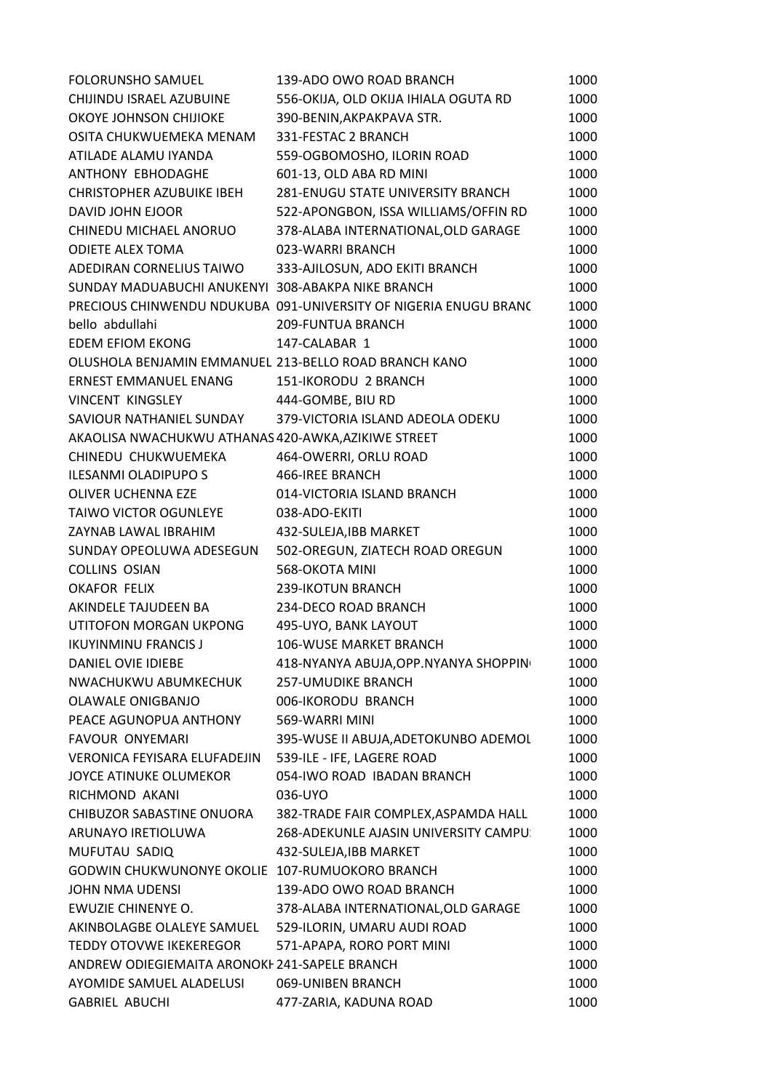| <b>FOLORUNSHO SAMUEL</b>                              | 139-ADO OWO ROAD BRANCH                                          | 1000 |
|-------------------------------------------------------|------------------------------------------------------------------|------|
| CHIJINDU ISRAEL AZUBUINE                              | 556-OKIJA, OLD OKIJA IHIALA OGUTA RD                             | 1000 |
| OKOYE JOHNSON CHIJIOKE                                | 390-BENIN, AKPAKPAVA STR.                                        | 1000 |
| OSITA CHUKWUEMEKA MENAM                               | 331-FESTAC 2 BRANCH                                              | 1000 |
| ATILADE ALAMU IYANDA                                  | 559-OGBOMOSHO, ILORIN ROAD                                       | 1000 |
| ANTHONY EBHODAGHE                                     | 601-13, OLD ABA RD MINI                                          | 1000 |
| <b>CHRISTOPHER AZUBUIKE IBEH</b>                      | 281-ENUGU STATE UNIVERSITY BRANCH                                | 1000 |
| DAVID JOHN EJOOR                                      | 522-APONGBON, ISSA WILLIAMS/OFFIN RD                             | 1000 |
| CHINEDU MICHAEL ANORUO                                | 378-ALABA INTERNATIONAL, OLD GARAGE                              | 1000 |
| <b>ODIETE ALEX TOMA</b>                               | 023-WARRI BRANCH                                                 | 1000 |
| ADEDIRAN CORNELIUS TAIWO                              | 333-AJILOSUN, ADO EKITI BRANCH                                   | 1000 |
| SUNDAY MADUABUCHI ANUKENYI 308-ABAKPA NIKE BRANCH     |                                                                  | 1000 |
|                                                       | PRECIOUS CHINWENDU NDUKUBA 091-UNIVERSITY OF NIGERIA ENUGU BRANC | 1000 |
| bello abdullahi                                       | 209-FUNTUA BRANCH                                                | 1000 |
| EDEM EFIOM EKONG                                      | 147-CALABAR 1                                                    | 1000 |
| OLUSHOLA BENJAMIN EMMANUEL 213-BELLO ROAD BRANCH KANO |                                                                  | 1000 |
| ERNEST EMMANUEL ENANG                                 | 151-IKORODU 2 BRANCH                                             | 1000 |
| <b>VINCENT KINGSLEY</b>                               | 444-GOMBE, BIU RD                                                | 1000 |
| SAVIOUR NATHANIEL SUNDAY                              | 379-VICTORIA ISLAND ADEOLA ODEKU                                 | 1000 |
| AKAOLISA NWACHUKWU ATHANAS 420-AWKA, AZIKIWE STREET   |                                                                  | 1000 |
| CHINEDU CHUKWUEMEKA                                   | 464-OWERRI, ORLU ROAD                                            | 1000 |
| ILESANMI OLADIPUPO S                                  | 466-IREE BRANCH                                                  | 1000 |
| OLIVER UCHENNA EZE                                    | 014-VICTORIA ISLAND BRANCH                                       | 1000 |
| TAIWO VICTOR OGUNLEYE                                 | 038-ADO-EKITI                                                    | 1000 |
| ZAYNAB LAWAL IBRAHIM                                  | 432-SULEJA, IBB MARKET                                           | 1000 |
| SUNDAY OPEOLUWA ADESEGUN                              | 502-OREGUN, ZIATECH ROAD OREGUN                                  | 1000 |
| <b>COLLINS OSIAN</b>                                  | 568-OKOTA MINI                                                   | 1000 |
| <b>OKAFOR FELIX</b>                                   | <b>239-IKOTUN BRANCH</b>                                         | 1000 |
| AKINDELE TAJUDEEN BA                                  | 234-DECO ROAD BRANCH                                             | 1000 |
| UTITOFON MORGAN UKPONG                                | 495-UYO, BANK LAYOUT                                             | 1000 |
| <b>IKUYINMINU FRANCIS J</b>                           | <b>106-WUSE MARKET BRANCH</b>                                    | 1000 |
| DANIEL OVIE IDIEBE                                    | 418-NYANYA ABUJA, OPP. NYANYA SHOPPIN                            | 1000 |
| NWACHUKWU ABUMKECHUK                                  | 257-UMUDIKE BRANCH                                               | 1000 |
| OLAWALE ONIGBANJO                                     | 006-IKORODU BRANCH                                               | 1000 |
| PEACE AGUNOPUA ANTHONY                                | 569-WARRI MINI                                                   | 1000 |
| <b>FAVOUR ONYEMARI</b>                                | 395-WUSE II ABUJA, ADETOKUNBO ADEMOL                             | 1000 |
| VERONICA FEYISARA ELUFADEJIN                          | 539-ILE - IFE, LAGERE ROAD                                       | 1000 |
| JOYCE ATINUKE OLUMEKOR                                | 054-IWO ROAD IBADAN BRANCH                                       | 1000 |
| RICHMOND AKANI                                        | 036-UYO                                                          | 1000 |
| CHIBUZOR SABASTINE ONUORA                             | 382-TRADE FAIR COMPLEX, ASPAMDA HALL                             | 1000 |
| ARUNAYO IRETIOLUWA                                    | 268-ADEKUNLE AJASIN UNIVERSITY CAMPU:                            | 1000 |
| MUFUTAU SADIQ                                         | 432-SULEJA, IBB MARKET                                           | 1000 |
| GODWIN CHUKWUNONYE OKOLIE 107-RUMUOKORO BRANCH        |                                                                  | 1000 |
| <b>JOHN NMA UDENSI</b>                                | 139-ADO OWO ROAD BRANCH                                          | 1000 |
| EWUZIE CHINENYE O.                                    | 378-ALABA INTERNATIONAL, OLD GARAGE                              | 1000 |
| AKINBOLAGBE OLALEYE SAMUEL                            | 529-ILORIN, UMARU AUDI ROAD                                      | 1000 |
| <b>TEDDY OTOVWE IKEKEREGOR</b>                        | 571-APAPA, RORO PORT MINI                                        | 1000 |
| ANDREW ODIEGIEMAITA ARONOKI 241-SAPELE BRANCH         |                                                                  | 1000 |
| AYOMIDE SAMUEL ALADELUSI                              | 069-UNIBEN BRANCH                                                | 1000 |
| <b>GABRIEL ABUCHI</b>                                 | 477-ZARIA, KADUNA ROAD                                           | 1000 |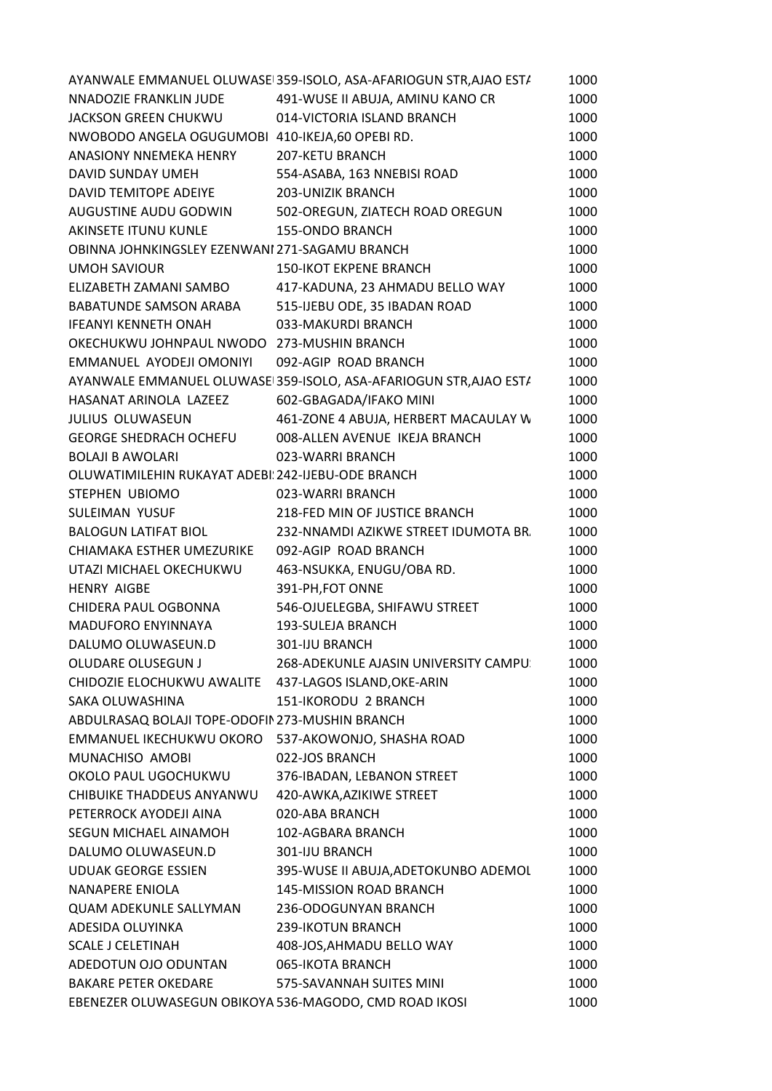|                                                        | AYANWALE EMMANUEL OLUWASE 359-ISOLO, ASA-AFARIOGUN STR, AJAO ESTA | 1000 |
|--------------------------------------------------------|-------------------------------------------------------------------|------|
| NNADOZIE FRANKLIN JUDE                                 | 491-WUSE II ABUJA, AMINU KANO CR                                  | 1000 |
| JACKSON GREEN CHUKWU                                   | 014-VICTORIA ISLAND BRANCH                                        | 1000 |
| NWOBODO ANGELA OGUGUMOBI 410-IKEJA,60 OPEBI RD.        |                                                                   | 1000 |
| ANASIONY NNEMEKA HENRY                                 | <b>207-KETU BRANCH</b>                                            | 1000 |
| DAVID SUNDAY UMEH                                      | 554-ASABA, 163 NNEBISI ROAD                                       | 1000 |
| DAVID TEMITOPE ADEIYE                                  | 203-UNIZIK BRANCH                                                 | 1000 |
| AUGUSTINE AUDU GODWIN                                  | 502-OREGUN, ZIATECH ROAD OREGUN                                   | 1000 |
| <b>AKINSETE ITUNU KUNLE</b>                            | <b>155-ONDO BRANCH</b>                                            | 1000 |
| OBINNA JOHNKINGSLEY EZENWANI 271-SAGAMU BRANCH         |                                                                   | 1000 |
| <b>UMOH SAVIOUR</b>                                    | <b>150-IKOT EKPENE BRANCH</b>                                     | 1000 |
| ELIZABETH ZAMANI SAMBO                                 | 417-KADUNA, 23 AHMADU BELLO WAY                                   | 1000 |
| BABATUNDE SAMSON ARABA                                 | 515-IJEBU ODE, 35 IBADAN ROAD                                     | 1000 |
| <b>IFEANYI KENNETH ONAH</b>                            | 033-MAKURDI BRANCH                                                | 1000 |
| OKECHUKWU JOHNPAUL NWODO 273-MUSHIN BRANCH             |                                                                   | 1000 |
| EMMANUEL AYODEJI OMONIYI                               | 092-AGIP ROAD BRANCH                                              | 1000 |
|                                                        | AYANWALE EMMANUEL OLUWASE 359-ISOLO, ASA-AFARIOGUN STR, AJAO ESTA | 1000 |
| HASANAT ARINOLA LAZEEZ                                 | 602-GBAGADA/IFAKO MINI                                            | 1000 |
| JULIUS OLUWASEUN                                       | 461-ZONE 4 ABUJA, HERBERT MACAULAY W                              | 1000 |
| <b>GEORGE SHEDRACH OCHEFU</b>                          | 008-ALLEN AVENUE IKEJA BRANCH                                     | 1000 |
| <b>BOLAJI B AWOLARI</b>                                | 023-WARRI BRANCH                                                  | 1000 |
| OLUWATIMILEHIN RUKAYAT ADEBI: 242-IJEBU-ODE BRANCH     |                                                                   | 1000 |
| STEPHEN UBIOMO                                         | 023-WARRI BRANCH                                                  | 1000 |
| SULEIMAN YUSUF                                         | 218-FED MIN OF JUSTICE BRANCH                                     | 1000 |
| <b>BALOGUN LATIFAT BIOL</b>                            | 232-NNAMDI AZIKWE STREET IDUMOTA BR.                              | 1000 |
| CHIAMAKA ESTHER UMEZURIKE                              | 092-AGIP ROAD BRANCH                                              | 1000 |
| UTAZI MICHAEL OKECHUKWU                                | 463-NSUKKA, ENUGU/OBA RD.                                         | 1000 |
| <b>HENRY AIGBE</b>                                     | 391-PH, FOT ONNE                                                  | 1000 |
| CHIDERA PAUL OGBONNA                                   | 546-OJUELEGBA, SHIFAWU STREET                                     | 1000 |
| <b>MADUFORO ENYINNAYA</b>                              | <b>193-SULEJA BRANCH</b>                                          | 1000 |
| DALUMO OLUWASEUN.D                                     | 301-IJU BRANCH                                                    | 1000 |
| <b>OLUDARE OLUSEGUN J</b>                              | 268-ADEKUNLE AJASIN UNIVERSITY CAMPU:                             | 1000 |
| CHIDOZIE ELOCHUKWU AWALITE 437-LAGOS ISLAND, OKE-ARIN  |                                                                   | 1000 |
| SAKA OLUWASHINA                                        | 151-IKORODU 2 BRANCH                                              | 1000 |
| ABDULRASAQ BOLAJI TOPE-ODOFIN 273-MUSHIN BRANCH        |                                                                   | 1000 |
| EMMANUEL IKECHUKWU OKORO                               | 537-AKOWONJO, SHASHA ROAD                                         | 1000 |
| MUNACHISO AMOBI                                        | 022-JOS BRANCH                                                    | 1000 |
| OKOLO PAUL UGOCHUKWU                                   | 376-IBADAN, LEBANON STREET                                        | 1000 |
| CHIBUIKE THADDEUS ANYANWU                              | 420-AWKA, AZIKIWE STREET                                          | 1000 |
| PETERROCK AYODEJI AINA                                 | 020-ABA BRANCH                                                    | 1000 |
| SEGUN MICHAEL AINAMOH                                  | 102-AGBARA BRANCH                                                 | 1000 |
| DALUMO OLUWASEUN.D                                     | 301-IJU BRANCH                                                    | 1000 |
| <b>UDUAK GEORGE ESSIEN</b>                             | 395-WUSE II ABUJA, ADETOKUNBO ADEMOL                              | 1000 |
| <b>NANAPERE ENIOLA</b>                                 | 145-MISSION ROAD BRANCH                                           | 1000 |
| <b>QUAM ADEKUNLE SALLYMAN</b>                          | 236-ODOGUNYAN BRANCH                                              | 1000 |
| ADESIDA OLUYINKA                                       | 239-IKOTUN BRANCH                                                 | 1000 |
| <b>SCALE J CELETINAH</b>                               |                                                                   | 1000 |
|                                                        | 408-JOS, AHMADU BELLO WAY                                         |      |
| ADEDOTUN OJO ODUNTAN<br><b>BAKARE PETER OKEDARE</b>    | 065-IKOTA BRANCH                                                  | 1000 |
|                                                        | 575-SAVANNAH SUITES MINI                                          | 1000 |
| EBENEZER OLUWASEGUN OBIKOYA 536-MAGODO, CMD ROAD IKOSI |                                                                   | 1000 |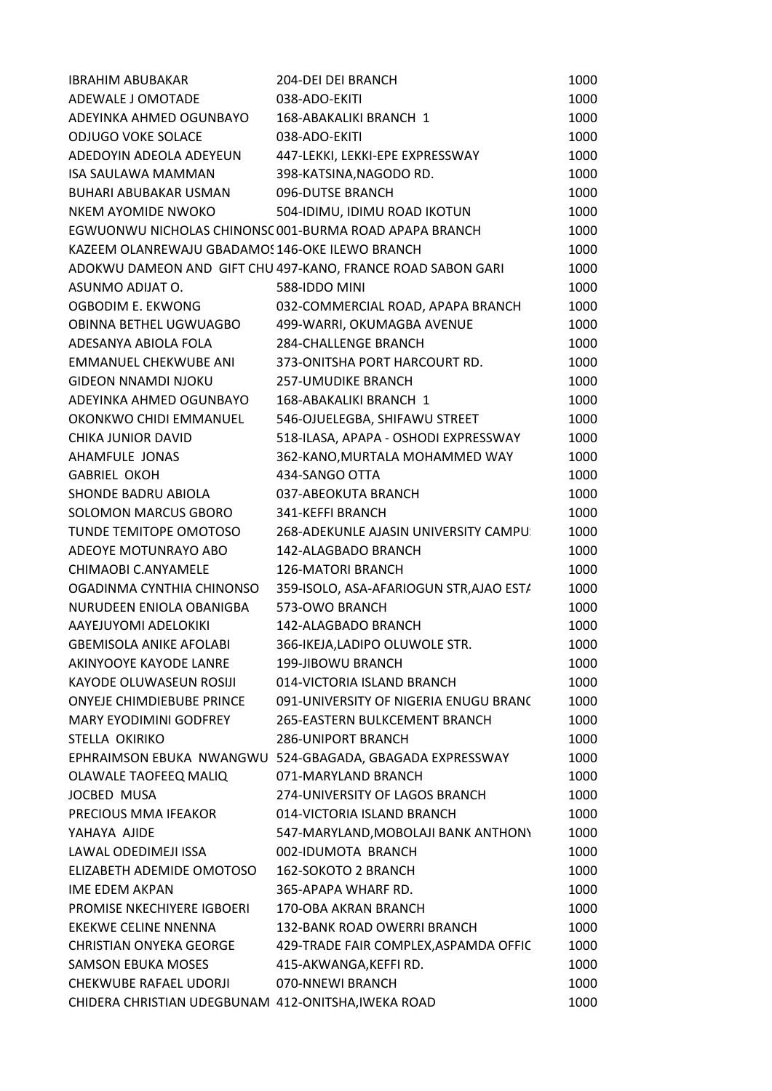| <b>IBRAHIM ABUBAKAR</b>                             | 204-DEI DEI BRANCH                                          | 1000 |
|-----------------------------------------------------|-------------------------------------------------------------|------|
| ADEWALE J OMOTADE                                   | 038-ADO-EKITI                                               | 1000 |
| ADEYINKA AHMED OGUNBAYO                             | 168-ABAKALIKI BRANCH 1                                      | 1000 |
| <b>ODJUGO VOKE SOLACE</b>                           | 038-ADO-EKITI                                               | 1000 |
| ADEDOYIN ADEOLA ADEYEUN                             | 447-LEKKI, LEKKI-EPE EXPRESSWAY                             | 1000 |
| <b>ISA SAULAWA MAMMAN</b>                           | 398-KATSINA, NAGODO RD.                                     | 1000 |
| <b>BUHARI ABUBAKAR USMAN</b>                        | 096-DUTSE BRANCH                                            | 1000 |
| NKEM AYOMIDE NWOKO                                  | 504-IDIMU, IDIMU ROAD IKOTUN                                | 1000 |
|                                                     | EGWUONWU NICHOLAS CHINONSC 001-BURMA ROAD APAPA BRANCH      | 1000 |
| KAZEEM OLANREWAJU GBADAMOS 146-OKE ILEWO BRANCH     |                                                             | 1000 |
|                                                     | ADOKWU DAMEON AND GIFT CHU 497-KANO, FRANCE ROAD SABON GARI | 1000 |
| ASUNMO ADIJAT O.                                    | 588-IDDO MINI                                               | 1000 |
| OGBODIM E. EKWONG                                   | 032-COMMERCIAL ROAD, APAPA BRANCH                           | 1000 |
| OBINNA BETHEL UGWUAGBO                              | 499-WARRI, OKUMAGBA AVENUE                                  | 1000 |
| ADESANYA ABIOLA FOLA                                | <b>284-CHALLENGE BRANCH</b>                                 | 1000 |
| <b>EMMANUEL CHEKWUBE ANI</b>                        | 373-ONITSHA PORT HARCOURT RD.                               | 1000 |
| <b>GIDEON NNAMDI NJOKU</b>                          | <b>257-UMUDIKE BRANCH</b>                                   | 1000 |
| ADEYINKA AHMED OGUNBAYO                             | 168-ABAKALIKI BRANCH 1                                      | 1000 |
| OKONKWO CHIDI EMMANUEL                              | 546-OJUELEGBA, SHIFAWU STREET                               | 1000 |
| <b>CHIKA JUNIOR DAVID</b>                           | 518-ILASA, APAPA - OSHODI EXPRESSWAY                        | 1000 |
| AHAMFULE JONAS                                      | 362-KANO, MURTALA MOHAMMED WAY                              | 1000 |
| <b>GABRIEL OKOH</b>                                 | 434-SANGO OTTA                                              | 1000 |
| SHONDE BADRU ABIOLA                                 | 037-ABEOKUTA BRANCH                                         | 1000 |
| SOLOMON MARCUS GBORO                                | 341-KEFFI BRANCH                                            | 1000 |
| TUNDE TEMITOPE OMOTOSO                              | 268-ADEKUNLE AJASIN UNIVERSITY CAMPU:                       | 1000 |
| ADEOYE MOTUNRAYO ABO                                | 142-ALAGBADO BRANCH                                         | 1000 |
| CHIMAOBI C.ANYAMELE                                 | <b>126-MATORI BRANCH</b>                                    | 1000 |
| OGADINMA CYNTHIA CHINONSO                           | 359-ISOLO, ASA-AFARIOGUN STR, AJAO EST/                     | 1000 |
| NURUDEEN ENIOLA OBANIGBA                            | 573-OWO BRANCH                                              | 1000 |
| AAYEJUYOMI ADELOKIKI                                | 142-ALAGBADO BRANCH                                         | 1000 |
| <b>GBEMISOLA ANIKE AFOLABI</b>                      | 366-IKEJA,LADIPO OLUWOLE STR.                               | 1000 |
| AKINYOOYE KAYODE LANRE                              | 199-JIBOWU BRANCH                                           | 1000 |
| KAYODE OLUWASEUN ROSIJI                             | 014-VICTORIA ISLAND BRANCH                                  | 1000 |
| ONYEJE CHIMDIEBUBE PRINCE                           | 091-UNIVERSITY OF NIGERIA ENUGU BRANC                       | 1000 |
| <b>MARY EYODIMINI GODFREY</b>                       | <b>265-EASTERN BULKCEMENT BRANCH</b>                        | 1000 |
| STELLA OKIRIKO                                      | <b>286-UNIPORT BRANCH</b>                                   | 1000 |
|                                                     | EPHRAIMSON EBUKA NWANGWU 524-GBAGADA, GBAGADA EXPRESSWAY    | 1000 |
| OLAWALE TAOFEEQ MALIQ                               | 071-MARYLAND BRANCH                                         | 1000 |
| JOCBED MUSA                                         | 274-UNIVERSITY OF LAGOS BRANCH                              | 1000 |
| PRECIOUS MMA IFEAKOR                                | 014-VICTORIA ISLAND BRANCH                                  | 1000 |
| YAHAYA AJIDE                                        | 547-MARYLAND, MOBOLAJI BANK ANTHONY                         | 1000 |
| LAWAL ODEDIMEJI ISSA                                | 002-IDUMOTA BRANCH                                          | 1000 |
| ELIZABETH ADEMIDE OMOTOSO                           | 162-SOKOTO 2 BRANCH                                         | 1000 |
| IME EDEM AKPAN                                      | 365-APAPA WHARF RD.                                         | 1000 |
| PROMISE NKECHIYERE IGBOERI                          | 170-OBA AKRAN BRANCH                                        | 1000 |
| EKEKWE CELINE NNENNA                                | 132-BANK ROAD OWERRI BRANCH                                 | 1000 |
| <b>CHRISTIAN ONYEKA GEORGE</b>                      | 429-TRADE FAIR COMPLEX, ASPAMDA OFFIC                       | 1000 |
| <b>SAMSON EBUKA MOSES</b>                           | 415-AKWANGA, KEFFI RD.                                      | 1000 |
| CHEKWUBE RAFAEL UDORJI                              | 070-NNEWI BRANCH                                            | 1000 |
| CHIDERA CHRISTIAN UDEGBUNAM 412-ONITSHA, IWEKA ROAD |                                                             | 1000 |
|                                                     |                                                             |      |